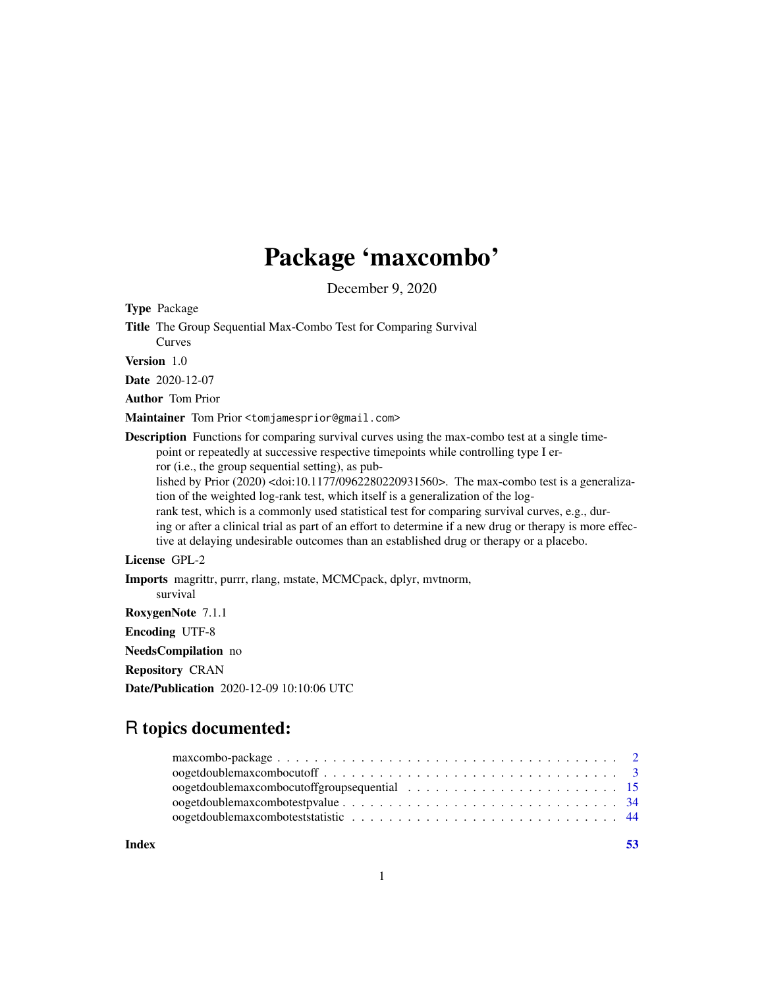## Package 'maxcombo'

December 9, 2020

Type Package

Title The Group Sequential Max-Combo Test for Comparing Survival Curves

Version 1.0

Date 2020-12-07

Author Tom Prior

Maintainer Tom Prior <tomjamesprior@gmail.com>

Description Functions for comparing survival curves using the max-combo test at a single timepoint or repeatedly at successive respective timepoints while controlling type I error (i.e., the group sequential setting), as pub-

lished by Prior (2020) <doi:10.1177/0962280220931560>. The max-combo test is a generalization of the weighted log-rank test, which itself is a generalization of the log-

rank test, which is a commonly used statistical test for comparing survival curves, e.g., during or after a clinical trial as part of an effort to determine if a new drug or therapy is more effective at delaying undesirable outcomes than an established drug or therapy or a placebo.

## License GPL-2

Imports magrittr, purrr, rlang, mstate, MCMCpack, dplyr, mvtnorm, survival RoxygenNote 7.1.1 Encoding UTF-8 NeedsCompilation no Repository CRAN

Date/Publication 2020-12-09 10:10:06 UTC

## R topics documented:

**Index** [53](#page-52-0)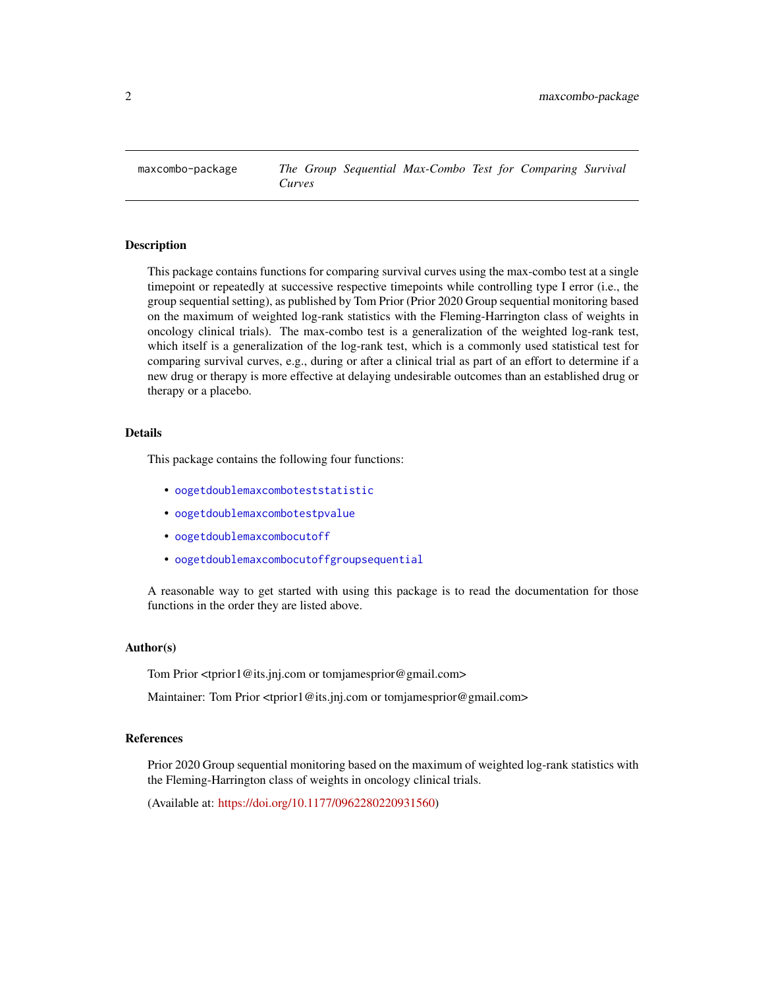<span id="page-1-0"></span>maxcombo-package *The Group Sequential Max-Combo Test for Comparing Survival Curves*

## Description

This package contains functions for comparing survival curves using the max-combo test at a single timepoint or repeatedly at successive respective timepoints while controlling type I error (i.e., the group sequential setting), as published by Tom Prior (Prior 2020 Group sequential monitoring based on the maximum of weighted log-rank statistics with the Fleming-Harrington class of weights in oncology clinical trials). The max-combo test is a generalization of the weighted log-rank test, which itself is a generalization of the log-rank test, which is a commonly used statistical test for comparing survival curves, e.g., during or after a clinical trial as part of an effort to determine if a new drug or therapy is more effective at delaying undesirable outcomes than an established drug or therapy or a placebo.

## Details

This package contains the following four functions:

- [oogetdoublemaxcomboteststatistic](#page-43-1)
- [oogetdoublemaxcombotestpvalue](#page-33-1)
- [oogetdoublemaxcombocutoff](#page-2-1)
- [oogetdoublemaxcombocutoffgroupsequential](#page-14-1)

A reasonable way to get started with using this package is to read the documentation for those functions in the order they are listed above.

#### Author(s)

Tom Prior <tprior1@its.jnj.com or tomjamesprior@gmail.com>

Maintainer: Tom Prior <tprior1@its.jnj.com or tomjamesprior@gmail.com>

#### References

Prior 2020 Group sequential monitoring based on the maximum of weighted log-rank statistics with the Fleming-Harrington class of weights in oncology clinical trials.

(Available at: [https://doi.org/10.1177/0962280220931560\)](https://doi.org/10.1177/0962280220931560)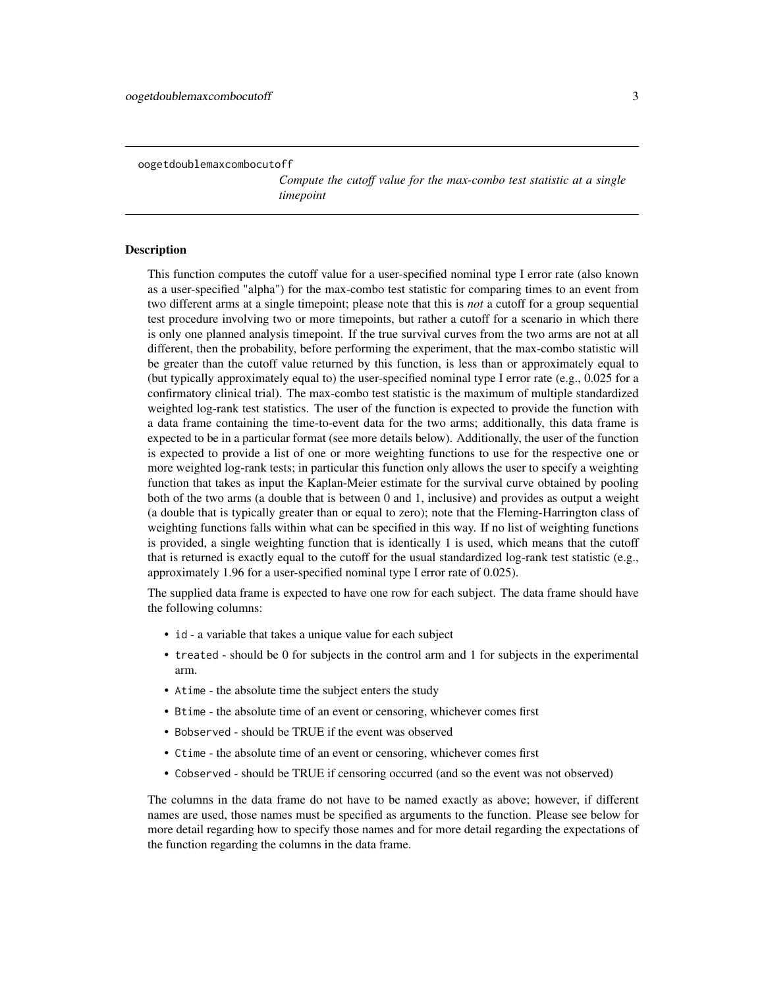<span id="page-2-1"></span><span id="page-2-0"></span>oogetdoublemaxcombocutoff

*Compute the cutoff value for the max-combo test statistic at a single timepoint*

## Description

This function computes the cutoff value for a user-specified nominal type I error rate (also known as a user-specified "alpha") for the max-combo test statistic for comparing times to an event from two different arms at a single timepoint; please note that this is *not* a cutoff for a group sequential test procedure involving two or more timepoints, but rather a cutoff for a scenario in which there is only one planned analysis timepoint. If the true survival curves from the two arms are not at all different, then the probability, before performing the experiment, that the max-combo statistic will be greater than the cutoff value returned by this function, is less than or approximately equal to (but typically approximately equal to) the user-specified nominal type I error rate (e.g., 0.025 for a confirmatory clinical trial). The max-combo test statistic is the maximum of multiple standardized weighted log-rank test statistics. The user of the function is expected to provide the function with a data frame containing the time-to-event data for the two arms; additionally, this data frame is expected to be in a particular format (see more details below). Additionally, the user of the function is expected to provide a list of one or more weighting functions to use for the respective one or more weighted log-rank tests; in particular this function only allows the user to specify a weighting function that takes as input the Kaplan-Meier estimate for the survival curve obtained by pooling both of the two arms (a double that is between 0 and 1, inclusive) and provides as output a weight (a double that is typically greater than or equal to zero); note that the Fleming-Harrington class of weighting functions falls within what can be specified in this way. If no list of weighting functions is provided, a single weighting function that is identically 1 is used, which means that the cutoff that is returned is exactly equal to the cutoff for the usual standardized log-rank test statistic (e.g., approximately 1.96 for a user-specified nominal type I error rate of 0.025).

The supplied data frame is expected to have one row for each subject. The data frame should have the following columns:

- id a variable that takes a unique value for each subject
- treated should be 0 for subjects in the control arm and 1 for subjects in the experimental arm.
- Atime the absolute time the subject enters the study
- Btime the absolute time of an event or censoring, whichever comes first
- Bobserved should be TRUE if the event was observed
- Ctime the absolute time of an event or censoring, whichever comes first
- Cobserved should be TRUE if censoring occurred (and so the event was not observed)

The columns in the data frame do not have to be named exactly as above; however, if different names are used, those names must be specified as arguments to the function. Please see below for more detail regarding how to specify those names and for more detail regarding the expectations of the function regarding the columns in the data frame.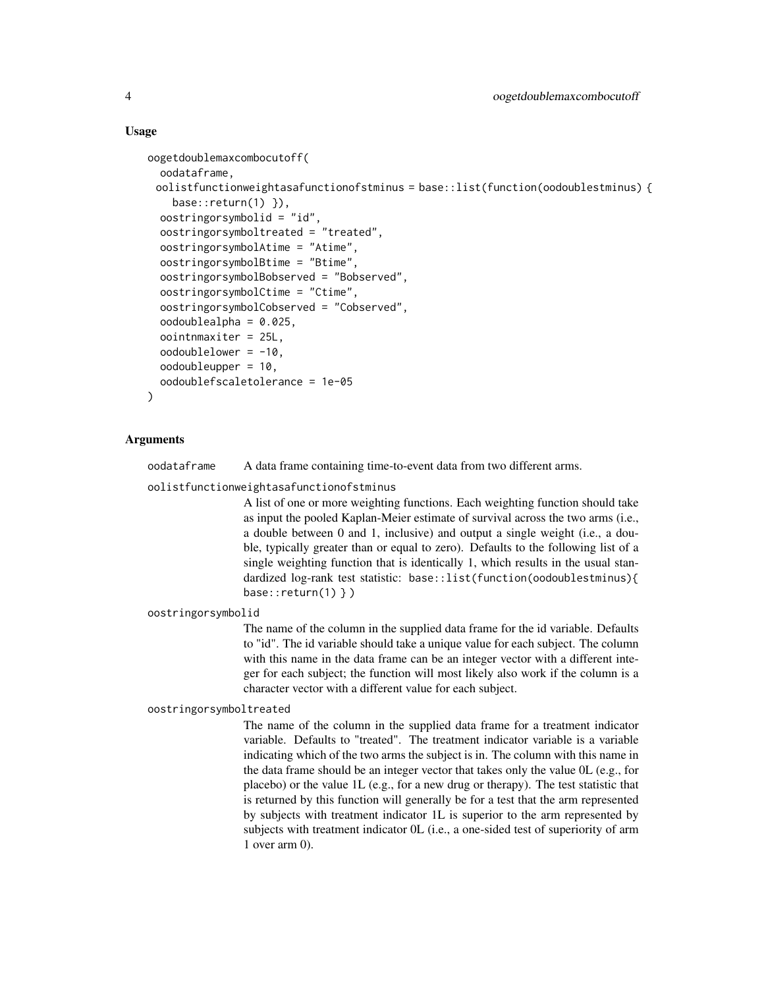## Usage

```
oogetdoublemaxcombocutoff(
  oodataframe,
 oolistfunctionweightasafunctionofstminus = base::list(function(oodoublestminus) {
    base::return(1) }),
  oostringorsymbolid = "id",
  oostringorsymboltreated = "treated",
  oostringorsymbolAtime = "Atime",
  oostringorsymbolBtime = "Btime",
  oostringorsymbolBobserved = "Bobserved",
  oostringorsymbolCtime = "Ctime",
  oostringorsymbolCobserved = "Cobserved",
  oodoublealpha = 0.025,
  oointnmaxiter = 25L,
  oodoublelower = -10,oodoubleupper = 10,
  oodoublefscaletolerance = 1e-05
)
```
## Arguments

oodataframe A data frame containing time-to-event data from two different arms.

oolistfunctionweightasafunctionofstminus

A list of one or more weighting functions. Each weighting function should take as input the pooled Kaplan-Meier estimate of survival across the two arms (i.e., a double between 0 and 1, inclusive) and output a single weight (i.e., a double, typically greater than or equal to zero). Defaults to the following list of a single weighting function that is identically 1, which results in the usual standardized log-rank test statistic: base::list(function(oodoublestminus){ base:: $return(1)$  } )

oostringorsymbolid

The name of the column in the supplied data frame for the id variable. Defaults to "id". The id variable should take a unique value for each subject. The column with this name in the data frame can be an integer vector with a different integer for each subject; the function will most likely also work if the column is a character vector with a different value for each subject.

oostringorsymboltreated

The name of the column in the supplied data frame for a treatment indicator variable. Defaults to "treated". The treatment indicator variable is a variable indicating which of the two arms the subject is in. The column with this name in the data frame should be an integer vector that takes only the value 0L (e.g., for placebo) or the value 1L (e.g., for a new drug or therapy). The test statistic that is returned by this function will generally be for a test that the arm represented by subjects with treatment indicator 1L is superior to the arm represented by subjects with treatment indicator 0L (i.e., a one-sided test of superiority of arm 1 over arm 0).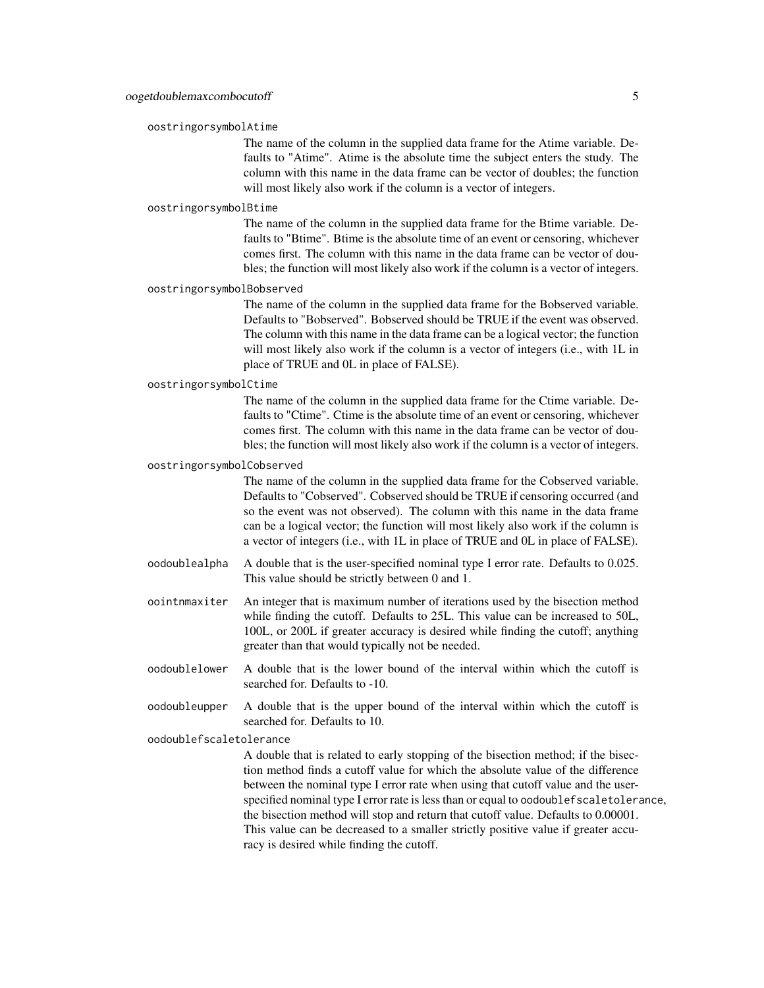#### oostringorsymbolAtime

The name of the column in the supplied data frame for the Atime variable. Defaults to "Atime". Atime is the absolute time the subject enters the study. The column with this name in the data frame can be vector of doubles; the function will most likely also work if the column is a vector of integers.

#### oostringorsymbolBtime

The name of the column in the supplied data frame for the Btime variable. Defaults to "Btime". Btime is the absolute time of an event or censoring, whichever comes first. The column with this name in the data frame can be vector of doubles; the function will most likely also work if the column is a vector of integers.

#### oostringorsymbolBobserved

The name of the column in the supplied data frame for the Bobserved variable. Defaults to "Bobserved". Bobserved should be TRUE if the event was observed. The column with this name in the data frame can be a logical vector; the function will most likely also work if the column is a vector of integers (i.e., with 1L in place of TRUE and 0L in place of FALSE).

## oostringorsymbolCtime

The name of the column in the supplied data frame for the Ctime variable. Defaults to "Ctime". Ctime is the absolute time of an event or censoring, whichever comes first. The column with this name in the data frame can be vector of doubles; the function will most likely also work if the column is a vector of integers.

#### oostringorsymbolCobserved

The name of the column in the supplied data frame for the Cobserved variable. Defaults to "Cobserved". Cobserved should be TRUE if censoring occurred (and so the event was not observed). The column with this name in the data frame can be a logical vector; the function will most likely also work if the column is a vector of integers (i.e., with 1L in place of TRUE and 0L in place of FALSE).

- oodoublealpha A double that is the user-specified nominal type I error rate. Defaults to 0.025. This value should be strictly between 0 and 1.
- oointnmaxiter An integer that is maximum number of iterations used by the bisection method while finding the cutoff. Defaults to 25L. This value can be increased to 50L, 100L, or 200L if greater accuracy is desired while finding the cutoff; anything greater than that would typically not be needed.
- oodoublelower A double that is the lower bound of the interval within which the cutoff is searched for. Defaults to -10.
- oodoubleupper A double that is the upper bound of the interval within which the cutoff is searched for. Defaults to 10.

oodoublefscaletolerance

A double that is related to early stopping of the bisection method; if the bisection method finds a cutoff value for which the absolute value of the difference between the nominal type I error rate when using that cutoff value and the userspecified nominal type I error rate is less than or equal to oodoublefscaletolerance, the bisection method will stop and return that cutoff value. Defaults to 0.00001. This value can be decreased to a smaller strictly positive value if greater accuracy is desired while finding the cutoff.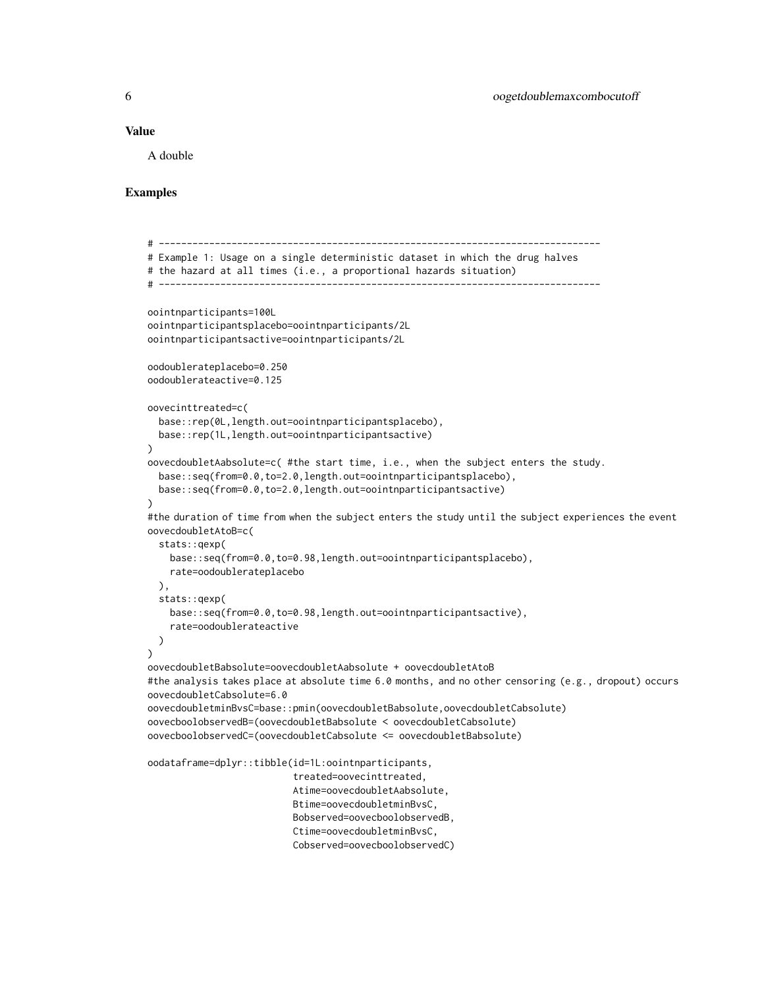#### Value

A double

## Examples

```
# -------------------------------------------------------------------------------
# Example 1: Usage on a single deterministic dataset in which the drug halves
# the hazard at all times (i.e., a proportional hazards situation)
# -------------------------------------------------------------------------------
oointnparticipants=100L
oointnparticipantsplacebo=oointnparticipants/2L
oointnparticipantsactive=oointnparticipants/2L
oodoublerateplacebo=0.250
oodoublerateactive=0.125
oovecinttreated=c(
 base::rep(0L,length.out=oointnparticipantsplacebo),
 base::rep(1L,length.out=oointnparticipantsactive)
\lambdaoovecdoubletAabsolute=c( #the start time, i.e., when the subject enters the study.
 base::seq(from=0.0,to=2.0,length.out=oointnparticipantsplacebo),
 base::seq(from=0.0,to=2.0,length.out=oointnparticipantsactive)
)
#the duration of time from when the subject enters the study until the subject experiences the event
oovecdoubletAtoB=c(
 stats::qexp(
   base::seq(from=0.0,to=0.98,length.out=oointnparticipantsplacebo),
   rate=oodoublerateplacebo
 ),
 stats::qexp(
   base::seq(from=0.0,to=0.98,length.out=oointnparticipantsactive),
    rate=oodoublerateactive
 )
)
oovecdoubletBabsolute=oovecdoubletAabsolute + oovecdoubletAtoB
#the analysis takes place at absolute time 6.0 months, and no other censoring (e.g., dropout) occurs
oovecdoubletCabsolute=6.0
oovecdoubletminBvsC=base::pmin(oovecdoubletBabsolute,oovecdoubletCabsolute)
oovecboolobservedB=(oovecdoubletBabsolute < oovecdoubletCabsolute)
oovecboolobservedC=(oovecdoubletCabsolute <= oovecdoubletBabsolute)
oodataframe=dplyr::tibble(id=1L:oointnparticipants,
                          treated=oovecinttreated,
                          Atime=oovecdoubletAabsolute,
                          Btime=oovecdoubletminBvsC,
                          Bobserved=oovecboolobservedB,
                          Ctime=oovecdoubletminBvsC,
                          Cobserved=oovecboolobservedC)
```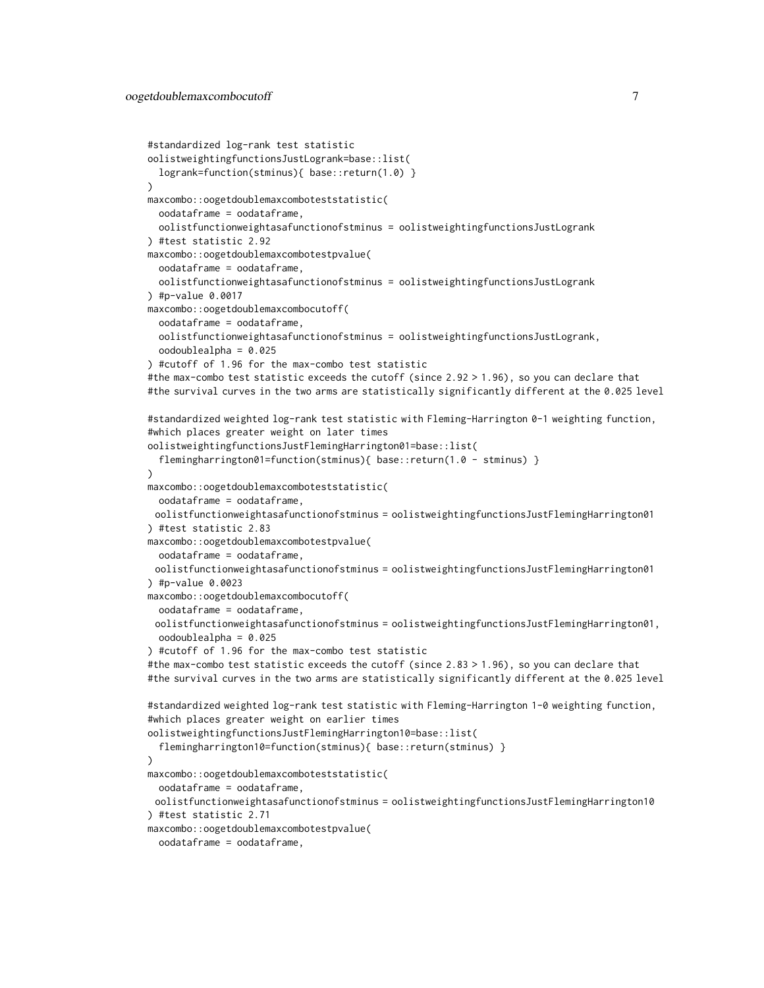```
#standardized log-rank test statistic
oolistweightingfunctionsJustLogrank=base::list(
 logrank=function(stminus){ base::return(1.0) }
)
maxcombo::oogetdoublemaxcomboteststatistic(
 oodataframe = oodataframe,
 oolistfunctionweightasafunctionofstminus = oolistweightingfunctionsJustLogrank
) #test statistic 2.92
maxcombo::oogetdoublemaxcombotestpvalue(
 oodataframe = oodataframe,
 oolistfunctionweightasafunctionofstminus = oolistweightingfunctionsJustLogrank
) #p-value 0.0017
maxcombo::oogetdoublemaxcombocutoff(
 oodataframe = oodataframe,
 oolistfunctionweightasafunctionofstminus = oolistweightingfunctionsJustLogrank,
 oodoublealpha = 0.025
) #cutoff of 1.96 for the max-combo test statistic
#the max-combo test statistic exceeds the cutoff (since 2.92 > 1.96), so you can declare that
#the survival curves in the two arms are statistically significantly different at the 0.025 level
#standardized weighted log-rank test statistic with Fleming-Harrington 0-1 weighting function,
#which places greater weight on later times
oolistweightingfunctionsJustFlemingHarrington01=base::list(
 flemingharrington01=function(stminus){ base::return(1.0 - stminus) }
)
maxcombo::oogetdoublemaxcomboteststatistic(
 oodataframe = oodataframe,
 oolistfunctionweightasafunctionofstminus = oolistweightingfunctionsJustFlemingHarrington01
) #test statistic 2.83
maxcombo::oogetdoublemaxcombotestpvalue(
 oodataframe = oodataframe,
 oolistfunctionweightasafunctionofstminus = oolistweightingfunctionsJustFlemingHarrington01
) #p-value 0.0023
maxcombo::oogetdoublemaxcombocutoff(
 oodataframe = oodataframe,
 oolistfunctionweightasafunctionofstminus = oolistweightingfunctionsJustFlemingHarrington01,
 oodoublealpha = 0.025
) #cutoff of 1.96 for the max-combo test statistic
#the max-combo test statistic exceeds the cutoff (since 2.83 > 1.96), so you can declare that
#the survival curves in the two arms are statistically significantly different at the 0.025 level
#standardized weighted log-rank test statistic with Fleming-Harrington 1-0 weighting function,
#which places greater weight on earlier times
oolistweightingfunctionsJustFlemingHarrington10=base::list(
  flemingharrington10=function(stminus){ base::return(stminus) }
)
maxcombo::oogetdoublemaxcomboteststatistic(
 oodataframe = oodataframe,
 oolistfunctionweightasafunctionofstminus = oolistweightingfunctionsJustFlemingHarrington10
) #test statistic 2.71
maxcombo::oogetdoublemaxcombotestpvalue(
 oodataframe = oodataframe,
```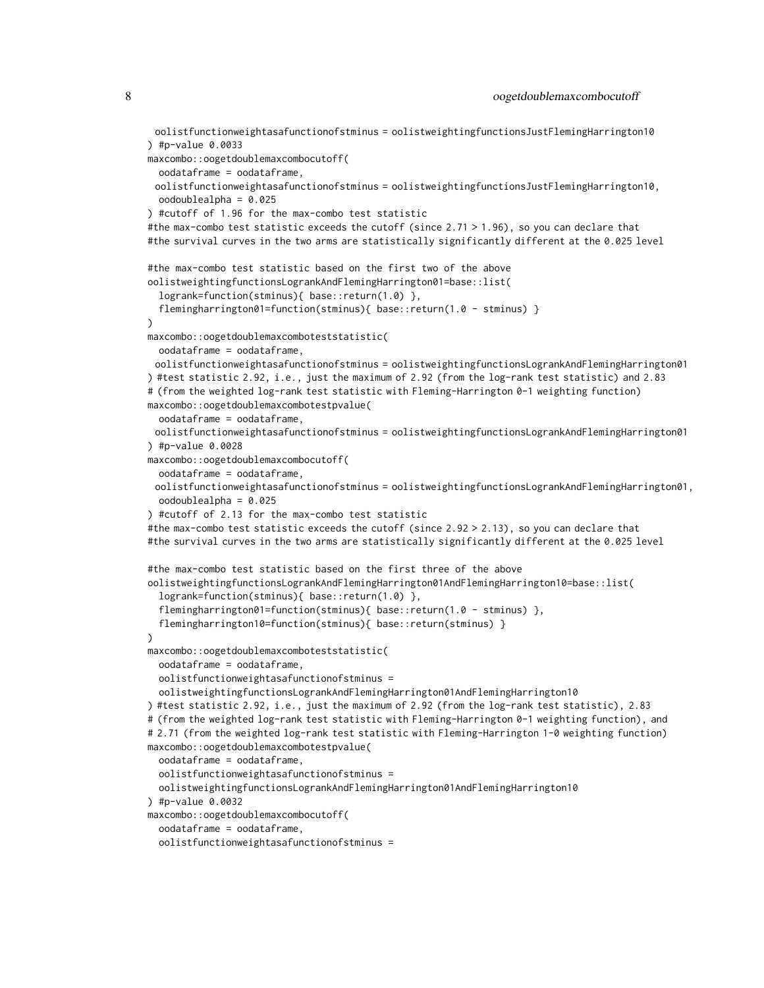oolistfunctionweightasafunctionofstminus = oolistweightingfunctionsJustFlemingHarrington10 ) #p-value 0.0033 maxcombo::oogetdoublemaxcombocutoff( oodataframe = oodataframe, oolistfunctionweightasafunctionofstminus = oolistweightingfunctionsJustFlemingHarrington10, oodoublealpha = 0.025 ) #cutoff of 1.96 for the max-combo test statistic #the max-combo test statistic exceeds the cutoff (since 2.71 > 1.96), so you can declare that #the survival curves in the two arms are statistically significantly different at the 0.025 level #the max-combo test statistic based on the first two of the above oolistweightingfunctionsLogrankAndFlemingHarrington01=base::list( logrank=function(stminus){ base::return(1.0) }, flemingharrington01=function(stminus){ base::return(1.0 - stminus) } ) maxcombo::oogetdoublemaxcomboteststatistic( oodataframe = oodataframe, oolistfunctionweightasafunctionofstminus = oolistweightingfunctionsLogrankAndFlemingHarrington01 ) #test statistic 2.92, i.e., just the maximum of 2.92 (from the log-rank test statistic) and 2.83 # (from the weighted log-rank test statistic with Fleming-Harrington 0-1 weighting function) maxcombo::oogetdoublemaxcombotestpvalue( oodataframe = oodataframe, oolistfunctionweightasafunctionofstminus = oolistweightingfunctionsLogrankAndFlemingHarrington01 ) #p-value 0.0028 maxcombo::oogetdoublemaxcombocutoff( oodataframe = oodataframe, oolistfunctionweightasafunctionofstminus = oolistweightingfunctionsLogrankAndFlemingHarrington01, oodoublealpha = 0.025 ) #cutoff of 2.13 for the max-combo test statistic #the max-combo test statistic exceeds the cutoff (since 2.92 > 2.13), so you can declare that #the survival curves in the two arms are statistically significantly different at the 0.025 level #the max-combo test statistic based on the first three of the above oolistweightingfunctionsLogrankAndFlemingHarrington01AndFlemingHarrington10=base::list( logrank=function(stminus){ base::return(1.0) }, flemingharrington01=function(stminus){ base::return(1.0 - stminus) }, flemingharrington10=function(stminus){ base::return(stminus) }  $\lambda$ maxcombo::oogetdoublemaxcomboteststatistic( oodataframe = oodataframe, oolistfunctionweightasafunctionofstminus = oolistweightingfunctionsLogrankAndFlemingHarrington01AndFlemingHarrington10 ) #test statistic 2.92, i.e., just the maximum of 2.92 (from the log-rank test statistic), 2.83 # (from the weighted log-rank test statistic with Fleming-Harrington 0-1 weighting function), and # 2.71 (from the weighted log-rank test statistic with Fleming-Harrington 1-0 weighting function) maxcombo::oogetdoublemaxcombotestpvalue( oodataframe = oodataframe, oolistfunctionweightasafunctionofstminus = oolistweightingfunctionsLogrankAndFlemingHarrington01AndFlemingHarrington10 ) #p-value 0.0032 maxcombo::oogetdoublemaxcombocutoff( oodataframe = oodataframe, oolistfunctionweightasafunctionofstminus =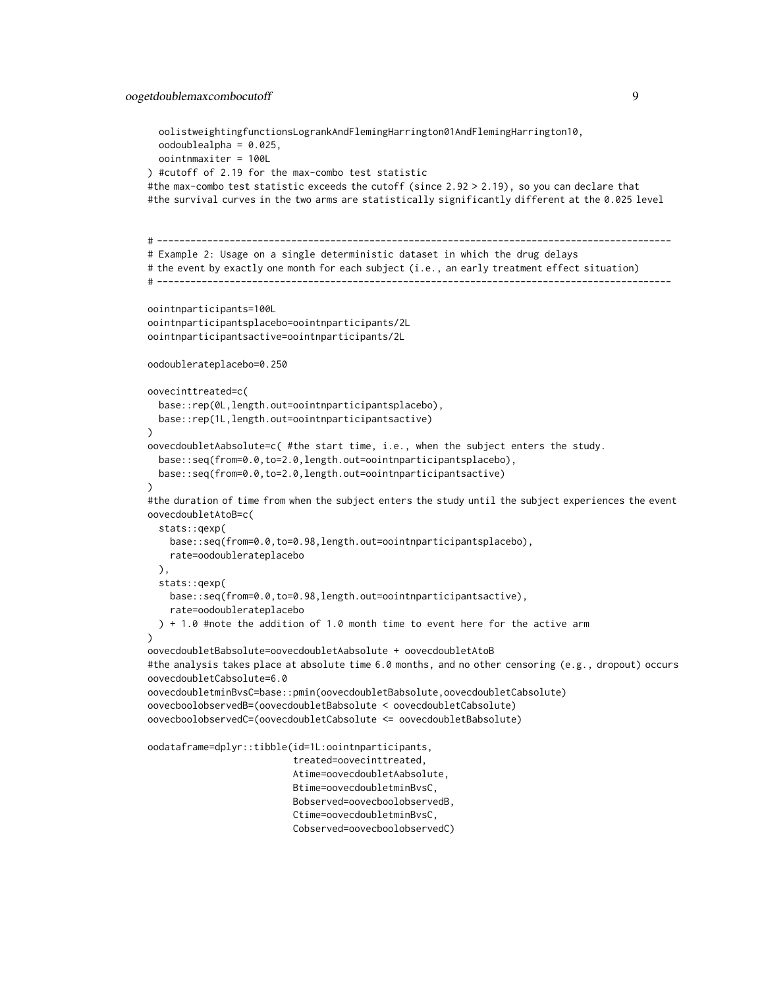```
oolistweightingfunctionsLogrankAndFlemingHarrington01AndFlemingHarrington10,
 oodoublealpha = 0.025,
 oointnmaxiter = 100L
) #cutoff of 2.19 for the max-combo test statistic
#the max-combo test statistic exceeds the cutoff (since 2.92 > 2.19), so you can declare that
#the survival curves in the two arms are statistically significantly different at the 0.025 level
# --------------------------------------------------------------------------------------------
# Example 2: Usage on a single deterministic dataset in which the drug delays
# the event by exactly one month for each subject (i.e., an early treatment effect situation)
# --------------------------------------------------------------------------------------------
oointnparticipants=100L
oointnparticipantsplacebo=oointnparticipants/2L
oointnparticipantsactive=oointnparticipants/2L
oodoublerateplacebo=0.250
oovecinttreated=c(
 base::rep(0L,length.out=oointnparticipantsplacebo),
 base::rep(1L,length.out=oointnparticipantsactive)
\lambdaoovecdoubletAabsolute=c( #the start time, i.e., when the subject enters the study.
 base::seq(from=0.0,to=2.0,length.out=oointnparticipantsplacebo),
 base::seq(from=0.0,to=2.0,length.out=oointnparticipantsactive)
)
#the duration of time from when the subject enters the study until the subject experiences the event
oovecdoubletAtoB=c(
 stats::qexp(
   base::seq(from=0.0,to=0.98,length.out=oointnparticipantsplacebo),
   rate=oodoublerateplacebo
 ),
 stats::qexp(
   base::seq(from=0.0,to=0.98,length.out=oointnparticipantsactive),
    rate=oodoublerateplacebo
 ) + 1.0 #note the addition of 1.0 month time to event here for the active arm
\lambdaoovecdoubletBabsolute=oovecdoubletAabsolute + oovecdoubletAtoB
#the analysis takes place at absolute time 6.0 months, and no other censoring (e.g., dropout) occurs
oovecdoubletCabsolute=6.0
oovecdoubletminBvsC=base::pmin(oovecdoubletBabsolute,oovecdoubletCabsolute)
oovecboolobservedB=(oovecdoubletBabsolute < oovecdoubletCabsolute)
oovecboolobservedC=(oovecdoubletCabsolute <= oovecdoubletBabsolute)
oodataframe=dplyr::tibble(id=1L:oointnparticipants,
                           treated=oovecinttreated,
                           Atime=oovecdoubletAabsolute,
                           Btime=oovecdoubletminBvsC,
                           Bobserved=oovecboolobservedB,
                           Ctime=oovecdoubletminBvsC,
```
Cobserved=oovecboolobservedC)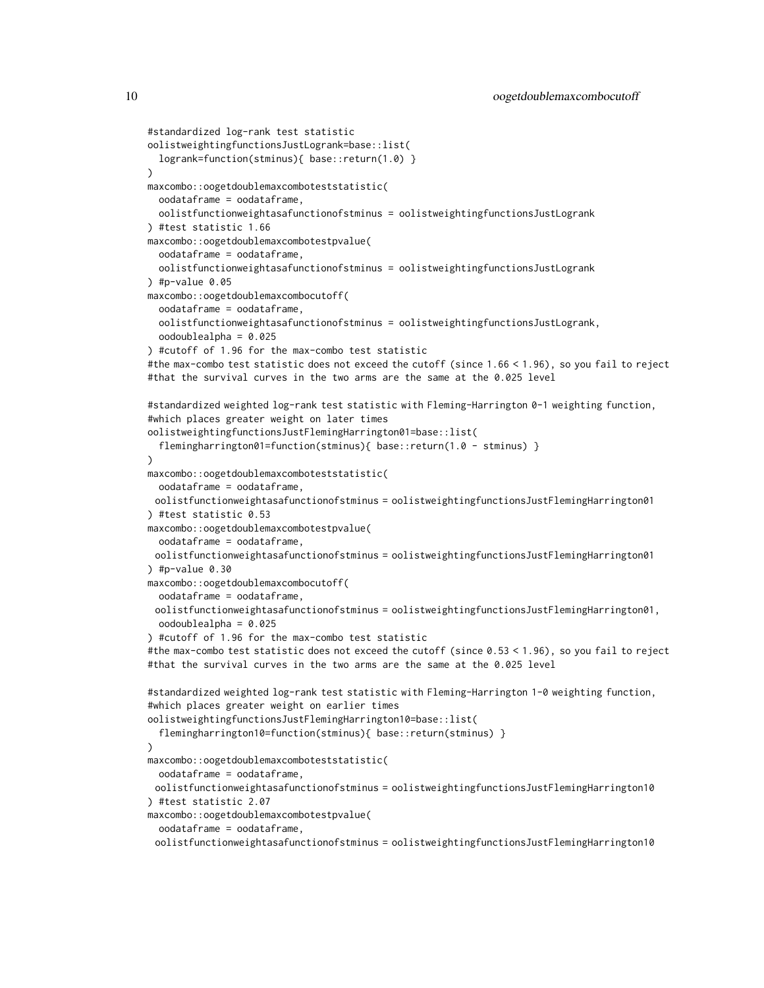```
#standardized log-rank test statistic
oolistweightingfunctionsJustLogrank=base::list(
 logrank=function(stminus){ base::return(1.0) }
\lambdamaxcombo::oogetdoublemaxcomboteststatistic(
 oodataframe = oodataframe,
 oolistfunctionweightasafunctionofstminus = oolistweightingfunctionsJustLogrank
) #test statistic 1.66
maxcombo::oogetdoublemaxcombotestpvalue(
 oodataframe = oodataframe,
 oolistfunctionweightasafunctionofstminus = oolistweightingfunctionsJustLogrank
) #p-value 0.05
maxcombo::oogetdoublemaxcombocutoff(
 oodataframe = oodataframe,
 oolistfunctionweightasafunctionofstminus = oolistweightingfunctionsJustLogrank,
 oodoublealpha = 0.025
) #cutoff of 1.96 for the max-combo test statistic
#the max-combo test statistic does not exceed the cutoff (since 1.66 < 1.96), so you fail to reject
#that the survival curves in the two arms are the same at the 0.025 level
#standardized weighted log-rank test statistic with Fleming-Harrington 0-1 weighting function,
#which places greater weight on later times
oolistweightingfunctionsJustFlemingHarrington01=base::list(
 flemingharrington01=function(stminus){ base::return(1.0 - stminus) }
)
maxcombo::oogetdoublemaxcomboteststatistic(
 oodataframe = oodataframe,
 oolistfunctionweightasafunctionofstminus = oolistweightingfunctionsJustFlemingHarrington01
) #test statistic 0.53
maxcombo::oogetdoublemaxcombotestpvalue(
 oodataframe = oodataframe,
 oolistfunctionweightasafunctionofstminus = oolistweightingfunctionsJustFlemingHarrington01
) #p-value 0.30maxcombo::oogetdoublemaxcombocutoff(
 oodataframe = oodataframe,
 oolistfunctionweightasafunctionofstminus = oolistweightingfunctionsJustFlemingHarrington01,
 oodoublealpha = 0.025
) #cutoff of 1.96 for the max-combo test statistic
#the max-combo test statistic does not exceed the cutoff (since 0.53 < 1.96), so you fail to reject
#that the survival curves in the two arms are the same at the 0.025 level
#standardized weighted log-rank test statistic with Fleming-Harrington 1-0 weighting function,
#which places greater weight on earlier times
oolistweightingfunctionsJustFlemingHarrington10=base::list(
  flemingharrington10=function(stminus){ base::return(stminus) }
)
maxcombo::oogetdoublemaxcomboteststatistic(
 oodataframe = oodataframe,
 oolistfunctionweightasafunctionofstminus = oolistweightingfunctionsJustFlemingHarrington10
) #test statistic 2.07
maxcombo::oogetdoublemaxcombotestpvalue(
 oodataframe = oodataframe,
```
oolistfunctionweightasafunctionofstminus = oolistweightingfunctionsJustFlemingHarrington10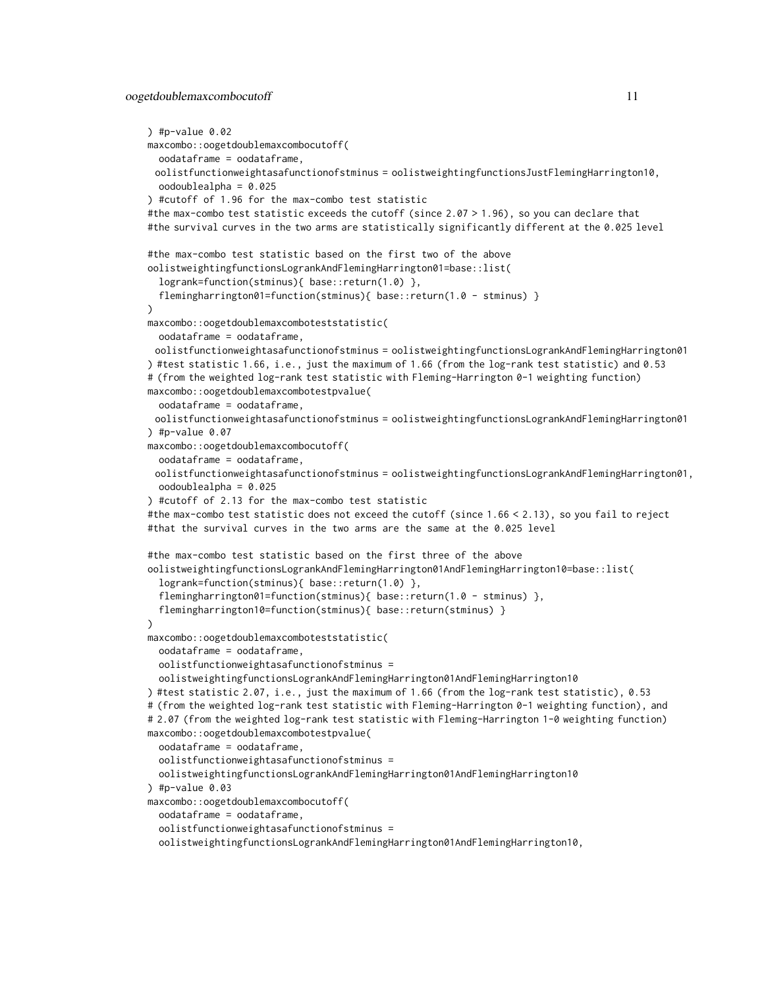```
) #p-value 0.02maxcombo::oogetdoublemaxcombocutoff(
 oodataframe = oodataframe,
 oolistfunctionweightasafunctionofstminus = oolistweightingfunctionsJustFlemingHarrington10,
 oodoublealpha = 0.025
) #cutoff of 1.96 for the max-combo test statistic
#the max-combo test statistic exceeds the cutoff (since 2.07 > 1.96), so you can declare that
#the survival curves in the two arms are statistically significantly different at the 0.025 level
#the max-combo test statistic based on the first two of the above
oolistweightingfunctionsLogrankAndFlemingHarrington01=base::list(
 logrank=function(stminus){ base::return(1.0) },
  flemingharrington01=function(stminus){ base::return(1.0 - stminus) }
)
maxcombo::oogetdoublemaxcomboteststatistic(
 oodataframe = oodataframe,
 oolistfunctionweightasafunctionofstminus = oolistweightingfunctionsLogrankAndFlemingHarrington01
) #test statistic 1.66, i.e., just the maximum of 1.66 (from the log-rank test statistic) and 0.53
# (from the weighted log-rank test statistic with Fleming-Harrington 0-1 weighting function)
maxcombo::oogetdoublemaxcombotestpvalue(
 oodataframe = oodataframe,
 oolistfunctionweightasafunctionofstminus = oolistweightingfunctionsLogrankAndFlemingHarrington01
) #p-value 0.07maxcombo::oogetdoublemaxcombocutoff(
 oodataframe = oodataframe,
 oolistfunctionweightasafunctionofstminus = oolistweightingfunctionsLogrankAndFlemingHarrington01,
 oodoublealpha = 0.025
) #cutoff of 2.13 for the max-combo test statistic
#the max-combo test statistic does not exceed the cutoff (since 1.66 < 2.13), so you fail to reject
#that the survival curves in the two arms are the same at the 0.025 level
#the max-combo test statistic based on the first three of the above
oolistweightingfunctionsLogrankAndFlemingHarrington01AndFlemingHarrington10=base::list(
 logrank=function(stminus){ base::return(1.0) },
  flemingharrington01=function(stminus){ base::return(1.0 - stminus) },
 flemingharrington10=function(stminus){ base::return(stminus) }
\lambdamaxcombo::oogetdoublemaxcomboteststatistic(
 oodataframe = oodataframe,
 oolistfunctionweightasafunctionofstminus =
 oolistweightingfunctionsLogrankAndFlemingHarrington01AndFlemingHarrington10
) #test statistic 2.07, i.e., just the maximum of 1.66 (from the log-rank test statistic), 0.53
# (from the weighted log-rank test statistic with Fleming-Harrington 0-1 weighting function), and
# 2.07 (from the weighted log-rank test statistic with Fleming-Harrington 1-0 weighting function)
maxcombo::oogetdoublemaxcombotestpvalue(
 oodataframe = oodataframe,
 oolistfunctionweightasafunctionofstminus =
 oolistweightingfunctionsLogrankAndFlemingHarrington01AndFlemingHarrington10
) #p-value 0.03maxcombo::oogetdoublemaxcombocutoff(
 oodataframe = oodataframe,
  oolistfunctionweightasafunctionofstminus =
  oolistweightingfunctionsLogrankAndFlemingHarrington01AndFlemingHarrington10,
```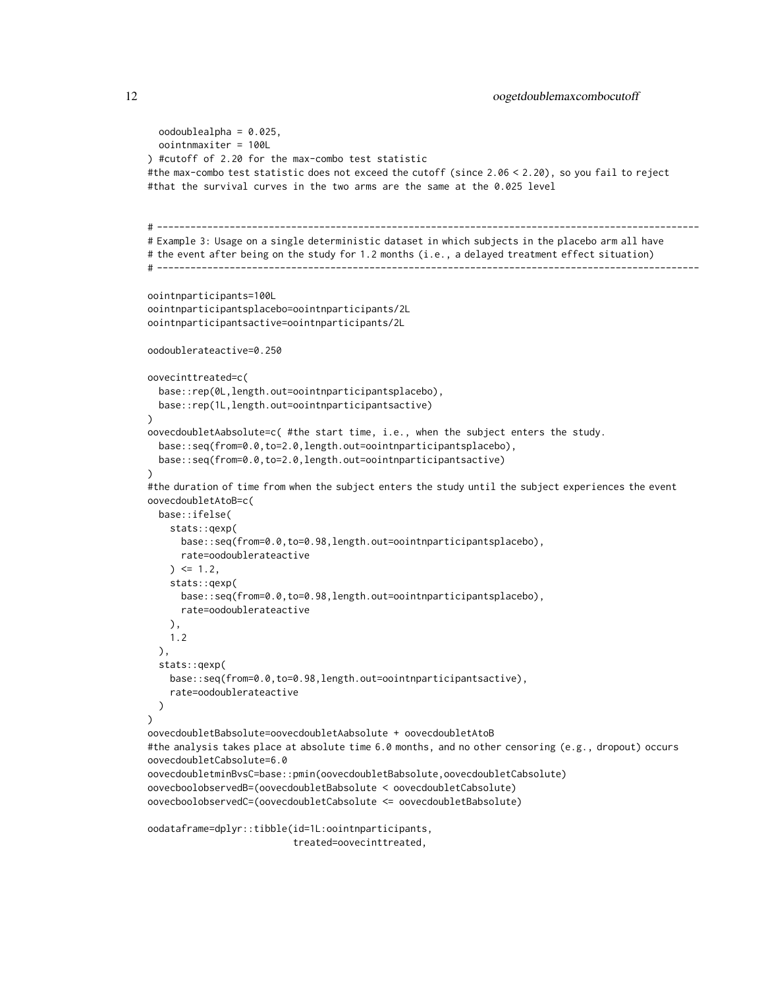```
oodoublealpha = 0.025,
 oointnmaxiter = 100L
) #cutoff of 2.20 for the max-combo test statistic
#the max-combo test statistic does not exceed the cutoff (since 2.06 < 2.20), so you fail to reject
#that the survival curves in the two arms are the same at the 0.025 level
# -------------------------------------------------------------------------------------------------
# Example 3: Usage on a single deterministic dataset in which subjects in the placebo arm all have
# the event after being on the study for 1.2 months (i.e., a delayed treatment effect situation)
# -------------------------------------------------------------------------------------------------
oointnparticipants=100L
oointnparticipantsplacebo=oointnparticipants/2L
oointnparticipantsactive=oointnparticipants/2L
oodoublerateactive=0.250
oovecinttreated=c(
 base::rep(0L,length.out=oointnparticipantsplacebo),
 base::rep(1L,length.out=oointnparticipantsactive)
)
oovecdoubletAabsolute=c( #the start time, i.e., when the subject enters the study.
 base::seq(from=0.0,to=2.0,length.out=oointnparticipantsplacebo),
 base::seq(from=0.0,to=2.0,length.out=oointnparticipantsactive)
)
#the duration of time from when the subject enters the study until the subject experiences the event
oovecdoubletAtoB=c(
 base::ifelse(
   stats::qexp(
      base::seq(from=0.0,to=0.98,length.out=oointnparticipantsplacebo),
      rate=oodoublerateactive
    ) \le 1.2stats::qexp(
      base::seq(from=0.0,to=0.98,length.out=oointnparticipantsplacebo),
      rate=oodoublerateactive
   ),
   1.2
 ),
  stats::qexp(
   base::seq(from=0.0,to=0.98,length.out=oointnparticipantsactive),
    rate=oodoublerateactive
 )
)
oovecdoubletBabsolute=oovecdoubletAabsolute + oovecdoubletAtoB
#the analysis takes place at absolute time 6.0 months, and no other censoring (e.g., dropout) occurs
oovecdoubletCabsolute=6.0
oovecdoubletminBvsC=base::pmin(oovecdoubletBabsolute,oovecdoubletCabsolute)
oovecboolobservedB=(oovecdoubletBabsolute < oovecdoubletCabsolute)
oovecboolobservedC=(oovecdoubletCabsolute <= oovecdoubletBabsolute)
```

```
oodataframe=dplyr::tibble(id=1L:oointnparticipants,
                         treated=oovecinttreated,
```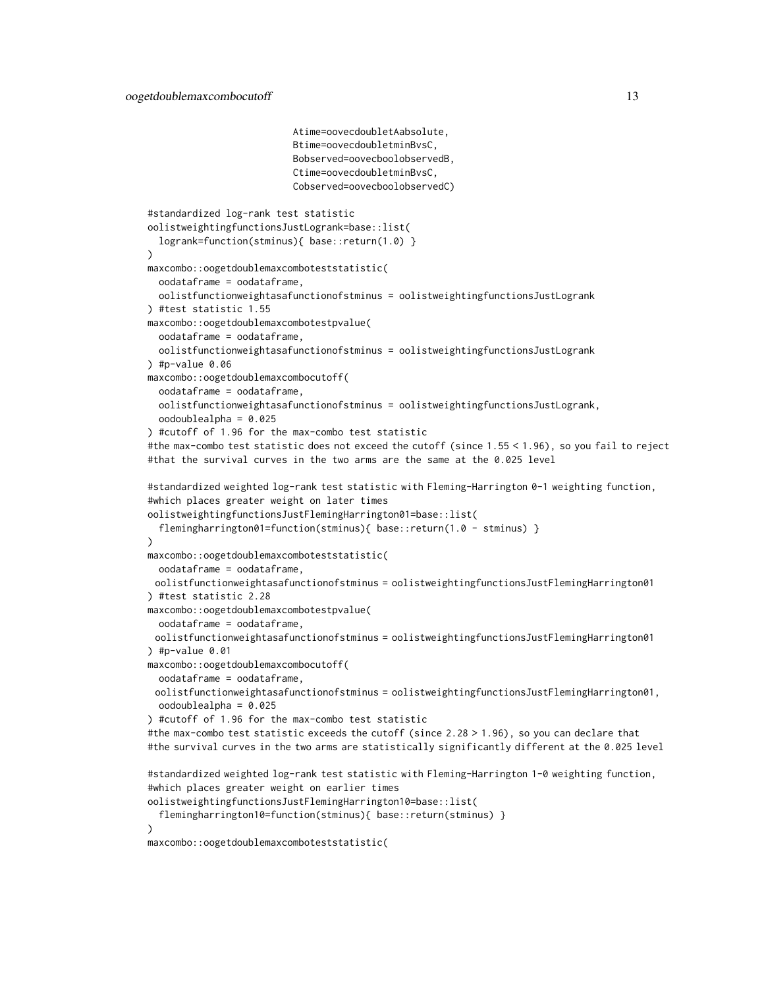```
Atime=oovecdoubletAabsolute,
                          Btime=oovecdoubletminBvsC,
                          Bobserved=oovecboolobservedB,
                          Ctime=oovecdoubletminBvsC,
                          Cobserved=oovecboolobservedC)
#standardized log-rank test statistic
oolistweightingfunctionsJustLogrank=base::list(
 logrank=function(stminus){ base::return(1.0) }
\lambdamaxcombo::oogetdoublemaxcomboteststatistic(
 oodataframe = oodataframe,
  oolistfunctionweightasafunctionofstminus = oolistweightingfunctionsJustLogrank
) #test statistic 1.55
maxcombo::oogetdoublemaxcombotestpvalue(
 oodataframe = oodataframe,
 oolistfunctionweightasafunctionofstminus = oolistweightingfunctionsJustLogrank
) #p-value 0.06
maxcombo::oogetdoublemaxcombocutoff(
 oodataframe = oodataframe,
 oolistfunctionweightasafunctionofstminus = oolistweightingfunctionsJustLogrank,
 oodoublealpha = 0.025
) #cutoff of 1.96 for the max-combo test statistic
#the max-combo test statistic does not exceed the cutoff (since 1.55 < 1.96), so you fail to reject
#that the survival curves in the two arms are the same at the 0.025 level
#standardized weighted log-rank test statistic with Fleming-Harrington 0-1 weighting function,
#which places greater weight on later times
oolistweightingfunctionsJustFlemingHarrington01=base::list(
 flemingharrington01=function(stminus){    base::return(1.0 - stminus)    }
)
maxcombo::oogetdoublemaxcomboteststatistic(
 oodataframe = oodataframe,
 oolistfunctionweightasafunctionofstminus = oolistweightingfunctionsJustFlemingHarrington01
) #test statistic 2.28
maxcombo::oogetdoublemaxcombotestpvalue(
 oodataframe = oodataframe,
 oolistfunctionweightasafunctionofstminus = oolistweightingfunctionsJustFlemingHarrington01
) #p-value 0.01maxcombo::oogetdoublemaxcombocutoff(
 oodataframe = oodataframe,
 oolistfunctionweightasafunctionofstminus = oolistweightingfunctionsJustFlemingHarrington01,
 oodoublealpha = 0.025
) #cutoff of 1.96 for the max-combo test statistic
#the max-combo test statistic exceeds the cutoff (since 2.28 > 1.96), so you can declare that
#the survival curves in the two arms are statistically significantly different at the 0.025 level
#standardized weighted log-rank test statistic with Fleming-Harrington 1-0 weighting function,
#which places greater weight on earlier times
oolistweightingfunctionsJustFlemingHarrington10=base::list(
 flemingharrington10=function(stminus){ base::return(stminus) }
)
```

```
maxcombo::oogetdoublemaxcomboteststatistic(
```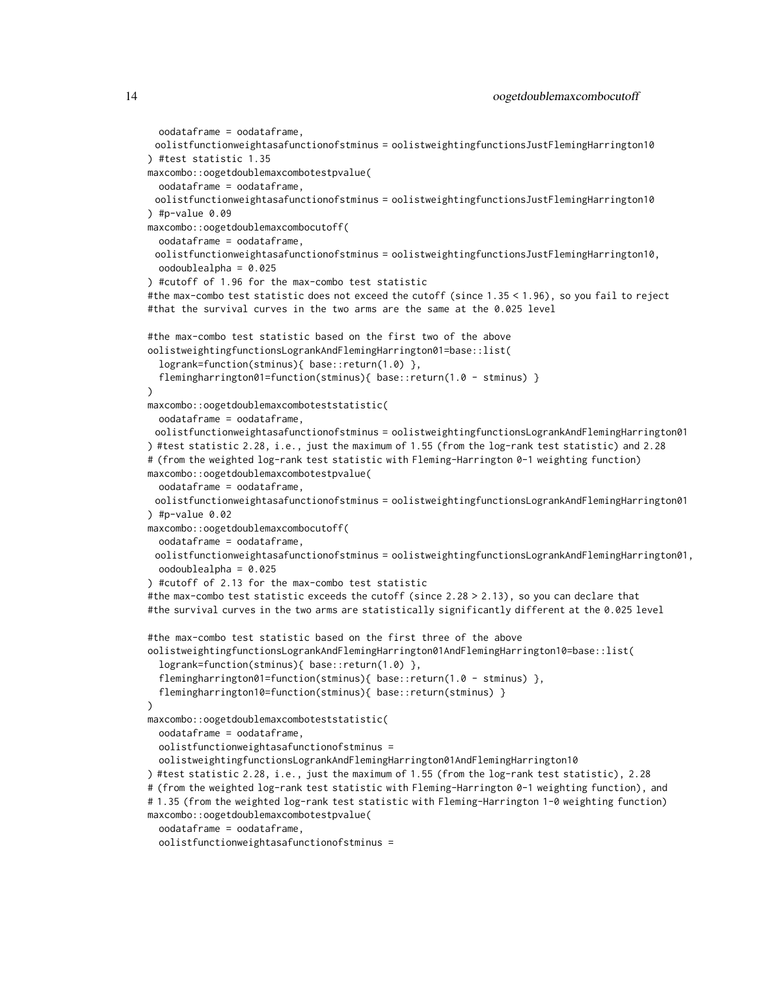```
oolistfunctionweightasafunctionofstminus = oolistweightingfunctionsJustFlemingHarrington10
) #test statistic 1.35
maxcombo::oogetdoublemaxcombotestpvalue(
 oodataframe = oodataframe,
 oolistfunctionweightasafunctionofstminus = oolistweightingfunctionsJustFlemingHarrington10
) #p-value 0.09
maxcombo::oogetdoublemaxcombocutoff(
 oodataframe = oodataframe,
 oolistfunctionweightasafunctionofstminus = oolistweightingfunctionsJustFlemingHarrington10,
 oodoublealpha = 0.025
) #cutoff of 1.96 for the max-combo test statistic
#the max-combo test statistic does not exceed the cutoff (since 1.35 < 1.96), so you fail to reject
#that the survival curves in the two arms are the same at the 0.025 level
#the max-combo test statistic based on the first two of the above
oolistweightingfunctionsLogrankAndFlemingHarrington01=base::list(
 logrank=function(stminus){ base::return(1.0) },
  flemingharrington01=function(stminus){ base::return(1.0 - stminus) }
)
maxcombo::oogetdoublemaxcomboteststatistic(
 oodataframe = oodataframe,
 oolistfunctionweightasafunctionofstminus = oolistweightingfunctionsLogrankAndFlemingHarrington01
) #test statistic 2.28, i.e., just the maximum of 1.55 (from the log-rank test statistic) and 2.28
# (from the weighted log-rank test statistic with Fleming-Harrington 0-1 weighting function)
maxcombo::oogetdoublemaxcombotestpvalue(
  oodataframe = oodataframe,
 oolistfunctionweightasafunctionofstminus = oolistweightingfunctionsLogrankAndFlemingHarrington01
) #p-value 0.02
maxcombo::oogetdoublemaxcombocutoff(
 oodataframe = oodataframe,
 oolistfunctionweightasafunctionofstminus = oolistweightingfunctionsLogrankAndFlemingHarrington01,
 oodoublealpha = 0.025
) #cutoff of 2.13 for the max-combo test statistic
#the max-combo test statistic exceeds the cutoff (since 2.28 > 2.13), so you can declare that
#the survival curves in the two arms are statistically significantly different at the 0.025 level
#the max-combo test statistic based on the first three of the above
oolistweightingfunctionsLogrankAndFlemingHarrington01AndFlemingHarrington10=base::list(
  logrank=function(stminus){ base::return(1.0) },
  flemingharrington01=function(stminus){ base::return(1.0 - stminus) },
  flemingharrington10=function(stminus){ base::return(stminus) }
)
maxcombo::oogetdoublemaxcomboteststatistic(
 oodataframe = oodataframe,
 oolistfunctionweightasafunctionofstminus =
 oolistweightingfunctionsLogrankAndFlemingHarrington01AndFlemingHarrington10
) #test statistic 2.28, i.e., just the maximum of 1.55 (from the log-rank test statistic), 2.28
# (from the weighted log-rank test statistic with Fleming-Harrington 0-1 weighting function), and
# 1.35 (from the weighted log-rank test statistic with Fleming-Harrington 1-0 weighting function)
maxcombo::oogetdoublemaxcombotestpvalue(
  oodataframe = oodataframe,
```

```
oolistfunctionweightasafunctionofstminus =
```
oodataframe = oodataframe,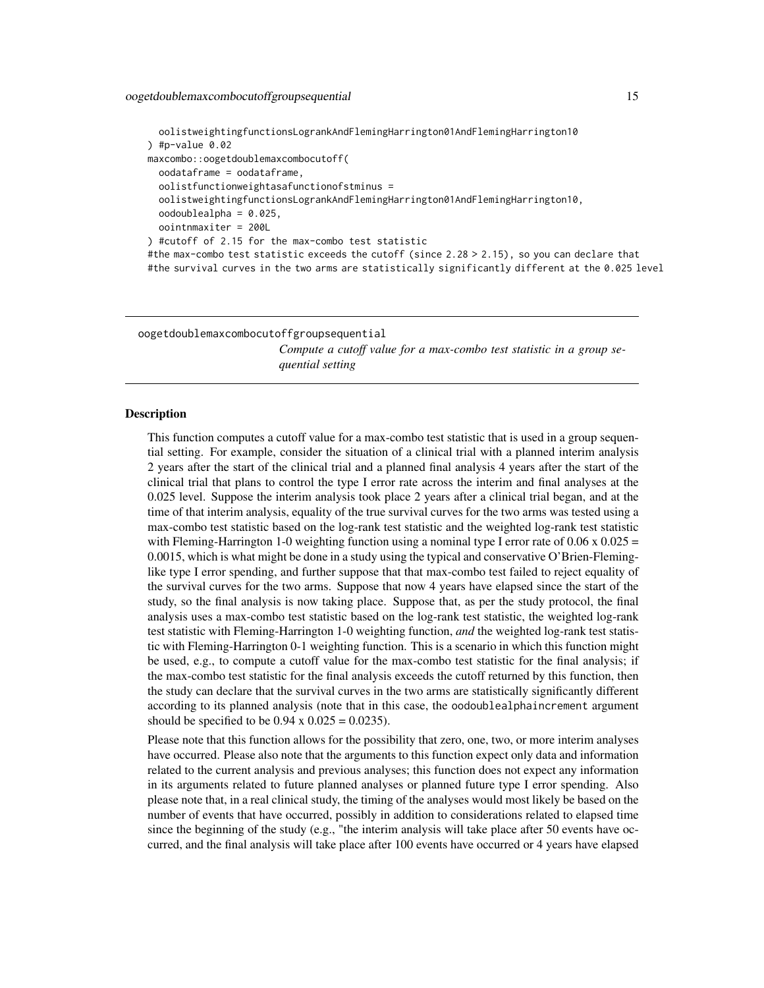<span id="page-14-0"></span>oolistweightingfunctionsLogrankAndFlemingHarrington01AndFlemingHarrington10 ) #p-value  $0.02$ maxcombo::oogetdoublemaxcombocutoff( oodataframe = oodataframe, oolistfunctionweightasafunctionofstminus = oolistweightingfunctionsLogrankAndFlemingHarrington01AndFlemingHarrington10, oodoublealpha = 0.025, oointnmaxiter = 200L ) #cutoff of 2.15 for the max-combo test statistic #the max-combo test statistic exceeds the cutoff (since 2.28 > 2.15), so you can declare that #the survival curves in the two arms are statistically significantly different at the 0.025 level

<span id="page-14-1"></span>oogetdoublemaxcombocutoffgroupsequential

*Compute a cutoff value for a max-combo test statistic in a group sequential setting*

#### **Description**

This function computes a cutoff value for a max-combo test statistic that is used in a group sequential setting. For example, consider the situation of a clinical trial with a planned interim analysis 2 years after the start of the clinical trial and a planned final analysis 4 years after the start of the clinical trial that plans to control the type I error rate across the interim and final analyses at the 0.025 level. Suppose the interim analysis took place 2 years after a clinical trial began, and at the time of that interim analysis, equality of the true survival curves for the two arms was tested using a max-combo test statistic based on the log-rank test statistic and the weighted log-rank test statistic with Fleming-Harrington 1-0 weighting function using a nominal type I error rate of  $0.06 \times 0.025 =$ 0.0015, which is what might be done in a study using the typical and conservative O'Brien-Fleminglike type I error spending, and further suppose that that max-combo test failed to reject equality of the survival curves for the two arms. Suppose that now 4 years have elapsed since the start of the study, so the final analysis is now taking place. Suppose that, as per the study protocol, the final analysis uses a max-combo test statistic based on the log-rank test statistic, the weighted log-rank test statistic with Fleming-Harrington 1-0 weighting function, *and* the weighted log-rank test statistic with Fleming-Harrington 0-1 weighting function. This is a scenario in which this function might be used, e.g., to compute a cutoff value for the max-combo test statistic for the final analysis; if the max-combo test statistic for the final analysis exceeds the cutoff returned by this function, then the study can declare that the survival curves in the two arms are statistically significantly different according to its planned analysis (note that in this case, the oodoublealphaincrement argument should be specified to be  $0.94 \times 0.025 = 0.0235$ .

Please note that this function allows for the possibility that zero, one, two, or more interim analyses have occurred. Please also note that the arguments to this function expect only data and information related to the current analysis and previous analyses; this function does not expect any information in its arguments related to future planned analyses or planned future type I error spending. Also please note that, in a real clinical study, the timing of the analyses would most likely be based on the number of events that have occurred, possibly in addition to considerations related to elapsed time since the beginning of the study (e.g., "the interim analysis will take place after 50 events have occurred, and the final analysis will take place after 100 events have occurred or 4 years have elapsed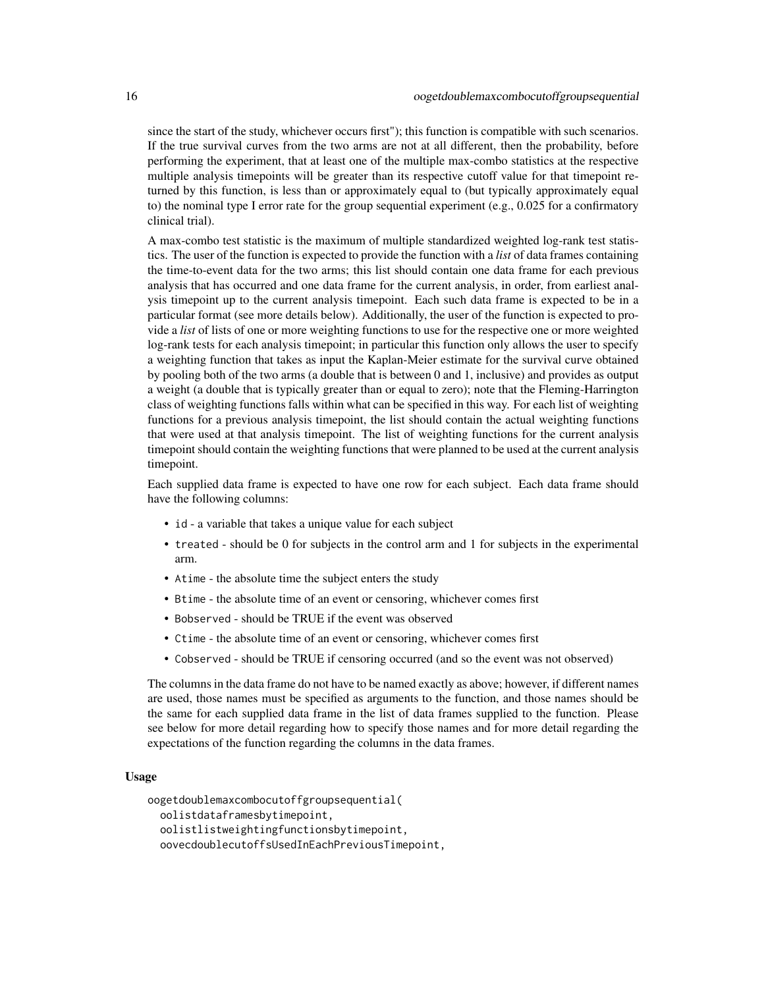since the start of the study, whichever occurs first"); this function is compatible with such scenarios. If the true survival curves from the two arms are not at all different, then the probability, before performing the experiment, that at least one of the multiple max-combo statistics at the respective multiple analysis timepoints will be greater than its respective cutoff value for that timepoint returned by this function, is less than or approximately equal to (but typically approximately equal to) the nominal type I error rate for the group sequential experiment (e.g., 0.025 for a confirmatory clinical trial).

A max-combo test statistic is the maximum of multiple standardized weighted log-rank test statistics. The user of the function is expected to provide the function with a *list* of data frames containing the time-to-event data for the two arms; this list should contain one data frame for each previous analysis that has occurred and one data frame for the current analysis, in order, from earliest analysis timepoint up to the current analysis timepoint. Each such data frame is expected to be in a particular format (see more details below). Additionally, the user of the function is expected to provide a *list* of lists of one or more weighting functions to use for the respective one or more weighted log-rank tests for each analysis timepoint; in particular this function only allows the user to specify a weighting function that takes as input the Kaplan-Meier estimate for the survival curve obtained by pooling both of the two arms (a double that is between 0 and 1, inclusive) and provides as output a weight (a double that is typically greater than or equal to zero); note that the Fleming-Harrington class of weighting functions falls within what can be specified in this way. For each list of weighting functions for a previous analysis timepoint, the list should contain the actual weighting functions that were used at that analysis timepoint. The list of weighting functions for the current analysis timepoint should contain the weighting functions that were planned to be used at the current analysis timepoint.

Each supplied data frame is expected to have one row for each subject. Each data frame should have the following columns:

- id a variable that takes a unique value for each subject
- treated should be 0 for subjects in the control arm and 1 for subjects in the experimental arm.
- Atime the absolute time the subject enters the study
- Btime the absolute time of an event or censoring, whichever comes first
- Bobserved should be TRUE if the event was observed
- Ctime the absolute time of an event or censoring, whichever comes first
- Cobserved should be TRUE if censoring occurred (and so the event was not observed)

The columns in the data frame do not have to be named exactly as above; however, if different names are used, those names must be specified as arguments to the function, and those names should be the same for each supplied data frame in the list of data frames supplied to the function. Please see below for more detail regarding how to specify those names and for more detail regarding the expectations of the function regarding the columns in the data frames.

#### Usage

oogetdoublemaxcombocutoffgroupsequential( oolistdataframesbytimepoint, oolistlistweightingfunctionsbytimepoint, oovecdoublecutoffsUsedInEachPreviousTimepoint,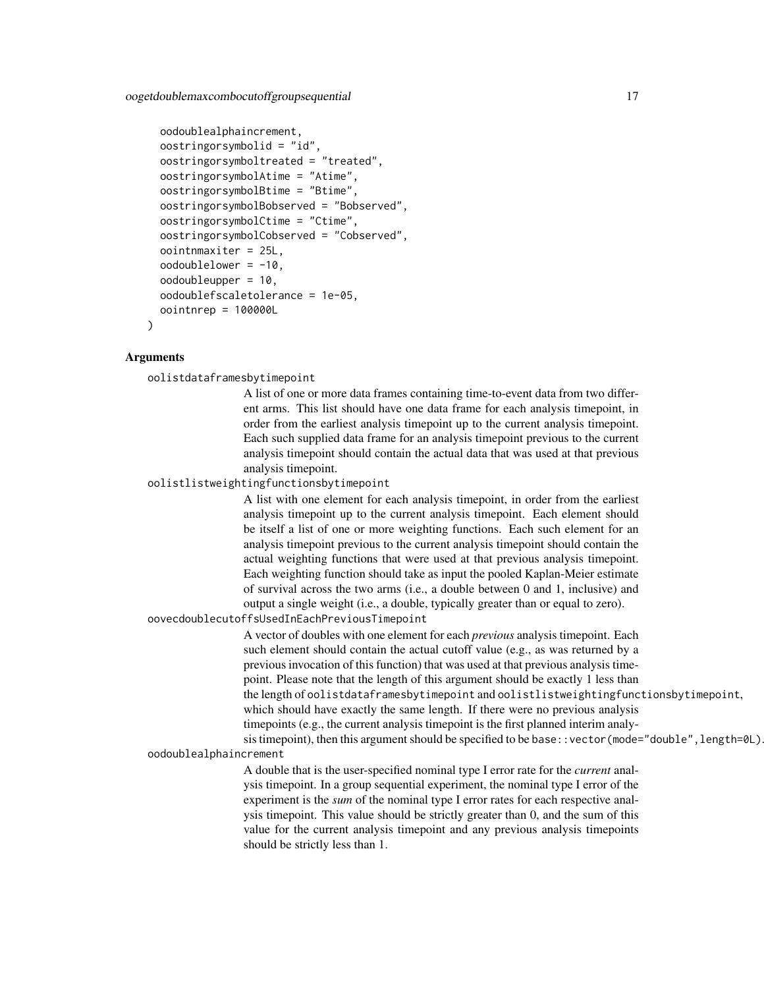```
oodoublealphaincrement,
oostringorsymbolid = "id",
oostringorsymboltreated = "treated",
oostringorsymbolAtime = "Atime",
oostringorsymbolBtime = "Btime",
oostringorsymbolBobserved = "Bobserved",
oostringorsymbolCtime = "Ctime",
oostringorsymbolCobserved = "Cobserved",
oointnmaxiter = 25L,
oodoublelower = -10,
oodoubleupper = 10,
oodoublefscaletolerance = 1e-05,
oointnrep = 100000L
```
## Arguments

)

oolistdataframesbytimepoint

A list of one or more data frames containing time-to-event data from two different arms. This list should have one data frame for each analysis timepoint, in order from the earliest analysis timepoint up to the current analysis timepoint. Each such supplied data frame for an analysis timepoint previous to the current analysis timepoint should contain the actual data that was used at that previous analysis timepoint.

oolistlistweightingfunctionsbytimepoint

A list with one element for each analysis timepoint, in order from the earliest analysis timepoint up to the current analysis timepoint. Each element should be itself a list of one or more weighting functions. Each such element for an analysis timepoint previous to the current analysis timepoint should contain the actual weighting functions that were used at that previous analysis timepoint. Each weighting function should take as input the pooled Kaplan-Meier estimate of survival across the two arms (i.e., a double between 0 and 1, inclusive) and output a single weight (i.e., a double, typically greater than or equal to zero).

oovecdoublecutoffsUsedInEachPreviousTimepoint

A vector of doubles with one element for each *previous* analysis timepoint. Each such element should contain the actual cutoff value (e.g., as was returned by a previous invocation of this function) that was used at that previous analysis timepoint. Please note that the length of this argument should be exactly 1 less than the length of oolistdataframesbytimepoint and oolistlistweightingfunctionsbytimepoint, which should have exactly the same length. If there were no previous analysis timepoints (e.g., the current analysis timepoint is the first planned interim analysis timepoint), then this argument should be specified to be base::vector(mode="double", length=0L).

oodoublealphaincrement

A double that is the user-specified nominal type I error rate for the *current* analysis timepoint. In a group sequential experiment, the nominal type I error of the experiment is the *sum* of the nominal type I error rates for each respective analysis timepoint. This value should be strictly greater than 0, and the sum of this value for the current analysis timepoint and any previous analysis timepoints should be strictly less than 1.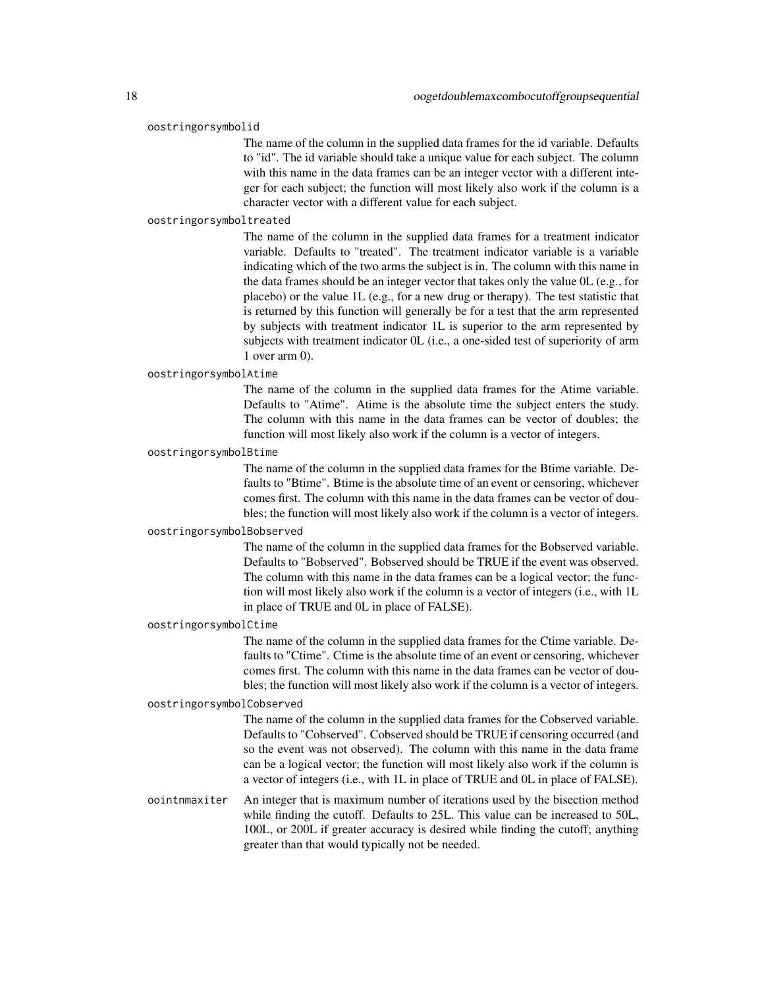#### oostringorsymbolid

The name of the column in the supplied data frames for the id variable. Defaults to "id". The id variable should take a unique value for each subject. The column with this name in the data frames can be an integer vector with a different integer for each subject; the function will most likely also work if the column is a character vector with a different value for each subject.

#### oostringorsymboltreated

The name of the column in the supplied data frames for a treatment indicator variable. Defaults to "treated". The treatment indicator variable is a variable indicating which of the two arms the subject is in. The column with this name in the data frames should be an integer vector that takes only the value 0L (e.g., for placebo) or the value 1L (e.g., for a new drug or therapy). The test statistic that is returned by this function will generally be for a test that the arm represented by subjects with treatment indicator 1L is superior to the arm represented by subjects with treatment indicator 0L (i.e., a one-sided test of superiority of arm 1 over arm 0).

#### oostringorsymbolAtime

The name of the column in the supplied data frames for the Atime variable. Defaults to "Atime". Atime is the absolute time the subject enters the study. The column with this name in the data frames can be vector of doubles; the function will most likely also work if the column is a vector of integers.

#### oostringorsymbolBtime

The name of the column in the supplied data frames for the Btime variable. Defaults to "Btime". Btime is the absolute time of an event or censoring, whichever comes first. The column with this name in the data frames can be vector of doubles; the function will most likely also work if the column is a vector of integers.

## oostringorsymbolBobserved

The name of the column in the supplied data frames for the Bobserved variable. Defaults to "Bobserved". Bobserved should be TRUE if the event was observed. The column with this name in the data frames can be a logical vector; the function will most likely also work if the column is a vector of integers (i.e., with 1L in place of TRUE and 0L in place of FALSE).

## oostringorsymbolCtime

The name of the column in the supplied data frames for the Ctime variable. Defaults to "Ctime". Ctime is the absolute time of an event or censoring, whichever comes first. The column with this name in the data frames can be vector of doubles; the function will most likely also work if the column is a vector of integers.

#### oostringorsymbolCobserved

The name of the column in the supplied data frames for the Cobserved variable. Defaults to "Cobserved". Cobserved should be TRUE if censoring occurred (and so the event was not observed). The column with this name in the data frame can be a logical vector; the function will most likely also work if the column is a vector of integers (i.e., with 1L in place of TRUE and 0L in place of FALSE).

oointnmaxiter An integer that is maximum number of iterations used by the bisection method while finding the cutoff. Defaults to 25L. This value can be increased to 50L, 100L, or 200L if greater accuracy is desired while finding the cutoff; anything greater than that would typically not be needed.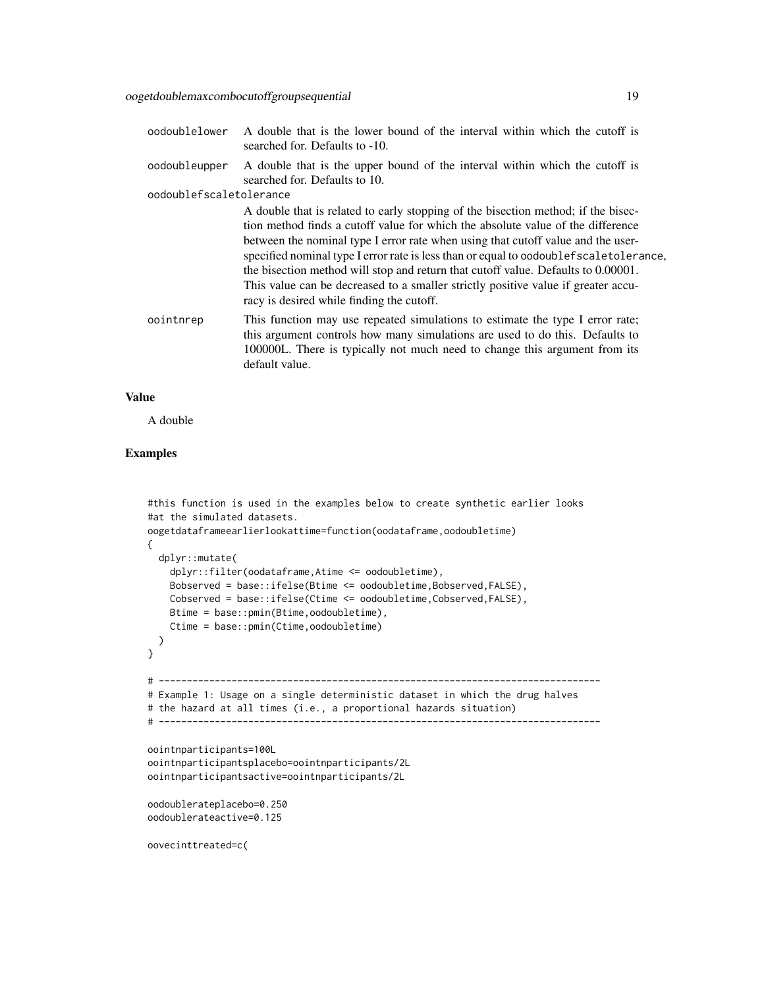| oodoublelower           | A double that is the lower bound of the interval within which the cutoff is<br>searched for. Defaults to -10. |  |  |
|-------------------------|---------------------------------------------------------------------------------------------------------------|--|--|
| oodoubleupper           | A double that is the upper bound of the interval within which the cutoff is<br>searched for. Defaults to 10.  |  |  |
| oodoublefscaletolerance |                                                                                                               |  |  |
|                         | A double that is related to early stopping of the bisection method; if the bisec-                             |  |  |
|                         | tion method finds a cutoff value for which the absolute value of the difference                               |  |  |
|                         | between the nominal type I error rate when using that cutoff value and the user-                              |  |  |
|                         | specified nominal type I error rate is less than or equal to oodoublef scale tolerance,                       |  |  |
|                         | the bisection method will stop and return that cutoff value. Defaults to 0.00001.                             |  |  |
|                         | This value can be decreased to a smaller strictly positive value if greater accu-                             |  |  |
|                         | racy is desired while finding the cutoff.                                                                     |  |  |

oointnrep This function may use repeated simulations to estimate the type I error rate; this argument controls how many simulations are used to do this. Defaults to 100000L. There is typically not much need to change this argument from its default value.

## Value

A double

## Examples

```
#this function is used in the examples below to create synthetic earlier looks
#at the simulated datasets.
oogetdataframeearlierlookattime=function(oodataframe,oodoubletime)
{
 dplyr::mutate(
    dplyr::filter(oodataframe,Atime <= oodoubletime),
   Bobserved = base::ifelse(Btime <= oodoubletime,Bobserved,FALSE),
   Cobserved = base::ifelse(Ctime <= oodoubletime,Cobserved,FALSE),
   Btime = base::pmin(Btime,oodoubletime),
    Ctime = base::pmin(Ctime,oodoubletime)
 )
}
# -------------------------------------------------------------------------------
# Example 1: Usage on a single deterministic dataset in which the drug halves
# the hazard at all times (i.e., a proportional hazards situation)
# -------------------------------------------------------------------------------
oointnparticipants=100L
oointnparticipantsplacebo=oointnparticipants/2L
oointnparticipantsactive=oointnparticipants/2L
oodoublerateplacebo=0.250
oodoublerateactive=0.125
oovecinttreated=c(
```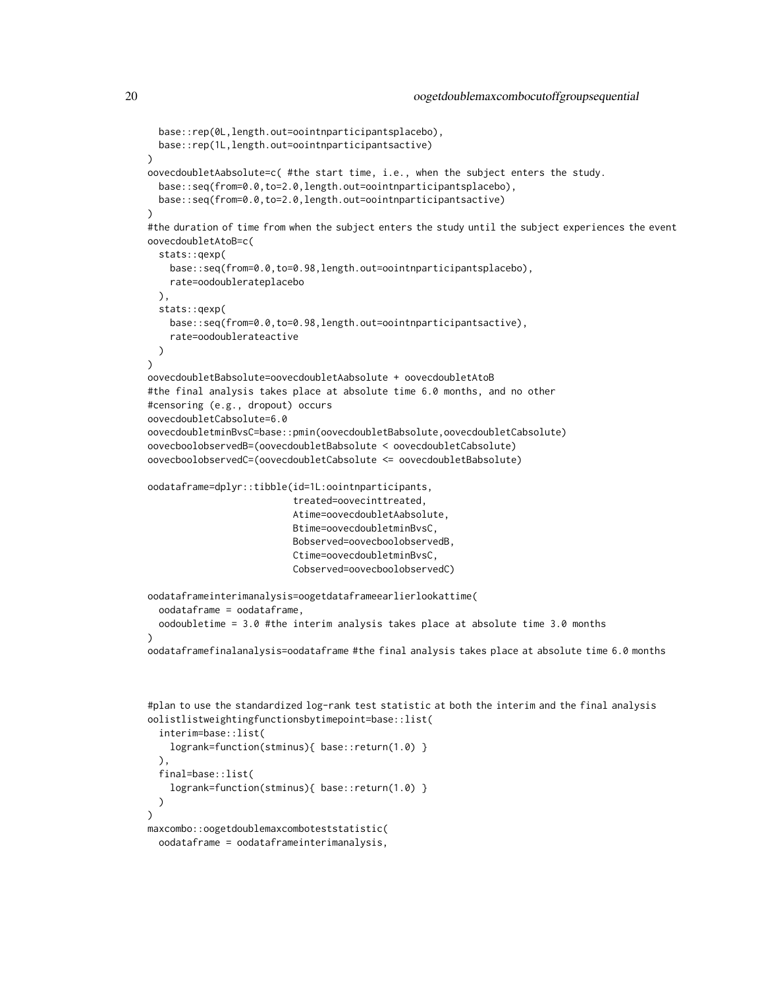```
base::rep(0L,length.out=oointnparticipantsplacebo),
 base::rep(1L,length.out=oointnparticipantsactive)
)
oovecdoubletAabsolute=c( #the start time, i.e., when the subject enters the study.
 base::seq(from=0.0,to=2.0,length.out=oointnparticipantsplacebo),
 base::seq(from=0.0,to=2.0,length.out=oointnparticipantsactive)
)
#the duration of time from when the subject enters the study until the subject experiences the event
oovecdoubletAtoB=c(
 stats::qexp(
    base::seq(from=0.0,to=0.98,length.out=oointnparticipantsplacebo),
   rate=oodoublerateplacebo
 ),
 stats::qexp(
    base::seq(from=0.0,to=0.98,length.out=oointnparticipantsactive),
    rate=oodoublerateactive
 )
)
oovecdoubletBabsolute=oovecdoubletAabsolute + oovecdoubletAtoB
#the final analysis takes place at absolute time 6.0 months, and no other
#censoring (e.g., dropout) occurs
oovecdoubletCabsolute=6.0
oovecdoubletminBvsC=base::pmin(oovecdoubletBabsolute,oovecdoubletCabsolute)
oovecboolobservedB=(oovecdoubletBabsolute < oovecdoubletCabsolute)
oovecboolobservedC=(oovecdoubletCabsolute <= oovecdoubletBabsolute)
oodataframe=dplyr::tibble(id=1L:oointnparticipants,
                          treated=oovecinttreated,
                          Atime=oovecdoubletAabsolute,
                          Btime=oovecdoubletminBvsC,
                          Bobserved=oovecboolobservedB,
                          Ctime=oovecdoubletminBvsC,
                          Cobserved=oovecboolobservedC)
oodataframeinterimanalysis=oogetdataframeearlierlookattime(
 oodataframe = oodataframe,
 oodoubletime = 3.0 #the interim analysis takes place at absolute time 3.0 months
\lambdaoodataframefinalanalysis=oodataframe #the final analysis takes place at absolute time 6.0 months
#plan to use the standardized log-rank test statistic at both the interim and the final analysis
oolistlistweightingfunctionsbytimepoint=base::list(
 interim=base::list(
```

```
logrank=function(stminus){ base::return(1.0) }
 ),
 final=base::list(
    logrank=function(stminus){ base::return(1.0) }
 \lambda\lambdamaxcombo::oogetdoublemaxcomboteststatistic(
```

```
oodataframe = oodataframeinterimanalysis,
```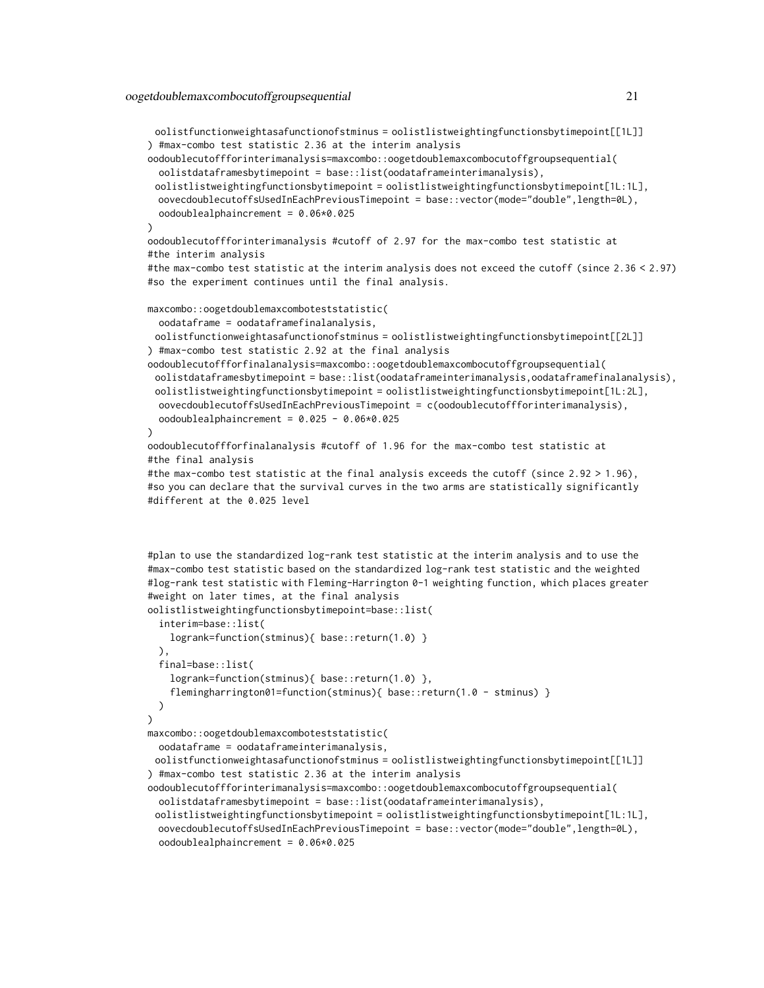oolistfunctionweightasafunctionofstminus = oolistlistweightingfunctionsbytimepoint[[1L]] ) #max-combo test statistic 2.36 at the interim analysis

oodoublecutoffforinterimanalysis=maxcombo::oogetdoublemaxcombocutoffgroupsequential( oolistdataframesbytimepoint = base::list(oodataframeinterimanalysis),

oolistlistweightingfunctionsbytimepoint = oolistlistweightingfunctionsbytimepoint[1L:1L], oovecdoublecutoffsUsedInEachPreviousTimepoint = base::vector(mode="double",length=0L), oodoublealphaincrement = 0.06\*0.025

)

```
oodoublecutoffforinterimanalysis #cutoff of 2.97 for the max-combo test statistic at
#the interim analysis
```
#the max-combo test statistic at the interim analysis does not exceed the cutoff (since 2.36 < 2.97) #so the experiment continues until the final analysis.

```
maxcombo::oogetdoublemaxcomboteststatistic(
```
oodataframe = oodataframefinalanalysis,

```
oolistfunctionweightasafunctionofstminus = oolistlistweightingfunctionsbytimepoint[[2L]]
) #max-combo test statistic 2.92 at the final analysis
```

```
oodoublecutoffforfinalanalysis=maxcombo::oogetdoublemaxcombocutoffgroupsequential(
 oolistdataframesbytimepoint = base::list(oodataframeinterimanalysis,oodataframefinalanalysis),
 oolistlistweightingfunctionsbytimepoint = oolistlistweightingfunctionsbytimepoint[1L:2L],
 oovecdoublecutoffsUsedInEachPreviousTimepoint = c(oodoublecutoffforinterimanalysis),
 oodoublealphaincrement = 0.025 - 0.06*0.025
```

```
)
```

```
oodoublecutoffforfinalanalysis #cutoff of 1.96 for the max-combo test statistic at
#the final analysis
```

```
#the max-combo test statistic at the final analysis exceeds the cutoff (since 2.92 > 1.96),
#so you can declare that the survival curves in the two arms are statistically significantly
#different at the 0.025 level
```

```
#plan to use the standardized log-rank test statistic at the interim analysis and to use the
#max-combo test statistic based on the standardized log-rank test statistic and the weighted
#log-rank test statistic with Fleming-Harrington 0-1 weighting function, which places greater
#weight on later times, at the final analysis
```

```
oolistlistweightingfunctionsbytimepoint=base::list(
  interim=base::list(
    logrank=function(stminus){ base::return(1.0) }
 ),
  final=base::list(
    logrank=function(stminus){ base::return(1.0) },
    flemingharrington01=function(stminus){ base::return(1.0 - stminus) }
 )
)
maxcombo::oogetdoublemaxcomboteststatistic(
 oodataframe = oodataframeinterimanalysis,
 oolistfunctionweightasafunctionofstminus = oolistlistweightingfunctionsbytimepoint[[1L]]
) #max-combo test statistic 2.36 at the interim analysis
oodoublecutoffforinterimanalysis=maxcombo::oogetdoublemaxcombocutoffgroupsequential(
```

```
oolistdataframesbytimepoint = base::list(oodataframeinterimanalysis),
```

```
oolistlistweightingfunctionsbytimepoint = oolistlistweightingfunctionsbytimepoint[1L:1L],
oovecdoublecutoffsUsedInEachPreviousTimepoint = base::vector(mode="double",length=0L),
oodoublealphaincrement = 0.06*0.025
```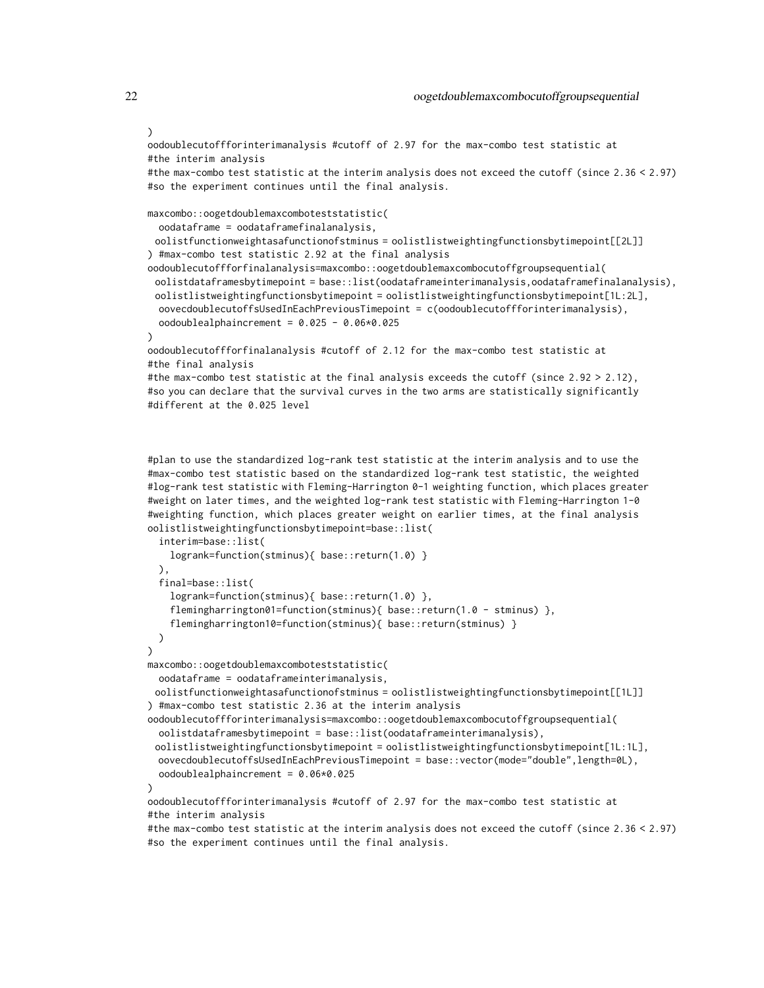```
oodoublecutoffforinterimanalysis #cutoff of 2.97 for the max-combo test statistic at
#the interim analysis
#the max-combo test statistic at the interim analysis does not exceed the cutoff (since 2.36 < 2.97)
#so the experiment continues until the final analysis.
maxcombo::oogetdoublemaxcomboteststatistic(
 oodataframe = oodataframefinalanalysis,
 oolistfunctionweightasafunctionofstminus = oolistlistweightingfunctionsbytimepoint[[2L]]
```
) #max-combo test statistic 2.92 at the final analysis

```
oodoublecutoffforfinalanalysis=maxcombo::oogetdoublemaxcombocutoffgroupsequential(
 oolistdataframesbytimepoint = base::list(oodataframeinterimanalysis,oodataframefinalanalysis),
 oolistlistweightingfunctionsbytimepoint = oolistlistweightingfunctionsbytimepoint[1L:2L],
 oovecdoublecutoffsUsedInEachPreviousTimepoint = c(oodoublecutoffforinterimanalysis),
 oodoublealphaincrement = 0.025 - 0.06*0.025
```
)

```
oodoublecutoffforfinalanalysis #cutoff of 2.12 for the max-combo test statistic at
#the final analysis
```

```
#the max-combo test statistic at the final analysis exceeds the cutoff (since 2.92 > 2.12),
#so you can declare that the survival curves in the two arms are statistically significantly
#different at the 0.025 level
```
#plan to use the standardized log-rank test statistic at the interim analysis and to use the #max-combo test statistic based on the standardized log-rank test statistic, the weighted #log-rank test statistic with Fleming-Harrington 0-1 weighting function, which places greater #weight on later times, and the weighted log-rank test statistic with Fleming-Harrington 1-0 #weighting function, which places greater weight on earlier times, at the final analysis oolistlistweightingfunctionsbytimepoint=base::list(

```
interim=base::list(
   logrank=function(stminus){ base::return(1.0) }
 ),
  final=base::list(
    logrank=function(stminus){ base::return(1.0) },
    flemingharrington01=function(stminus){ base::return(1.0 - stminus) },
    flemingharrington10=function(stminus){ base::return(stminus) }
 )
)
maxcombo::oogetdoublemaxcomboteststatistic(
 oodataframe = oodataframeinterimanalysis,
 oolistfunctionweightasafunctionofstminus = oolistlistweightingfunctionsbytimepoint[[1L]]
) #max-combo test statistic 2.36 at the interim analysis
oodoublecutoffforinterimanalysis=maxcombo::oogetdoublemaxcombocutoffgroupsequential(
 oolistdataframesbytimepoint = base::list(oodataframeinterimanalysis),
 oolistlistweightingfunctionsbytimepoint = oolistlistweightingfunctionsbytimepoint[1L:1L],
 oovecdoublecutoffsUsedInEachPreviousTimepoint = base::vector(mode="double",length=0L),
 oodoublealphaincrement = 0.06*0.025
\lambdaoodoublecutoffforinterimanalysis #cutoff of 2.97 for the max-combo test statistic at
#the interim analysis
```

```
#the max-combo test statistic at the interim analysis does not exceed the cutoff (since 2.36 < 2.97)
#so the experiment continues until the final analysis.
```
)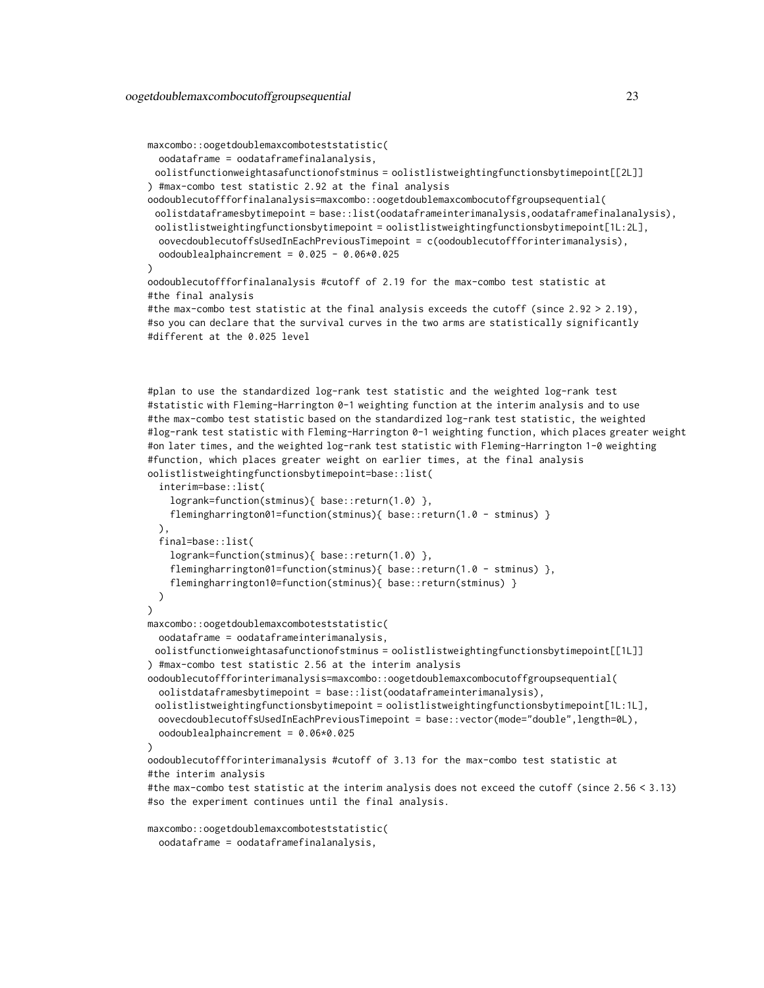```
maxcombo::oogetdoublemaxcomboteststatistic(
 oodataframe = oodataframefinalanalysis,
 oolistfunctionweightasafunctionofstminus = oolistlistweightingfunctionsbytimepoint[[2L]]
) #max-combo test statistic 2.92 at the final analysis
oodoublecutoffforfinalanalysis=maxcombo::oogetdoublemaxcombocutoffgroupsequential(
 oolistdataframesbytimepoint = base::list(oodataframeinterimanalysis,oodataframefinalanalysis),
 oolistlistweightingfunctionsbytimepoint = oolistlistweightingfunctionsbytimepoint[1L:2L],
 oovecdoublecutoffsUsedInEachPreviousTimepoint = c(oodoublecutoffforinterimanalysis),
 oodoublealphaincrement = 0.025 - 0.06*0.025
)
oodoublecutoffforfinalanalysis #cutoff of 2.19 for the max-combo test statistic at
#the final analysis
#the max-combo test statistic at the final analysis exceeds the cutoff (since 2.92 > 2.19),
#so you can declare that the survival curves in the two arms are statistically significantly
#different at the 0.025 level
#plan to use the standardized log-rank test statistic and the weighted log-rank test
```
#statistic with Fleming-Harrington 0-1 weighting function at the interim analysis and to use #the max-combo test statistic based on the standardized log-rank test statistic, the weighted #log-rank test statistic with Fleming-Harrington 0-1 weighting function, which places greater weight #on later times, and the weighted log-rank test statistic with Fleming-Harrington 1-0 weighting #function, which places greater weight on earlier times, at the final analysis oolistlistweightingfunctionsbytimepoint=base::list( interim=base::list(

```
logrank=function(stminus){ base::return(1.0) },
    flemingharrington01=function(stminus){    base::return(1.0 - stminus)    }
 ),
 final=base::list(
    logrank=function(stminus){ base::return(1.0) },
    flemingharrington01=function(stminus){ base::return(1.0 - stminus) },
    flemingharrington10=function(stminus){ base::return(stminus) }
 )
\lambdamaxcombo::oogetdoublemaxcomboteststatistic(
 oodataframe = oodataframeinterimanalysis,
 oolistfunctionweightasafunctionofstminus = oolistlistweightingfunctionsbytimepoint[[1L]]
) #max-combo test statistic 2.56 at the interim analysis
oodoublecutoffforinterimanalysis=maxcombo::oogetdoublemaxcombocutoffgroupsequential(
 oolistdataframesbytimepoint = base::list(oodataframeinterimanalysis),
 oolistlistweightingfunctionsbytimepoint = oolistlistweightingfunctionsbytimepoint[1L:1L],
 oovecdoublecutoffsUsedInEachPreviousTimepoint = base::vector(mode="double",length=0L),
 oodoublealphaincrement = 0.06*0.025
)
oodoublecutoffforinterimanalysis #cutoff of 3.13 for the max-combo test statistic at
#the interim analysis
#the max-combo test statistic at the interim analysis does not exceed the cutoff (since 2.56 < 3.13)
#so the experiment continues until the final analysis.
```

```
maxcombo::oogetdoublemaxcomboteststatistic(
 oodataframe = oodataframefinalanalysis,
```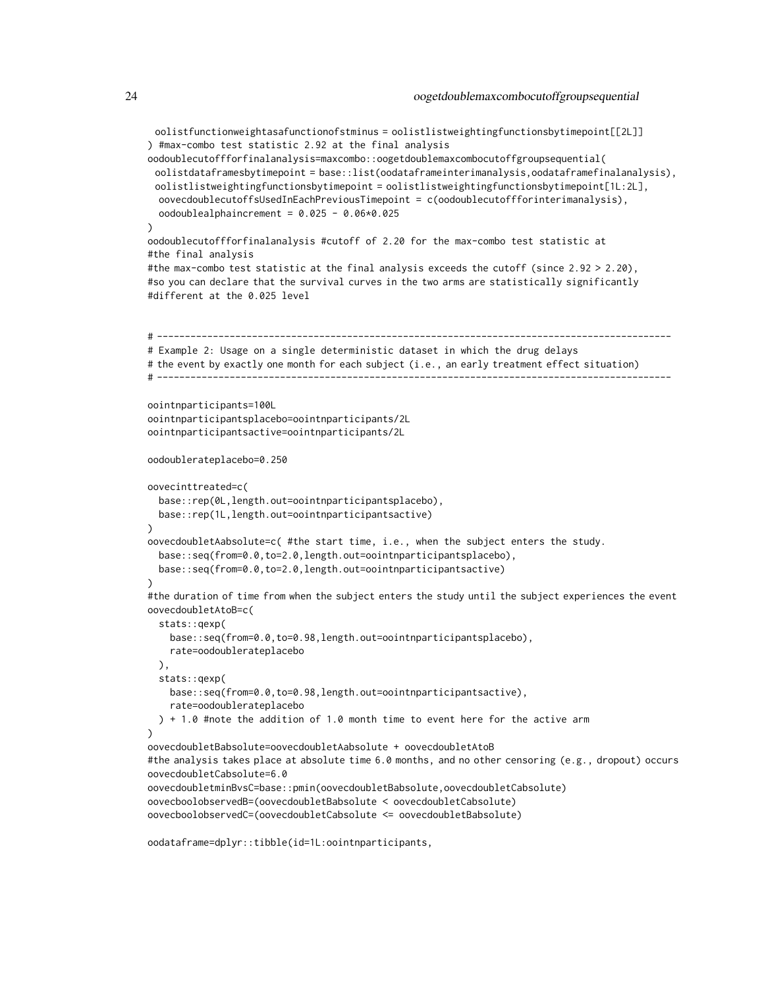```
oolistfunctionweightasafunctionofstminus = oolistlistweightingfunctionsbytimepoint[[2L]]
) #max-combo test statistic 2.92 at the final analysis
oodoublecutoffforfinalanalysis=maxcombo::oogetdoublemaxcombocutoffgroupsequential(
 oolistdataframesbytimepoint = base::list(oodataframeinterimanalysis,oodataframefinalanalysis),
 oolistlistweightingfunctionsbytimepoint = oolistlistweightingfunctionsbytimepoint[1L:2L],
 oovecdoublecutoffsUsedInEachPreviousTimepoint = c(oodoublecutoffforinterimanalysis),
 oodoublealphaincrement = 0.025 - 0.06*0.025
)
oodoublecutoffforfinalanalysis #cutoff of 2.20 for the max-combo test statistic at
#the final analysis
#the max-combo test statistic at the final analysis exceeds the cutoff (since 2.92 > 2.20),
#so you can declare that the survival curves in the two arms are statistically significantly
#different at the 0.025 level
# --------------------------------------------------------------------------------------------
# Example 2: Usage on a single deterministic dataset in which the drug delays
# the event by exactly one month for each subject (i.e., an early treatment effect situation)
# --------------------------------------------------------------------------------------------
oointnparticipants=100L
oointnparticipantsplacebo=oointnparticipants/2L
oointnparticipantsactive=oointnparticipants/2L
oodoublerateplacebo=0.250
oovecinttreated=c(
 base::rep(0L,length.out=oointnparticipantsplacebo),
 base::rep(1L,length.out=oointnparticipantsactive)
)
oovecdoubletAabsolute=c( #the start time, i.e., when the subject enters the study.
 base::seq(from=0.0,to=2.0,length.out=oointnparticipantsplacebo),
 base::seq(from=0.0,to=2.0,length.out=oointnparticipantsactive)
\lambda#the duration of time from when the subject enters the study until the subject experiences the event
oovecdoubletAtoB=c(
 stats::qexp(
    base::seq(from=0.0,to=0.98,length.out=oointnparticipantsplacebo),
    rate=oodoublerateplacebo
 \lambda.
 stats::qexp(
    base::seq(from=0.0,to=0.98,length.out=oointnparticipantsactive),
    rate=oodoublerateplacebo
 ) + 1.0 #note the addition of 1.0 month time to event here for the active arm
)
oovecdoubletBabsolute=oovecdoubletAabsolute + oovecdoubletAtoB
#the analysis takes place at absolute time 6.0 months, and no other censoring (e.g., dropout) occurs
oovecdoubletCabsolute=6.0
oovecdoubletminBvsC=base::pmin(oovecdoubletBabsolute,oovecdoubletCabsolute)
oovecboolobservedB=(oovecdoubletBabsolute < oovecdoubletCabsolute)
oovecboolobservedC=(oovecdoubletCabsolute <= oovecdoubletBabsolute)
```
oodataframe=dplyr::tibble(id=1L:oointnparticipants,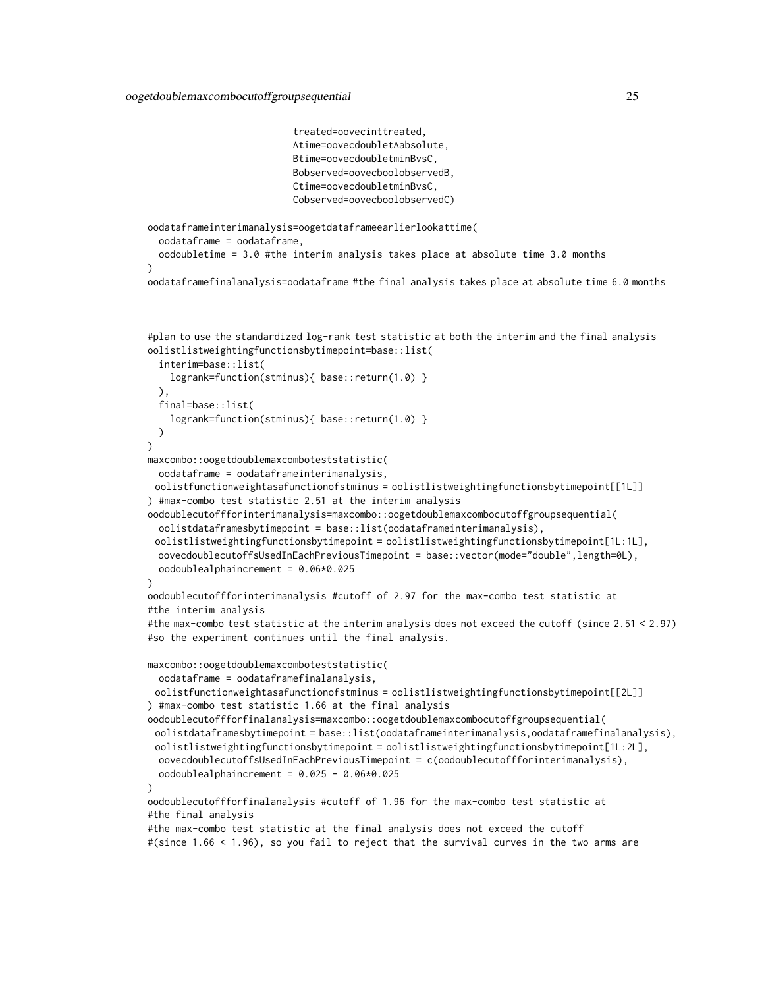```
treated=oovecinttreated,
                          Atime=oovecdoubletAabsolute,
                          Btime=oovecdoubletminBvsC,
                          Bobserved=oovecboolobservedB,
                          Ctime=oovecdoubletminBvsC,
                          Cobserved=oovecboolobservedC)
oodataframeinterimanalysis=oogetdataframeearlierlookattime(
 oodataframe = oodataframe,
 oodoubletime = 3.0 #the interim analysis takes place at absolute time 3.0 months
)
oodataframefinalanalysis=oodataframe #the final analysis takes place at absolute time 6.0 months
#plan to use the standardized log-rank test statistic at both the interim and the final analysis
oolistlistweightingfunctionsbytimepoint=base::list(
  interim=base::list(
    logrank=function(stminus){ base::return(1.0) }
 ),
 final=base::list(
    logrank=function(stminus){ base::return(1.0) }
 )
)
maxcombo::oogetdoublemaxcomboteststatistic(
 oodataframe = oodataframeinterimanalysis,
 oolistfunctionweightasafunctionofstminus = oolistlistweightingfunctionsbytimepoint[[1L]]
) #max-combo test statistic 2.51 at the interim analysis
oodoublecutoffforinterimanalysis=maxcombo::oogetdoublemaxcombocutoffgroupsequential(
 oolistdataframesbytimepoint = base::list(oodataframeinterimanalysis),
 oolistlistweightingfunctionsbytimepoint = oolistlistweightingfunctionsbytimepoint[1L:1L],
 oovecdoublecutoffsUsedInEachPreviousTimepoint = base::vector(mode="double",length=0L),
 oodoublealphaincrement = 0.06*0.025
)
oodoublecutoffforinterimanalysis #cutoff of 2.97 for the max-combo test statistic at
#the interim analysis
#the max-combo test statistic at the interim analysis does not exceed the cutoff (since 2.51 < 2.97)
#so the experiment continues until the final analysis.
maxcombo::oogetdoublemaxcomboteststatistic(
 oodataframe = oodataframefinalanalysis,
 oolistfunctionweightasafunctionofstminus = oolistlistweightingfunctionsbytimepoint[[2L]]
) #max-combo test statistic 1.66 at the final analysis
oodoublecutoffforfinalanalysis=maxcombo::oogetdoublemaxcombocutoffgroupsequential(
 oolistdataframesbytimepoint = base::list(oodataframeinterimanalysis,oodataframefinalanalysis),
 oolistlistweightingfunctionsbytimepoint = oolistlistweightingfunctionsbytimepoint[1L:2L],
 oovecdoublecutoffsUsedInEachPreviousTimepoint = c(oodoublecutoffforinterimanalysis),
 oodoublealphaincrement = 0.025 - 0.06*0.025
\lambdaoodoublecutoffforfinalanalysis #cutoff of 1.96 for the max-combo test statistic at
#the final analysis
```

```
#the max-combo test statistic at the final analysis does not exceed the cutoff
#(since 1.66 < 1.96), so you fail to reject that the survival curves in the two arms are
```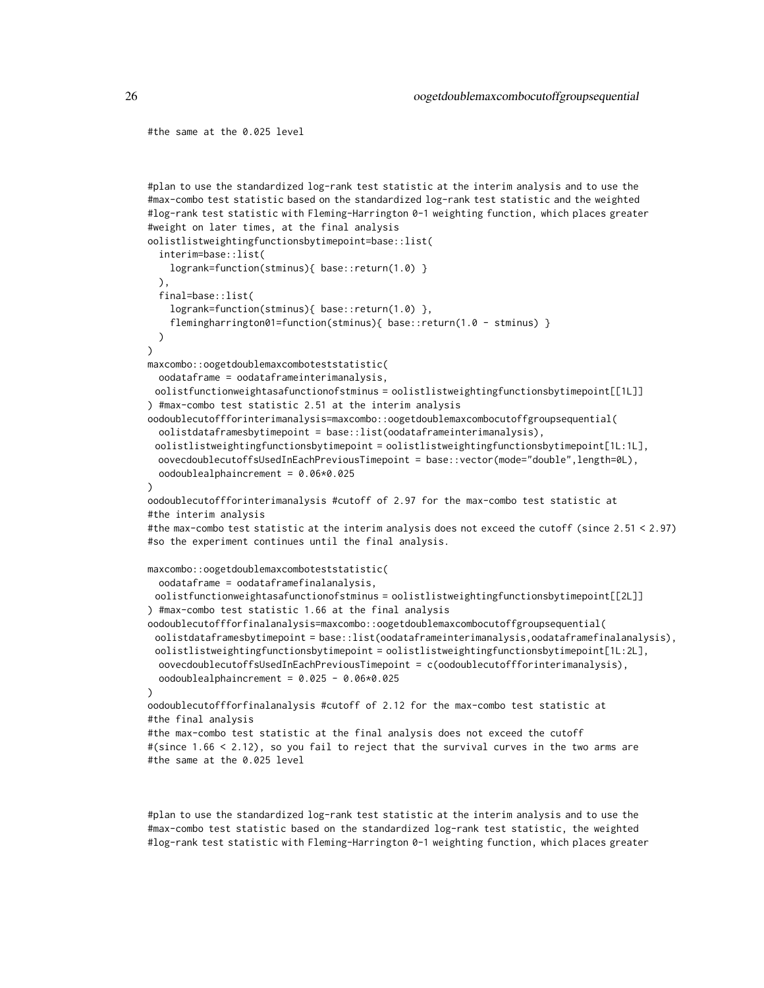#the same at the 0.025 level

```
#plan to use the standardized log-rank test statistic at the interim analysis and to use the
#max-combo test statistic based on the standardized log-rank test statistic and the weighted
#log-rank test statistic with Fleming-Harrington 0-1 weighting function, which places greater
#weight on later times, at the final analysis
oolistlistweightingfunctionsbytimepoint=base::list(
  interim=base::list(
    logrank=function(stminus){ base::return(1.0) }
 ),
  final=base::list(
    logrank=function(stminus){ base::return(1.0) },
    flemingharrington01=function(stminus){ base::return(1.0 - stminus) }
 )
)
maxcombo::oogetdoublemaxcomboteststatistic(
 oodataframe = oodataframeinterimanalysis,
 oolistfunctionweightasafunctionofstminus = oolistlistweightingfunctionsbytimepoint[[1L]]
) #max-combo test statistic 2.51 at the interim analysis
oodoublecutoffforinterimanalysis=maxcombo::oogetdoublemaxcombocutoffgroupsequential(
 oolistdataframesbytimepoint = base::list(oodataframeinterimanalysis),
 oolistlistweightingfunctionsbytimepoint = oolistlistweightingfunctionsbytimepoint[1L:1L],
 oovecdoublecutoffsUsedInEachPreviousTimepoint = base::vector(mode="double",length=0L),
 oodoublealphaincrement = 0.06*0.025
\lambdaoodoublecutoffforinterimanalysis #cutoff of 2.97 for the max-combo test statistic at
#the interim analysis
#the max-combo test statistic at the interim analysis does not exceed the cutoff (since 2.51 < 2.97)
#so the experiment continues until the final analysis.
maxcombo::oogetdoublemaxcomboteststatistic(
 oodataframe = oodataframefinalanalysis,
 oolistfunctionweightasafunctionofstminus = oolistlistweightingfunctionsbytimepoint[[2L]]
) #max-combo test statistic 1.66 at the final analysis
oodoublecutoffforfinalanalysis=maxcombo::oogetdoublemaxcombocutoffgroupsequential(
 oolistdataframesbytimepoint = base::list(oodataframeinterimanalysis,oodataframefinalanalysis),
 oolistlistweightingfunctionsbytimepoint = oolistlistweightingfunctionsbytimepoint[1L:2L],
 oovecdoublecutoffsUsedInEachPreviousTimepoint = c(oodoublecutoffforinterimanalysis),
 oodoublealphaincrement = 0.025 - 0.06*0.025)
oodoublecutoffforfinalanalysis #cutoff of 2.12 for the max-combo test statistic at
#the final analysis
#the max-combo test statistic at the final analysis does not exceed the cutoff
#(since 1.66 < 2.12), so you fail to reject that the survival curves in the two arms are
#the same at the 0.025 level
```
#plan to use the standardized log-rank test statistic at the interim analysis and to use the #max-combo test statistic based on the standardized log-rank test statistic, the weighted #log-rank test statistic with Fleming-Harrington 0-1 weighting function, which places greater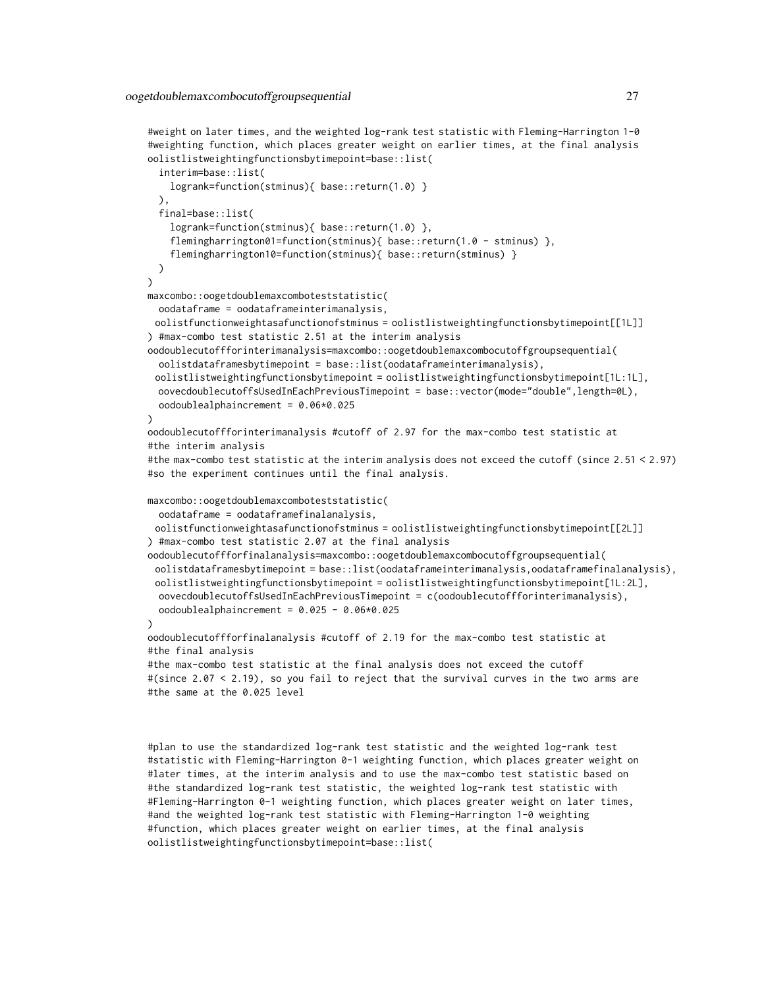```
#weight on later times, and the weighted log-rank test statistic with Fleming-Harrington 1-0
#weighting function, which places greater weight on earlier times, at the final analysis
oolistlistweightingfunctionsbytimepoint=base::list(
 interim=base::list(
   logrank=function(stminus){ base::return(1.0) }
 ),
 final=base::list(
    logrank=function(stminus){ base::return(1.0) },
    flemingharrington01=function(stminus){ base::return(1.0 - stminus) },
    flemingharrington10=function(stminus){ base::return(stminus) }
 )
\mathcal{L}maxcombo::oogetdoublemaxcomboteststatistic(
 oodataframe = oodataframeinterimanalysis,
 oolistfunctionweightasafunctionofstminus = oolistlistweightingfunctionsbytimepoint[[1L]]
) #max-combo test statistic 2.51 at the interim analysis
oodoublecutoffforinterimanalysis=maxcombo::oogetdoublemaxcombocutoffgroupsequential(
 oolistdataframesbytimepoint = base::list(oodataframeinterimanalysis),
 oolistlistweightingfunctionsbytimepoint = oolistlistweightingfunctionsbytimepoint[1L:1L],
 oovecdoublecutoffsUsedInEachPreviousTimepoint = base::vector(mode="double",length=0L),
 oodoublealphaincrement = 0.06*0.025
)
oodoublecutoffforinterimanalysis #cutoff of 2.97 for the max-combo test statistic at
#the interim analysis
#the max-combo test statistic at the interim analysis does not exceed the cutoff (since 2.51 < 2.97)
#so the experiment continues until the final analysis.
maxcombo::oogetdoublemaxcomboteststatistic(
 oodataframe = oodataframefinalanalysis,
 oolistfunctionweightasafunctionofstminus = oolistlistweightingfunctionsbytimepoint[[2L]]
) #max-combo test statistic 2.07 at the final analysis
oodoublecutoffforfinalanalysis=maxcombo::oogetdoublemaxcombocutoffgroupsequential(
 oolistdataframesbytimepoint = base::list(oodataframeinterimanalysis,oodataframefinalanalysis),
 oolistlistweightingfunctionsbytimepoint = oolistlistweightingfunctionsbytimepoint[1L:2L],
 oovecdoublecutoffsUsedInEachPreviousTimepoint = c(oodoublecutoffforinterimanalysis),
 oodoublealphaincrement = 0.025 - 0.06*0.025
\lambdaoodoublecutoffforfinalanalysis #cutoff of 2.19 for the max-combo test statistic at
#the final analysis
#the max-combo test statistic at the final analysis does not exceed the cutoff
#(since 2.07 < 2.19), so you fail to reject that the survival curves in the two arms are
#the same at the 0.025 level
```
#plan to use the standardized log-rank test statistic and the weighted log-rank test #statistic with Fleming-Harrington 0-1 weighting function, which places greater weight on #later times, at the interim analysis and to use the max-combo test statistic based on #the standardized log-rank test statistic, the weighted log-rank test statistic with #Fleming-Harrington 0-1 weighting function, which places greater weight on later times, #and the weighted log-rank test statistic with Fleming-Harrington 1-0 weighting #function, which places greater weight on earlier times, at the final analysis oolistlistweightingfunctionsbytimepoint=base::list(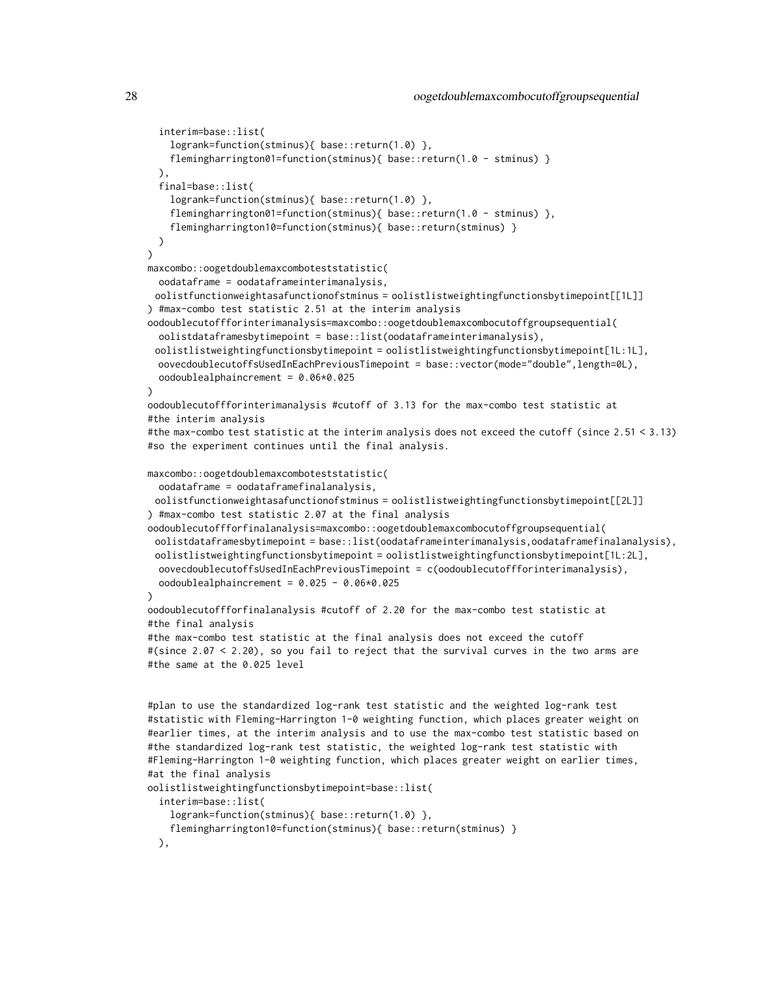```
interim=base::list(
    logrank=function(stminus){ base::return(1.0) },
    flemingharrington01=function(stminus){ base::return(1.0 - stminus) }
 ),
 final=base::list(
    logrank=function(stminus){ base::return(1.0) },
    flemingharrington01=function(stminus){ base::return(1.0 - stminus) },
    flemingharrington10=function(stminus){ base::return(stminus) }
 )
\lambdamaxcombo::oogetdoublemaxcomboteststatistic(
 oodataframe = oodataframeinterimanalysis,
 oolistfunctionweightasafunctionofstminus = oolistlistweightingfunctionsbytimepoint[[1L]]
) #max-combo test statistic 2.51 at the interim analysis
oodoublecutoffforinterimanalysis=maxcombo::oogetdoublemaxcombocutoffgroupsequential(
  oolistdataframesbytimepoint = base::list(oodataframeinterimanalysis),
 oolistlistweightingfunctionsbytimepoint = oolistlistweightingfunctionsbytimepoint[1L:1L],
 oovecdoublecutoffsUsedInEachPreviousTimepoint = base::vector(mode="double",length=0L),
 oodoublealphaincrement = 0.06*0.025
)
oodoublecutoffforinterimanalysis #cutoff of 3.13 for the max-combo test statistic at
#the interim analysis
#the max-combo test statistic at the interim analysis does not exceed the cutoff (since 2.51 < 3.13)
#so the experiment continues until the final analysis.
maxcombo::oogetdoublemaxcomboteststatistic(
  oodataframe = oodataframefinalanalysis,
 oolistfunctionweightasafunctionofstminus = oolistlistweightingfunctionsbytimepoint[[2L]]
) #max-combo test statistic 2.07 at the final analysis
oodoublecutoffforfinalanalysis=maxcombo::oogetdoublemaxcombocutoffgroupsequential(
 oolistdataframesbytimepoint = base::list(oodataframeinterimanalysis,oodataframefinalanalysis),
 oolistlistweightingfunctionsbytimepoint = oolistlistweightingfunctionsbytimepoint[1L:2L],
 oovecdoublecutoffsUsedInEachPreviousTimepoint = c(oodoublecutoffforinterimanalysis),
 oodoublealphaincrement = 0.025 - 0.06*0.025
\lambdaoodoublecutoffforfinalanalysis #cutoff of 2.20 for the max-combo test statistic at
#the final analysis
#the max-combo test statistic at the final analysis does not exceed the cutoff
#(since 2.07 < 2.20), so you fail to reject that the survival curves in the two arms are
#the same at the 0.025 level
#plan to use the standardized log-rank test statistic and the weighted log-rank test
#statistic with Fleming-Harrington 1-0 weighting function, which places greater weight on
#earlier times, at the interim analysis and to use the max-combo test statistic based on
#the standardized log-rank test statistic, the weighted log-rank test statistic with
#Fleming-Harrington 1-0 weighting function, which places greater weight on earlier times,
#at the final analysis
oolistlistweightingfunctionsbytimepoint=base::list(
 interim=base::list(
```

```
logrank=function(stminus){ base::return(1.0) },
```
flemingharrington10=function(stminus){ base::return(stminus) }

),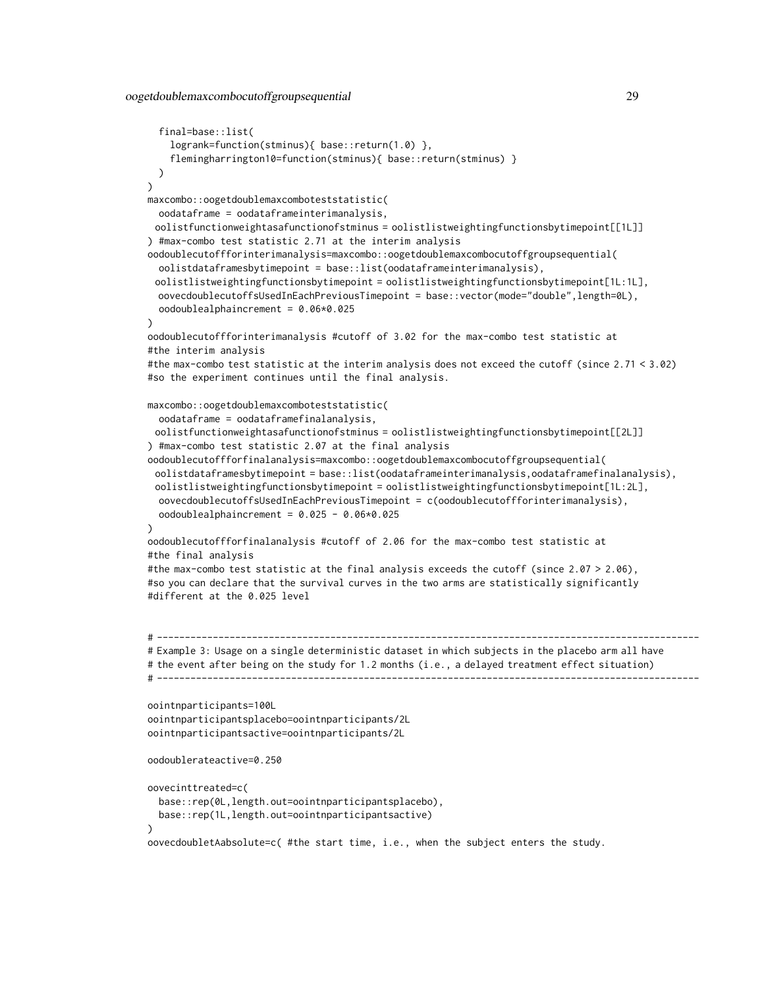```
final=base::list(
    logrank=function(stminus){ base::return(1.0) },
    flemingharrington10=function(stminus){ base::return(stminus) }
 )
)
maxcombo::oogetdoublemaxcomboteststatistic(
 oodataframe = oodataframeinterimanalysis,
 oolistfunctionweightasafunctionofstminus = oolistlistweightingfunctionsbytimepoint[[1L]]
) #max-combo test statistic 2.71 at the interim analysis
oodoublecutoffforinterimanalysis=maxcombo::oogetdoublemaxcombocutoffgroupsequential(
 oolistdataframesbytimepoint = base::list(oodataframeinterimanalysis),
 oolistlistweightingfunctionsbytimepoint = oolistlistweightingfunctionsbytimepoint[1L:1L],
 oovecdoublecutoffsUsedInEachPreviousTimepoint = base::vector(mode="double",length=0L),
 oodoublealphaincrement = 0.06*0.025
)
oodoublecutoffforinterimanalysis #cutoff of 3.02 for the max-combo test statistic at
#the interim analysis
#the max-combo test statistic at the interim analysis does not exceed the cutoff (since 2.71 < 3.02)
#so the experiment continues until the final analysis.
maxcombo::oogetdoublemaxcomboteststatistic(
 oodataframe = oodataframefinalanalysis,
 oolistfunctionweightasafunctionofstminus = oolistlistweightingfunctionsbytimepoint[[2L]]
) #max-combo test statistic 2.07 at the final analysis
oodoublecutoffforfinalanalysis=maxcombo::oogetdoublemaxcombocutoffgroupsequential(
 oolistdataframesbytimepoint = base::list(oodataframeinterimanalysis,oodataframefinalanalysis),
 oolistlistweightingfunctionsbytimepoint = oolistlistweightingfunctionsbytimepoint[1L:2L],
 oovecdoublecutoffsUsedInEachPreviousTimepoint = c(oodoublecutoffforinterimanalysis),
 oodoublealphaincrement = 0.025 - 0.06*0.025
)
oodoublecutoffforfinalanalysis #cutoff of 2.06 for the max-combo test statistic at
#the final analysis
#the max-combo test statistic at the final analysis exceeds the cutoff (since 2.07 > 2.06),
#so you can declare that the survival curves in the two arms are statistically significantly
#different at the 0.025 level
# -------------------------------------------------------------------------------------------------
# Example 3: Usage on a single deterministic dataset in which subjects in the placebo arm all have
# the event after being on the study for 1.2 months (i.e., a delayed treatment effect situation)
# -------------------------------------------------------------------------------------------------
oointnparticipants=100L
oointnparticipantsplacebo=oointnparticipants/2L
oointnparticipantsactive=oointnparticipants/2L
oodoublerateactive=0.250
oovecinttreated=c(
 base::rep(0L,length.out=oointnparticipantsplacebo),
 base::rep(1L,length.out=oointnparticipantsactive)
)
```
oovecdoubletAabsolute=c( #the start time, i.e., when the subject enters the study.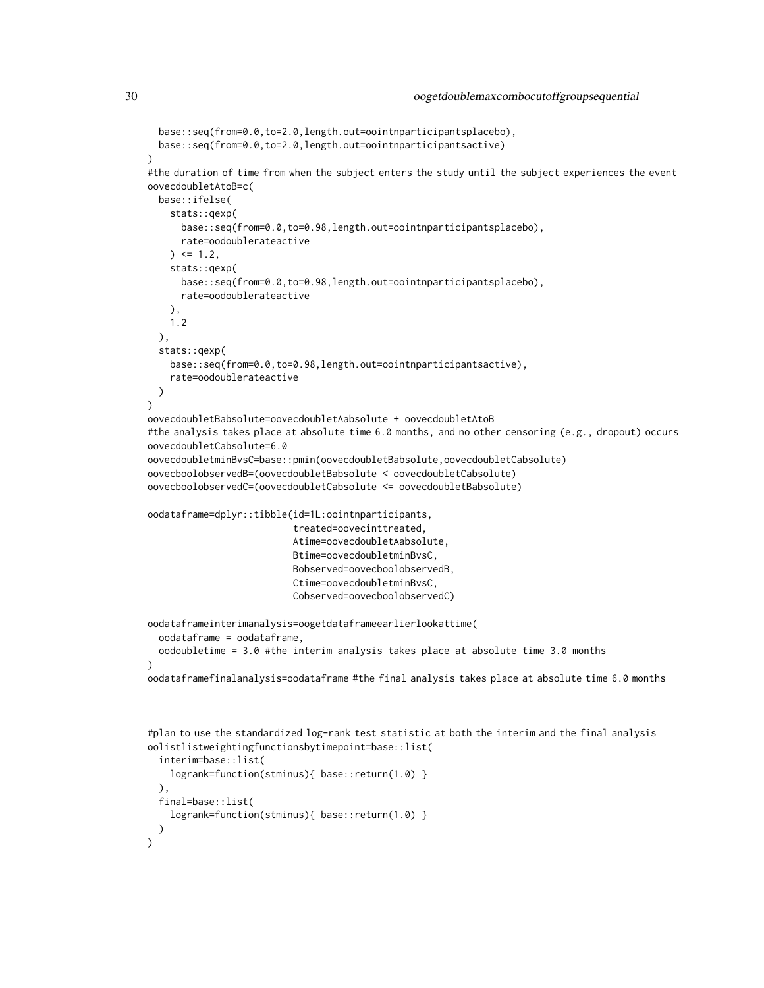```
base::seq(from=0.0,to=2.0,length.out=oointnparticipantsplacebo),
 base::seq(from=0.0,to=2.0,length.out=oointnparticipantsactive)
)
#the duration of time from when the subject enters the study until the subject experiences the event
oovecdoubletAtoB=c(
 base::ifelse(
   stats::qexp(
      base::seq(from=0.0,to=0.98,length.out=oointnparticipantsplacebo),
      rate=oodoublerateactive
   ) \le 1.2stats::qexp(
      base::seq(from=0.0,to=0.98,length.out=oointnparticipantsplacebo),
      rate=oodoublerateactive
   ),
   1.2
 ),
 stats::qexp(
   base::seq(from=0.0,to=0.98,length.out=oointnparticipantsactive),
    rate=oodoublerateactive
 )
)
oovecdoubletBabsolute=oovecdoubletAabsolute + oovecdoubletAtoB
#the analysis takes place at absolute time 6.0 months, and no other censoring (e.g., dropout) occurs
oovecdoubletCabsolute=6.0
oovecdoubletminBvsC=base::pmin(oovecdoubletBabsolute,oovecdoubletCabsolute)
oovecboolobservedB=(oovecdoubletBabsolute < oovecdoubletCabsolute)
oovecboolobservedC=(oovecdoubletCabsolute <= oovecdoubletBabsolute)
oodataframe=dplyr::tibble(id=1L:oointnparticipants,
                          treated=oovecinttreated,
                          Atime=oovecdoubletAabsolute,
                          Btime=oovecdoubletminBvsC,
                          Bobserved=oovecboolobservedB,
                          Ctime=oovecdoubletminBvsC,
                          Cobserved=oovecboolobservedC)
oodataframeinterimanalysis=oogetdataframeearlierlookattime(
 oodataframe = oodataframe,
 oodoubletime = 3.0 #the interim analysis takes place at absolute time 3.0 months
\lambdaoodataframefinalanalysis=oodataframe #the final analysis takes place at absolute time 6.0 months
```

```
#plan to use the standardized log-rank test statistic at both the interim and the final analysis
oolistlistweightingfunctionsbytimepoint=base::list(
  interim=base::list(
   logrank=function(stminus){ base::return(1.0) }
 ),
 final=base::list(
    logrank=function(stminus){ base::return(1.0) }
 )
)
```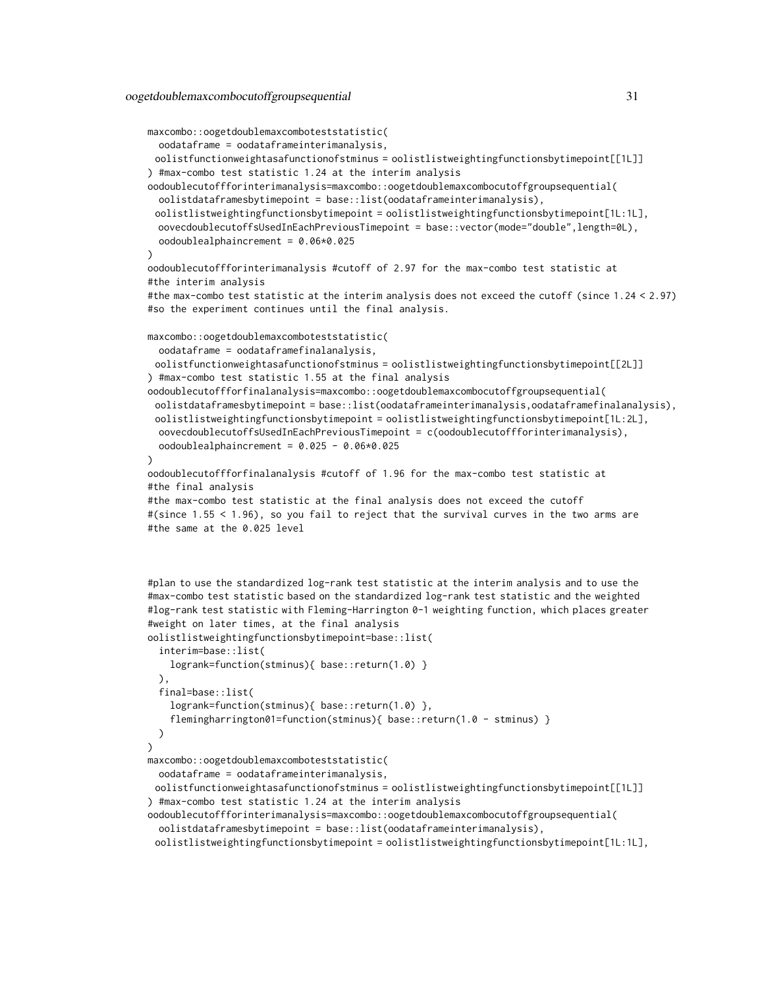```
maxcombo::oogetdoublemaxcomboteststatistic(
 oodataframe = oodataframeinterimanalysis,
 oolistfunctionweightasafunctionofstminus = oolistlistweightingfunctionsbytimepoint[[1L]]
) #max-combo test statistic 1.24 at the interim analysis
oodoublecutoffforinterimanalysis=maxcombo::oogetdoublemaxcombocutoffgroupsequential(
 oolistdataframesbytimepoint = base::list(oodataframeinterimanalysis),
 oolistlistweightingfunctionsbytimepoint = oolistlistweightingfunctionsbytimepoint[1L:1L],
 oovecdoublecutoffsUsedInEachPreviousTimepoint = base::vector(mode="double",length=0L),
 oodoublealphaincrement = 0.06*0.025
\lambdaoodoublecutoffforinterimanalysis #cutoff of 2.97 for the max-combo test statistic at
#the interim analysis
#the max-combo test statistic at the interim analysis does not exceed the cutoff (since 1.24 < 2.97)
#so the experiment continues until the final analysis.
maxcombo::oogetdoublemaxcomboteststatistic(
 oodataframe = oodataframefinalanalysis,
 oolistfunctionweightasafunctionofstminus = oolistlistweightingfunctionsbytimepoint[[2L]]
) #max-combo test statistic 1.55 at the final analysis
oodoublecutoffforfinalanalysis=maxcombo::oogetdoublemaxcombocutoffgroupsequential(
 oolistdataframesbytimepoint = base::list(oodataframeinterimanalysis,oodataframefinalanalysis),
 oolistlistweightingfunctionsbytimepoint = oolistlistweightingfunctionsbytimepoint[1L:2L],
 oovecdoublecutoffsUsedInEachPreviousTimepoint = c(oodoublecutoffforinterimanalysis),
 oodoublealphaincrement = 0.025 - 0.06*0.025
)
oodoublecutoffforfinalanalysis #cutoff of 1.96 for the max-combo test statistic at
#the final analysis
#the max-combo test statistic at the final analysis does not exceed the cutoff
#(since 1.55 < 1.96), so you fail to reject that the survival curves in the two arms are
#the same at the 0.025 level
#plan to use the standardized log-rank test statistic at the interim analysis and to use the
#max-combo test statistic based on the standardized log-rank test statistic and the weighted
#log-rank test statistic with Fleming-Harrington 0-1 weighting function, which places greater
#weight on later times, at the final analysis
oolistlistweightingfunctionsbytimepoint=base::list(
  interim=base::list(
    logrank=function(stminus){ base::return(1.0) }
 ),
 final=base::list(
    logrank=function(stminus){ base::return(1.0) },
    flemingharrington01=function(stminus){ base::return(1.0 - stminus) }
 \lambda)
maxcombo::oogetdoublemaxcomboteststatistic(
 oodataframe = oodataframeinterimanalysis,
 oolistfunctionweightasafunctionofstminus = oolistlistweightingfunctionsbytimepoint[[1L]]
```
) #max-combo test statistic 1.24 at the interim analysis

oodoublecutoffforinterimanalysis=maxcombo::oogetdoublemaxcombocutoffgroupsequential( oolistdataframesbytimepoint = base::list(oodataframeinterimanalysis),

oolistlistweightingfunctionsbytimepoint = oolistlistweightingfunctionsbytimepoint[1L:1L],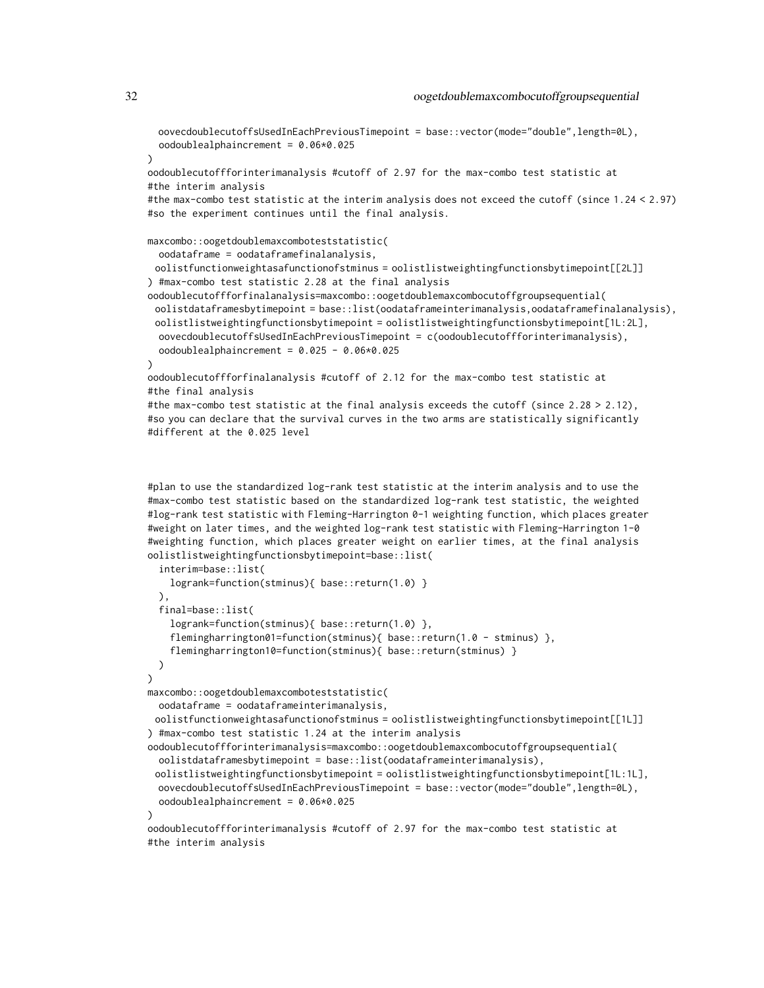oovecdoublecutoffsUsedInEachPreviousTimepoint = base::vector(mode="double",length=0L), oodoublealphaincrement = 0.06\*0.025

)

oodoublecutoffforinterimanalysis #cutoff of 2.97 for the max-combo test statistic at #the interim analysis

#the max-combo test statistic at the interim analysis does not exceed the cutoff (since 1.24 < 2.97) #so the experiment continues until the final analysis.

```
maxcombo::oogetdoublemaxcomboteststatistic(
```
oodataframe = oodataframefinalanalysis,

oolistfunctionweightasafunctionofstminus = oolistlistweightingfunctionsbytimepoint[[2L]] ) #max-combo test statistic 2.28 at the final analysis

```
oodoublecutoffforfinalanalysis=maxcombo::oogetdoublemaxcombocutoffgroupsequential(
 oolistdataframesbytimepoint = base::list(oodataframeinterimanalysis,oodataframefinalanalysis),
 oolistlistweightingfunctionsbytimepoint = oolistlistweightingfunctionsbytimepoint[1L:2L],
 oovecdoublecutoffsUsedInEachPreviousTimepoint = c(oodoublecutoffforinterimanalysis),
 oodoublealphaincrement = 0.025 - 0.06*0.025
```
#### )

oodoublecutoffforfinalanalysis #cutoff of 2.12 for the max-combo test statistic at #the final analysis

#the max-combo test statistic at the final analysis exceeds the cutoff (since  $2.28 > 2.12$ ), #so you can declare that the survival curves in the two arms are statistically significantly #different at the 0.025 level

#plan to use the standardized log-rank test statistic at the interim analysis and to use the #max-combo test statistic based on the standardized log-rank test statistic, the weighted #log-rank test statistic with Fleming-Harrington 0-1 weighting function, which places greater #weight on later times, and the weighted log-rank test statistic with Fleming-Harrington 1-0 #weighting function, which places greater weight on earlier times, at the final analysis oolistlistweightingfunctionsbytimepoint=base::list(

```
interim=base::list(
   logrank=function(stminus){ base::return(1.0) }
 ),
 final=base::list(
    logrank=function(stminus){ base::return(1.0) },
    flemingharrington01=function(stminus){ base::return(1.0 - stminus) },
    flemingharrington10=function(stminus){ base::return(stminus) }
 \lambda)
maxcombo::oogetdoublemaxcomboteststatistic(
 oodataframe = oodataframeinterimanalysis,
 oolistfunctionweightasafunctionofstminus = oolistlistweightingfunctionsbytimepoint[[1L]]
) #max-combo test statistic 1.24 at the interim analysis
oodoublecutoffforinterimanalysis=maxcombo::oogetdoublemaxcombocutoffgroupsequential(
 oolistdataframesbytimepoint = base::list(oodataframeinterimanalysis),
 oolistlistweightingfunctionsbytimepoint = oolistlistweightingfunctionsbytimepoint[1L:1L],
 oovecdoublecutoffsUsedInEachPreviousTimepoint = base::vector(mode="double",length=0L),
 oodoublealphaincrement = 0.06*0.025
)
```
oodoublecutoffforinterimanalysis #cutoff of 2.97 for the max-combo test statistic at #the interim analysis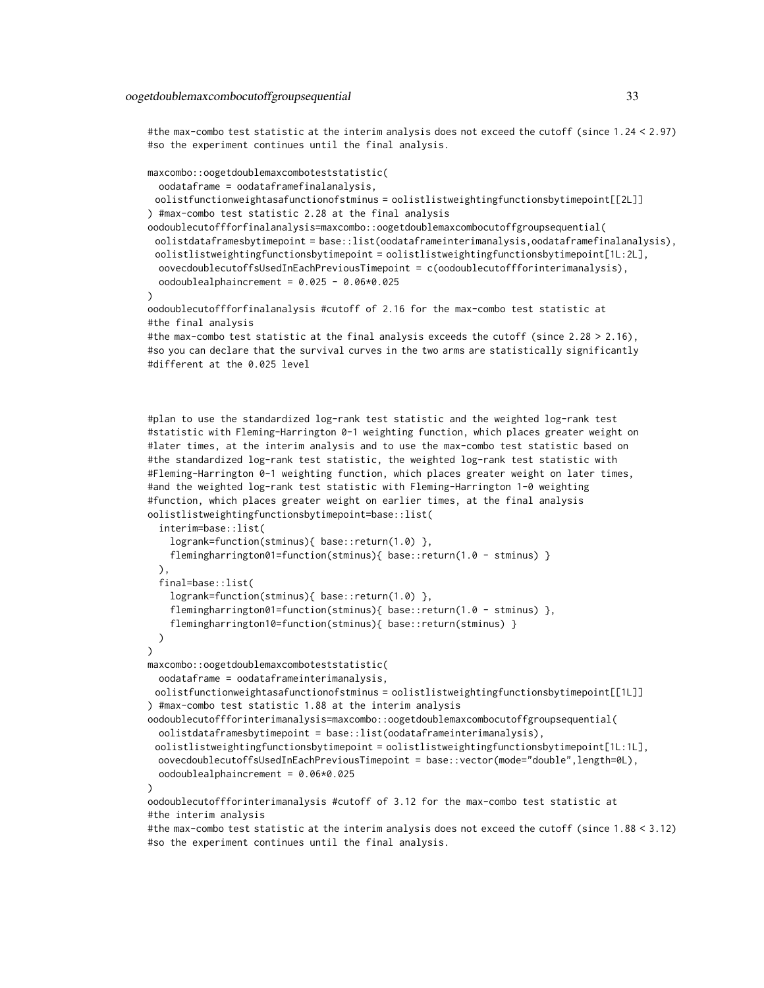#the max-combo test statistic at the interim analysis does not exceed the cutoff (since 1.24 < 2.97) #so the experiment continues until the final analysis.

```
maxcombo::oogetdoublemaxcomboteststatistic(
```
oodataframe = oodataframefinalanalysis,

oolistfunctionweightasafunctionofstminus = oolistlistweightingfunctionsbytimepoint[[2L]] ) #max-combo test statistic 2.28 at the final analysis

oodoublecutoffforfinalanalysis=maxcombo::oogetdoublemaxcombocutoffgroupsequential( oolistdataframesbytimepoint = base::list(oodataframeinterimanalysis,oodataframefinalanalysis), oolistlistweightingfunctionsbytimepoint = oolistlistweightingfunctionsbytimepoint[1L:2L], oovecdoublecutoffsUsedInEachPreviousTimepoint = c(oodoublecutoffforinterimanalysis), oodoublealphaincrement = 0.025 - 0.06\*0.025

```
)
```
oodoublecutoffforfinalanalysis #cutoff of 2.16 for the max-combo test statistic at #the final analysis

```
#the max-combo test statistic at the final analysis exceeds the cutoff (since 2.28 > 2.16),
#so you can declare that the survival curves in the two arms are statistically significantly
#different at the 0.025 level
```
#plan to use the standardized log-rank test statistic and the weighted log-rank test #statistic with Fleming-Harrington 0-1 weighting function, which places greater weight on #later times, at the interim analysis and to use the max-combo test statistic based on #the standardized log-rank test statistic, the weighted log-rank test statistic with #Fleming-Harrington 0-1 weighting function, which places greater weight on later times, #and the weighted log-rank test statistic with Fleming-Harrington 1-0 weighting #function, which places greater weight on earlier times, at the final analysis oolistlistweightingfunctionsbytimepoint=base::list(

```
interim=base::list(
    logrank=function(stminus){ base::return(1.0) },
    flemingharrington01=function(stminus){    base::return(1.0 - stminus)    }
 ),
  final=base::list(
    logrank=function(stminus){ base::return(1.0) },
    flemingharrington01=function(stminus){    base::return(1.0 - stminus)    },
    flemingharrington10=function(stminus){ base::return(stminus) }
 )
)
maxcombo::oogetdoublemaxcomboteststatistic(
 oodataframe = oodataframeinterimanalysis,
 oolistfunctionweightasafunctionofstminus = oolistlistweightingfunctionsbytimepoint[[1L]]
) #max-combo test statistic 1.88 at the interim analysis
oodoublecutoffforinterimanalysis=maxcombo::oogetdoublemaxcombocutoffgroupsequential(
 oolistdataframesbytimepoint = base::list(oodataframeinterimanalysis),
 oolistlistweightingfunctionsbytimepoint = oolistlistweightingfunctionsbytimepoint[1L:1L],
 oovecdoublecutoffsUsedInEachPreviousTimepoint = base::vector(mode="double",length=0L),
 oodoublealphaincrement = 0.06*0.025
\lambdaoodoublecutoffforinterimanalysis #cutoff of 3.12 for the max-combo test statistic at
```

```
#the interim analysis
```
#the max-combo test statistic at the interim analysis does not exceed the cutoff (since 1.88 < 3.12) #so the experiment continues until the final analysis.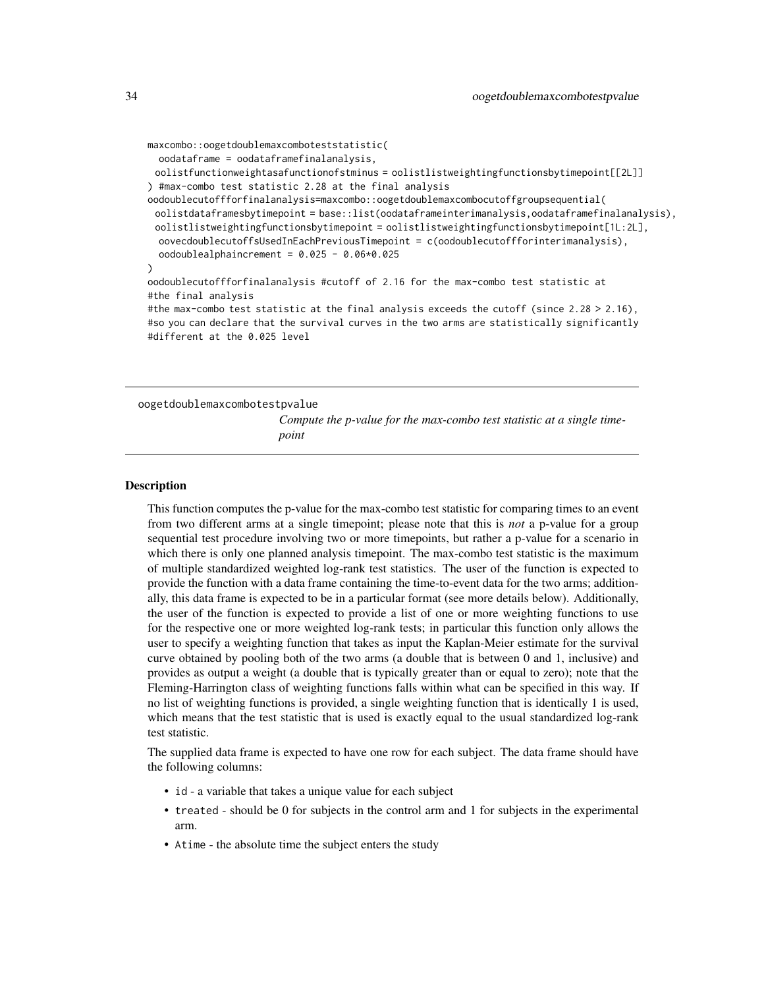```
maxcombo::oogetdoublemaxcomboteststatistic(
 oodataframe = oodataframefinalanalysis,
 oolistfunctionweightasafunctionofstminus = oolistlistweightingfunctionsbytimepoint[[2L]]
) #max-combo test statistic 2.28 at the final analysis
oodoublecutoffforfinalanalysis=maxcombo::oogetdoublemaxcombocutoffgroupsequential(
 oolistdataframesbytimepoint = base::list(oodataframeinterimanalysis,oodataframefinalanalysis),
 oolistlistweightingfunctionsbytimepoint = oolistlistweightingfunctionsbytimepoint[1L:2L],
 oovecdoublecutoffsUsedInEachPreviousTimepoint = c(oodoublecutoffforinterimanalysis),
 oodoublealphaincrement = 0.025 - 0.06*0.025
)
oodoublecutoffforfinalanalysis #cutoff of 2.16 for the max-combo test statistic at
#the final analysis
#the max-combo test statistic at the final analysis exceeds the cutoff (since 2.28 > 2.16),
#so you can declare that the survival curves in the two arms are statistically significantly
#different at the 0.025 level
```

```
oogetdoublemaxcombotestpvalue
```
*Compute the p-value for the max-combo test statistic at a single timepoint*

#### Description

This function computes the p-value for the max-combo test statistic for comparing times to an event from two different arms at a single timepoint; please note that this is *not* a p-value for a group sequential test procedure involving two or more timepoints, but rather a p-value for a scenario in which there is only one planned analysis timepoint. The max-combo test statistic is the maximum of multiple standardized weighted log-rank test statistics. The user of the function is expected to provide the function with a data frame containing the time-to-event data for the two arms; additionally, this data frame is expected to be in a particular format (see more details below). Additionally, the user of the function is expected to provide a list of one or more weighting functions to use for the respective one or more weighted log-rank tests; in particular this function only allows the user to specify a weighting function that takes as input the Kaplan-Meier estimate for the survival curve obtained by pooling both of the two arms (a double that is between 0 and 1, inclusive) and provides as output a weight (a double that is typically greater than or equal to zero); note that the Fleming-Harrington class of weighting functions falls within what can be specified in this way. If no list of weighting functions is provided, a single weighting function that is identically 1 is used, which means that the test statistic that is used is exactly equal to the usual standardized log-rank test statistic.

The supplied data frame is expected to have one row for each subject. The data frame should have the following columns:

- id a variable that takes a unique value for each subject
- treated should be 0 for subjects in the control arm and 1 for subjects in the experimental arm.
- Atime the absolute time the subject enters the study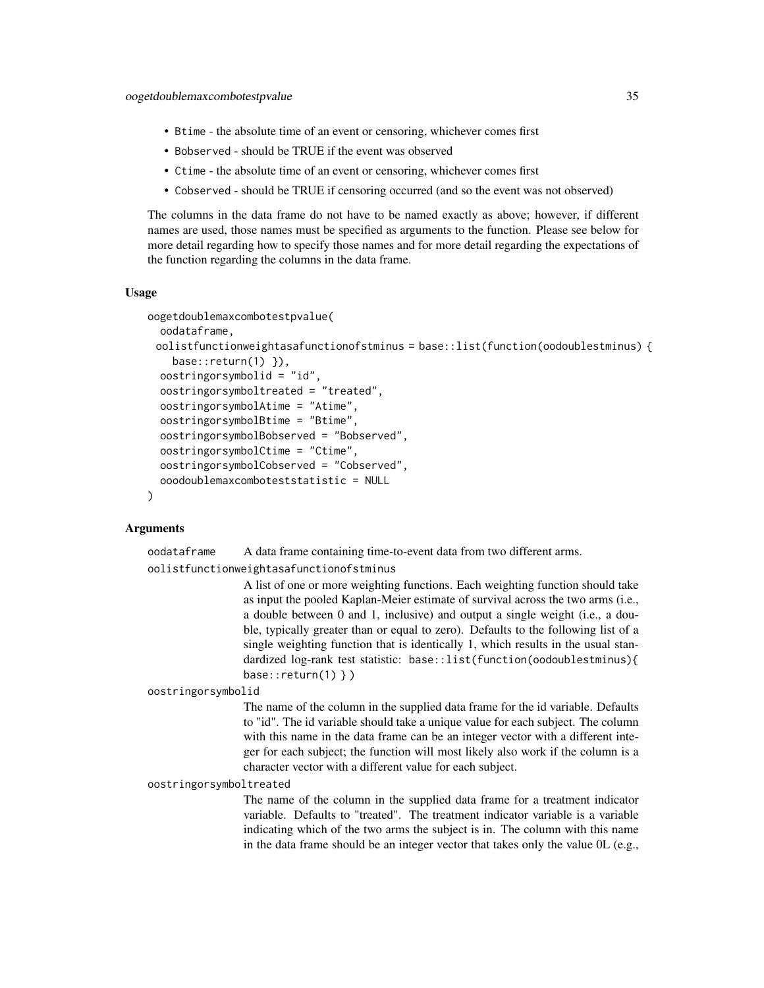- Btime the absolute time of an event or censoring, whichever comes first
- Bobserved should be TRUE if the event was observed
- Ctime the absolute time of an event or censoring, whichever comes first
- Cobserved should be TRUE if censoring occurred (and so the event was not observed)

The columns in the data frame do not have to be named exactly as above; however, if different names are used, those names must be specified as arguments to the function. Please see below for more detail regarding how to specify those names and for more detail regarding the expectations of the function regarding the columns in the data frame.

#### Usage

```
oogetdoublemaxcombotestpvalue(
  oodataframe,
 oolistfunctionweightasafunctionofstminus = base::list(function(oodoublestminus) {
    base::return(1) }),
  oostringorsymbolid = "id",
  oostringorsymboltreated = "treated",
  oostringorsymbolAtime = "Atime",
  oostringorsymbolBtime = "Btime",
  oostringorsymbolBobserved = "Bobserved",
  oostringorsymbolCtime = "Ctime",
  oostringorsymbolCobserved = "Cobserved",
  ooodoublemaxcomboteststatistic = NULL
)
```
## Arguments

oodataframe A data frame containing time-to-event data from two different arms.

oolistfunctionweightasafunctionofstminus

A list of one or more weighting functions. Each weighting function should take as input the pooled Kaplan-Meier estimate of survival across the two arms (i.e., a double between 0 and 1, inclusive) and output a single weight (i.e., a double, typically greater than or equal to zero). Defaults to the following list of a single weighting function that is identically 1, which results in the usual standardized log-rank test statistic: base::list(function(oodoublestminus){ base:: $return(1)$  } )

oostringorsymbolid

The name of the column in the supplied data frame for the id variable. Defaults to "id". The id variable should take a unique value for each subject. The column with this name in the data frame can be an integer vector with a different integer for each subject; the function will most likely also work if the column is a character vector with a different value for each subject.

#### oostringorsymboltreated

The name of the column in the supplied data frame for a treatment indicator variable. Defaults to "treated". The treatment indicator variable is a variable indicating which of the two arms the subject is in. The column with this name in the data frame should be an integer vector that takes only the value 0L (e.g.,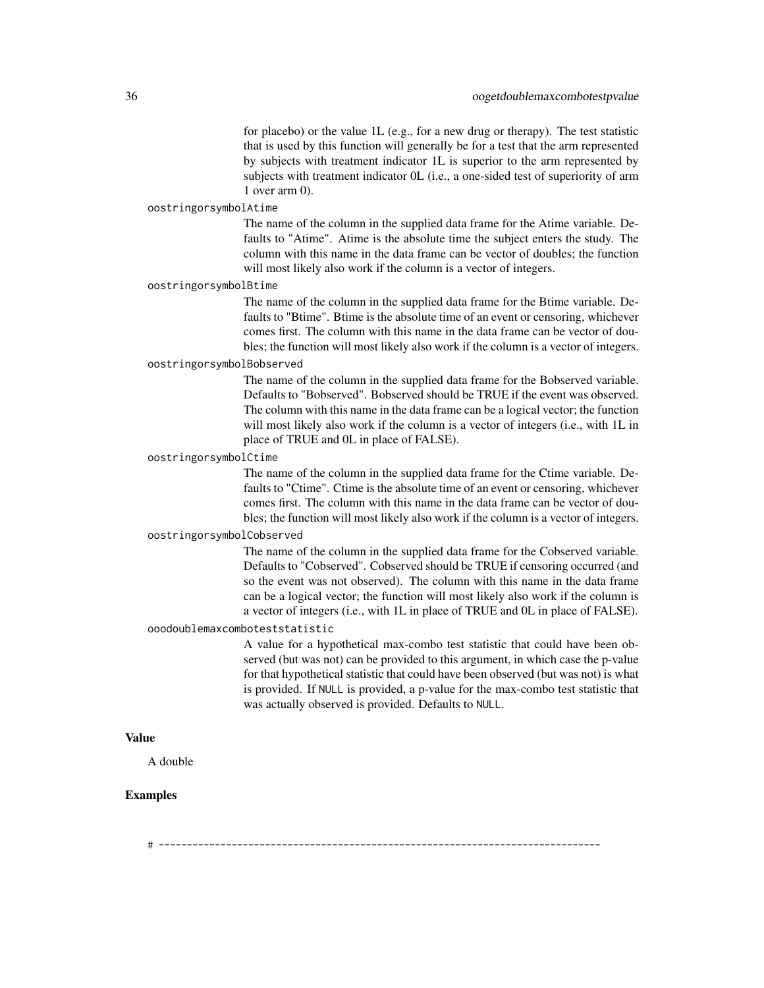for placebo) or the value 1L (e.g., for a new drug or therapy). The test statistic that is used by this function will generally be for a test that the arm represented by subjects with treatment indicator 1L is superior to the arm represented by subjects with treatment indicator 0L (i.e., a one-sided test of superiority of arm 1 over arm 0).

## oostringorsymbolAtime

The name of the column in the supplied data frame for the Atime variable. Defaults to "Atime". Atime is the absolute time the subject enters the study. The column with this name in the data frame can be vector of doubles; the function will most likely also work if the column is a vector of integers.

#### oostringorsymbolBtime

The name of the column in the supplied data frame for the Btime variable. Defaults to "Btime". Btime is the absolute time of an event or censoring, whichever comes first. The column with this name in the data frame can be vector of doubles; the function will most likely also work if the column is a vector of integers.

## oostringorsymbolBobserved

The name of the column in the supplied data frame for the Bobserved variable. Defaults to "Bobserved". Bobserved should be TRUE if the event was observed. The column with this name in the data frame can be a logical vector; the function will most likely also work if the column is a vector of integers (i.e., with 1L in place of TRUE and 0L in place of FALSE).

#### oostringorsymbolCtime

The name of the column in the supplied data frame for the Ctime variable. Defaults to "Ctime". Ctime is the absolute time of an event or censoring, whichever comes first. The column with this name in the data frame can be vector of doubles; the function will most likely also work if the column is a vector of integers.

## oostringorsymbolCobserved

The name of the column in the supplied data frame for the Cobserved variable. Defaults to "Cobserved". Cobserved should be TRUE if censoring occurred (and so the event was not observed). The column with this name in the data frame can be a logical vector; the function will most likely also work if the column is a vector of integers (i.e., with 1L in place of TRUE and 0L in place of FALSE).

#### ooodoublemaxcomboteststatistic

A value for a hypothetical max-combo test statistic that could have been observed (but was not) can be provided to this argument, in which case the p-value for that hypothetical statistic that could have been observed (but was not) is what is provided. If NULL is provided, a p-value for the max-combo test statistic that was actually observed is provided. Defaults to NULL.

## Value

A double

## Examples

# -------------------------------------------------------------------------------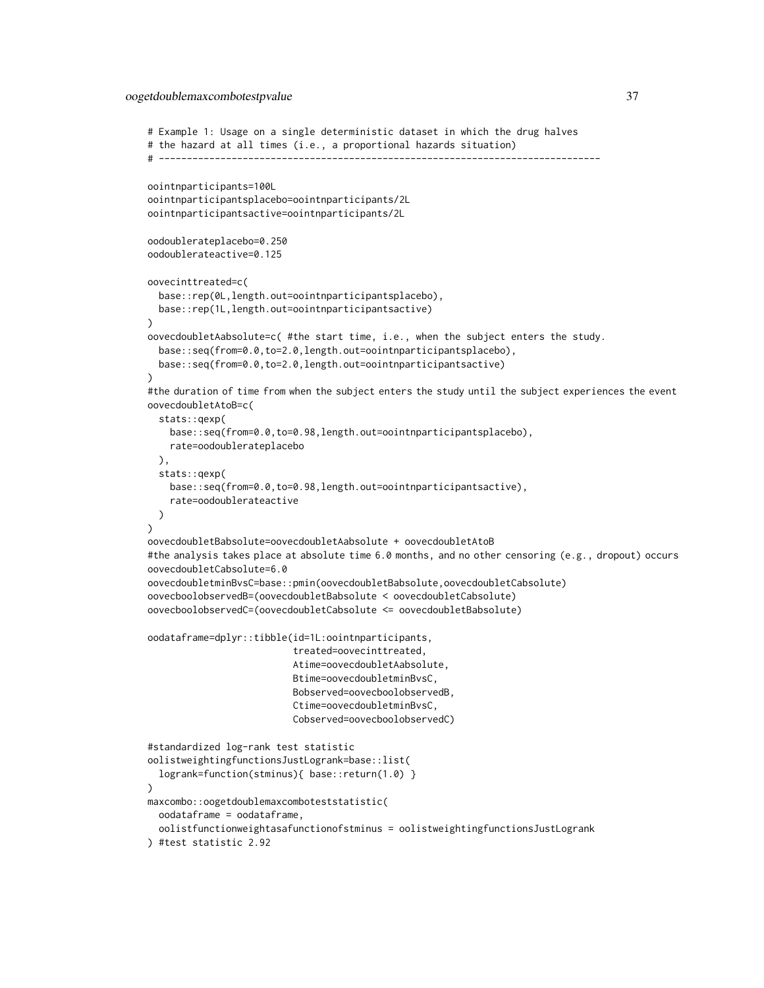## oogetdoublemaxcombotestpvalue 37

```
# Example 1: Usage on a single deterministic dataset in which the drug halves
# the hazard at all times (i.e., a proportional hazards situation)
# -------------------------------------------------------------------------------
oointnparticipants=100L
oointnparticipantsplacebo=oointnparticipants/2L
oointnparticipantsactive=oointnparticipants/2L
oodoublerateplacebo=0.250
oodoublerateactive=0.125
oovecinttreated=c(
 base::rep(0L,length.out=oointnparticipantsplacebo),
 base::rep(1L,length.out=oointnparticipantsactive)
)
oovecdoubletAabsolute=c( #the start time, i.e., when the subject enters the study.
 base::seq(from=0.0,to=2.0,length.out=oointnparticipantsplacebo),
 base::seq(from=0.0,to=2.0,length.out=oointnparticipantsactive)
)
#the duration of time from when the subject enters the study until the subject experiences the event
oovecdoubletAtoB=c(
 stats::qexp(
   base::seq(from=0.0,to=0.98,length.out=oointnparticipantsplacebo),
   rate=oodoublerateplacebo
 ),
 stats::qexp(
   base::seq(from=0.0,to=0.98,length.out=oointnparticipantsactive),
    rate=oodoublerateactive
 )
)
oovecdoubletBabsolute=oovecdoubletAabsolute + oovecdoubletAtoB
#the analysis takes place at absolute time 6.0 months, and no other censoring (e.g., dropout) occurs
oovecdoubletCabsolute=6.0
oovecdoubletminBvsC=base::pmin(oovecdoubletBabsolute,oovecdoubletCabsolute)
oovecboolobservedB=(oovecdoubletBabsolute < oovecdoubletCabsolute)
oovecboolobservedC=(oovecdoubletCabsolute <= oovecdoubletBabsolute)
oodataframe=dplyr::tibble(id=1L:oointnparticipants,
                           treated=oovecinttreated,
                           Atime=oovecdoubletAabsolute,
                           Btime=oovecdoubletminBvsC,
                          Bobserved=oovecboolobservedB,
                          Ctime=oovecdoubletminBvsC,
                          Cobserved=oovecboolobservedC)
#standardized log-rank test statistic
oolistweightingfunctionsJustLogrank=base::list(
 logrank=function(stminus){ base::return(1.0) }
\lambdamaxcombo::oogetdoublemaxcomboteststatistic(
 oodataframe = oodataframe,
  oolistfunctionweightasafunctionofstminus = oolistweightingfunctionsJustLogrank
) #test statistic 2.92
```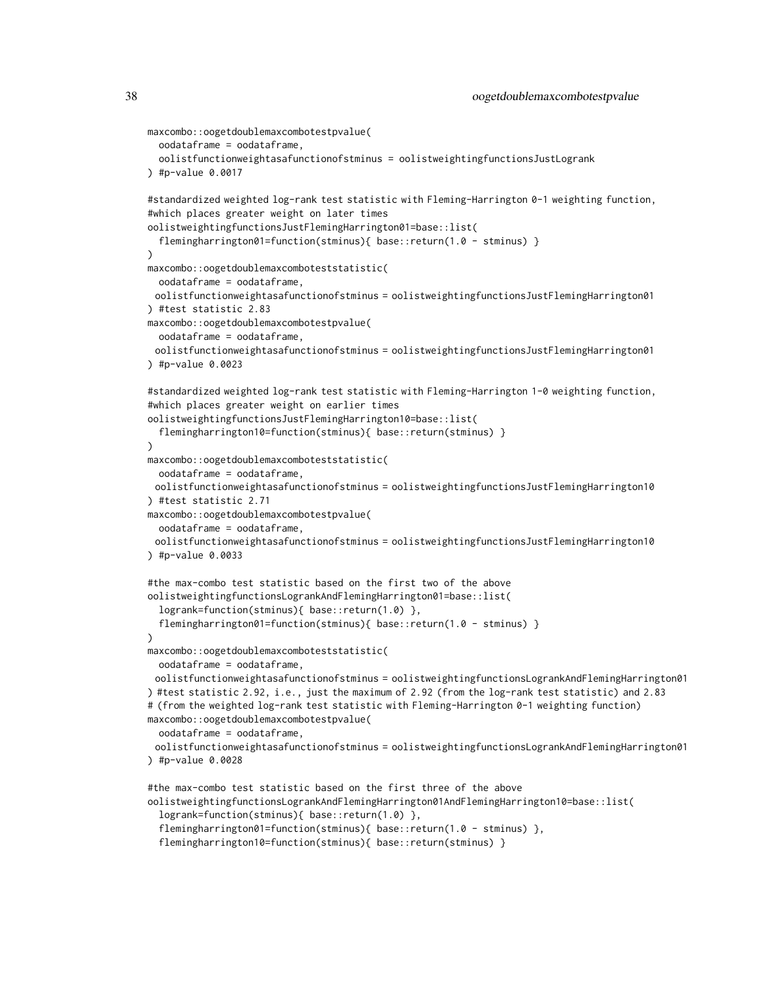```
maxcombo::oogetdoublemaxcombotestpvalue(
 oodataframe = oodataframe,
 oolistfunctionweightasafunctionofstminus = oolistweightingfunctionsJustLogrank
) #p-value 0.0017
#standardized weighted log-rank test statistic with Fleming-Harrington 0-1 weighting function,
#which places greater weight on later times
oolistweightingfunctionsJustFlemingHarrington01=base::list(
 flemingharrington01=function(stminus){ base::return(1.0 - stminus) }
\lambdamaxcombo::oogetdoublemaxcomboteststatistic(
 oodataframe = oodataframe,
 oolistfunctionweightasafunctionofstminus = oolistweightingfunctionsJustFlemingHarrington01
) #test statistic 2.83
maxcombo::oogetdoublemaxcombotestpvalue(
 oodataframe = oodataframe,
 oolistfunctionweightasafunctionofstminus = oolistweightingfunctionsJustFlemingHarrington01
) #p-value 0.0023
#standardized weighted log-rank test statistic with Fleming-Harrington 1-0 weighting function,
#which places greater weight on earlier times
oolistweightingfunctionsJustFlemingHarrington10=base::list(
 flemingharrington10=function(stminus){ base::return(stminus) }
)
maxcombo::oogetdoublemaxcomboteststatistic(
 oodataframe = oodataframe,
 oolistfunctionweightasafunctionofstminus = oolistweightingfunctionsJustFlemingHarrington10
) #test statistic 2.71
maxcombo::oogetdoublemaxcombotestpvalue(
 oodataframe = oodataframe,
 oolistfunctionweightasafunctionofstminus = oolistweightingfunctionsJustFlemingHarrington10
) #p-value 0.0033
#the max-combo test statistic based on the first two of the above
oolistweightingfunctionsLogrankAndFlemingHarrington01=base::list(
 logrank=function(stminus){ base::return(1.0) },
  flemingharrington01=function(stminus){    base::return(1.0 - stminus)    }
)
maxcombo::oogetdoublemaxcomboteststatistic(
 oodataframe = oodataframe,
 oolistfunctionweightasafunctionofstminus = oolistweightingfunctionsLogrankAndFlemingHarrington01
) #test statistic 2.92, i.e., just the maximum of 2.92 (from the log-rank test statistic) and 2.83
# (from the weighted log-rank test statistic with Fleming-Harrington 0-1 weighting function)
maxcombo::oogetdoublemaxcombotestpvalue(
 oodataframe = oodataframe,
 oolistfunctionweightasafunctionofstminus = oolistweightingfunctionsLogrankAndFlemingHarrington01
) #p-value 0.0028
#the max-combo test statistic based on the first three of the above
oolistweightingfunctionsLogrankAndFlemingHarrington01AndFlemingHarrington10=base::list(
  logrank=function(stminus){ base::return(1.0) },
  flemingharrington01=function(stminus){ base::return(1.0 - stminus) },
```

```
flemingharrington10=function(stminus){ base::return(stminus) }
```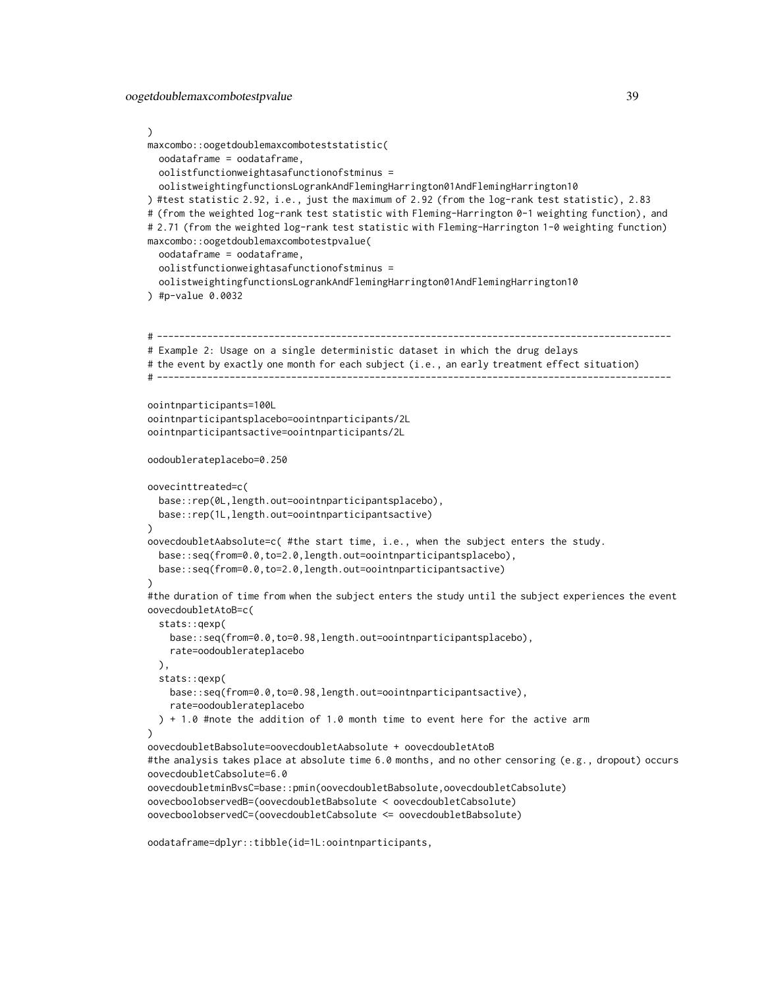#### )

```
maxcombo::oogetdoublemaxcomboteststatistic(
  oodataframe = oodataframe,
  oolistfunctionweightasafunctionofstminus =
  oolistweightingfunctionsLogrankAndFlemingHarrington01AndFlemingHarrington10
) #test statistic 2.92, i.e., just the maximum of 2.92 (from the log-rank test statistic), 2.83
# (from the weighted log-rank test statistic with Fleming-Harrington 0-1 weighting function), and
# 2.71 (from the weighted log-rank test statistic with Fleming-Harrington 1-0 weighting function)
maxcombo::oogetdoublemaxcombotestpvalue(
  oodataframe = oodataframe,
  oolistfunctionweightasafunctionofstminus =
  oolistweightingfunctionsLogrankAndFlemingHarrington01AndFlemingHarrington10
) #p-value 0.0032
# --------------------------------------------------------------------------------------------
# Example 2: Usage on a single deterministic dataset in which the drug delays
# the event by exactly one month for each subject (i.e., an early treatment effect situation)
# --------------------------------------------------------------------------------------------
oointnparticipants=100L
oointnparticipantsplacebo=oointnparticipants/2L
oointnparticipantsactive=oointnparticipants/2L
oodoublerateplacebo=0.250
oovecinttreated=c(
  base::rep(0L,length.out=oointnparticipantsplacebo),
  base::rep(1L,length.out=oointnparticipantsactive)
)
oovecdoubletAabsolute=c( #the start time, i.e., when the subject enters the study.
  base::seq(from=0.0,to=2.0,length.out=oointnparticipantsplacebo),
  base::seq(from=0.0,to=2.0,length.out=oointnparticipantsactive)
\lambda#the duration of time from when the subject enters the study until the subject experiences the event
oovecdoubletAtoB=c(
  stats::qexp(
    base::seq(from=0.0,to=0.98,length.out=oointnparticipantsplacebo),
    rate=oodoublerateplacebo
  ),
  stats::qexp(
    base::seq(from=0.0,to=0.98,length.out=oointnparticipantsactive),
    rate=oodoublerateplacebo
  ) + 1.0 #note the addition of 1.0 month time to event here for the active arm
)
oovecdoubletBabsolute=oovecdoubletAabsolute + oovecdoubletAtoB
#the analysis takes place at absolute time 6.0 months, and no other censoring (e.g., dropout) occurs
oovecdoubletCabsolute=6.0
oovecdoubletminBvsC=base::pmin(oovecdoubletBabsolute,oovecdoubletCabsolute)
oovecboolobservedB=(oovecdoubletBabsolute < oovecdoubletCabsolute)
oovecboolobservedC=(oovecdoubletCabsolute <= oovecdoubletBabsolute)
```
oodataframe=dplyr::tibble(id=1L:oointnparticipants,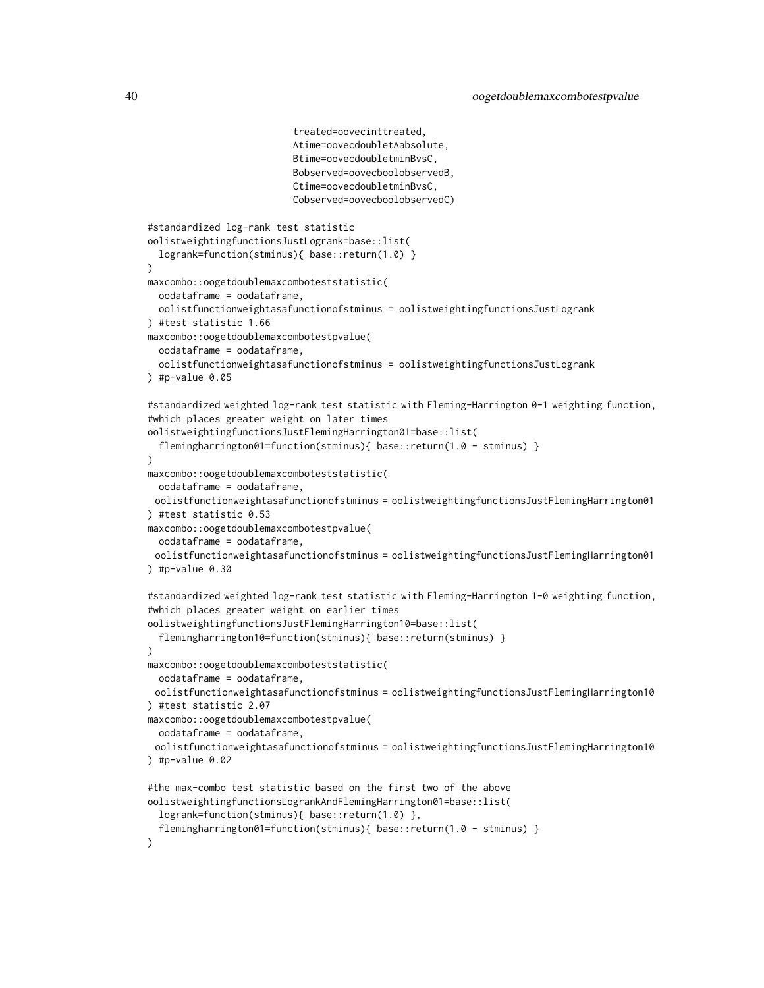```
treated=oovecinttreated,
                          Atime=oovecdoubletAabsolute,
                          Btime=oovecdoubletminBvsC,
                          Bobserved=oovecboolobservedB,
                          Ctime=oovecdoubletminBvsC,
                          Cobserved=oovecboolobservedC)
#standardized log-rank test statistic
oolistweightingfunctionsJustLogrank=base::list(
 logrank=function(stminus){ base::return(1.0) }
)
maxcombo::oogetdoublemaxcomboteststatistic(
 oodataframe = oodataframe,
 oolistfunctionweightasafunctionofstminus = oolistweightingfunctionsJustLogrank
) #test statistic 1.66
maxcombo::oogetdoublemaxcombotestpvalue(
 oodataframe = oodataframe,
 oolistfunctionweightasafunctionofstminus = oolistweightingfunctionsJustLogrank
) #p-value 0.05#standardized weighted log-rank test statistic with Fleming-Harrington 0-1 weighting function,
#which places greater weight on later times
oolistweightingfunctionsJustFlemingHarrington01=base::list(
 flemingharrington01=function(stminus){ base::return(1.0 - stminus) }
)
maxcombo::oogetdoublemaxcomboteststatistic(
 oodataframe = oodataframe,
 oolistfunctionweightasafunctionofstminus = oolistweightingfunctionsJustFlemingHarrington01
) #test statistic 0.53
maxcombo::oogetdoublemaxcombotestpvalue(
 oodataframe = oodataframe,
 oolistfunctionweightasafunctionofstminus = oolistweightingfunctionsJustFlemingHarrington01
) #p-value 0.30#standardized weighted log-rank test statistic with Fleming-Harrington 1-0 weighting function,
#which places greater weight on earlier times
oolistweightingfunctionsJustFlemingHarrington10=base::list(
  flemingharrington10=function(stminus){ base::return(stminus) }
)
maxcombo::oogetdoublemaxcomboteststatistic(
 oodataframe = oodataframe,
 oolistfunctionweightasafunctionofstminus = oolistweightingfunctionsJustFlemingHarrington10
) #test statistic 2.07
maxcombo::oogetdoublemaxcombotestpvalue(
 oodataframe = oodataframe,
 oolistfunctionweightasafunctionofstminus = oolistweightingfunctionsJustFlemingHarrington10
) #p-value 0.02
#the max-combo test statistic based on the first two of the above
oolistweightingfunctionsLogrankAndFlemingHarrington01=base::list(
 logrank=function(stminus){ base::return(1.0) },
 flemingharrington01=function(stminus){ base::return(1.0 - stminus) }
)
```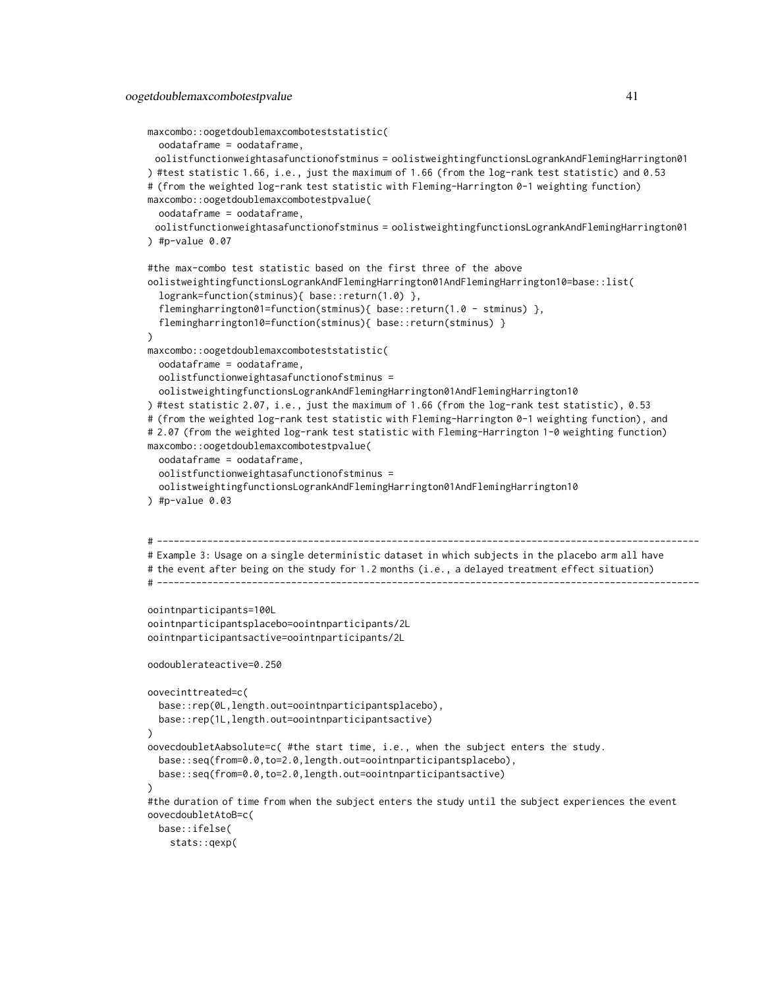```
maxcombo::oogetdoublemaxcomboteststatistic(
 oodataframe = oodataframe,
 oolistfunctionweightasafunctionofstminus = oolistweightingfunctionsLogrankAndFlemingHarrington01
) #test statistic 1.66, i.e., just the maximum of 1.66 (from the log-rank test statistic) and 0.53
# (from the weighted log-rank test statistic with Fleming-Harrington 0-1 weighting function)
maxcombo::oogetdoublemaxcombotestpvalue(
 oodataframe = oodataframe,
 oolistfunctionweightasafunctionofstminus = oolistweightingfunctionsLogrankAndFlemingHarrington01
) #p-value 0.07#the max-combo test statistic based on the first three of the above
oolistweightingfunctionsLogrankAndFlemingHarrington01AndFlemingHarrington10=base::list(
  logrank=function(stminus){ base::return(1.0) },
  flemingharrington01=function(stminus){ base::return(1.0 - stminus) },
  flemingharrington10=function(stminus){ base::return(stminus) }
)
maxcombo::oogetdoublemaxcomboteststatistic(
 oodataframe = oodataframe,
 oolistfunctionweightasafunctionofstminus =
 oolistweightingfunctionsLogrankAndFlemingHarrington01AndFlemingHarrington10
) #test statistic 2.07, i.e., just the maximum of 1.66 (from the log-rank test statistic), 0.53
# (from the weighted log-rank test statistic with Fleming-Harrington 0-1 weighting function), and
# 2.07 (from the weighted log-rank test statistic with Fleming-Harrington 1-0 weighting function)
maxcombo::oogetdoublemaxcombotestpvalue(
 oodataframe = oodataframe,
 oolistfunctionweightasafunctionofstminus =
  oolistweightingfunctionsLogrankAndFlemingHarrington01AndFlemingHarrington10
) #p-value 0.03# -------------------------------------------------------------------------------------------------
# Example 3: Usage on a single deterministic dataset in which subjects in the placebo arm all have
# the event after being on the study for 1.2 months (i.e., a delayed treatment effect situation)
# -------------------------------------------------------------------------------------------------
oointnparticipants=100L
oointnparticipantsplacebo=oointnparticipants/2L
oointnparticipantsactive=oointnparticipants/2L
oodoublerateactive=0.250
oovecinttreated=c(
 base::rep(0L,length.out=oointnparticipantsplacebo),
 base::rep(1L,length.out=oointnparticipantsactive)
)
oovecdoubletAabsolute=c( #the start time, i.e., when the subject enters the study.
 base::seq(from=0.0,to=2.0,length.out=oointnparticipantsplacebo),
 base::seq(from=0.0,to=2.0,length.out=oointnparticipantsactive)
)
#the duration of time from when the subject enters the study until the subject experiences the event
oovecdoubletAtoB=c(
 base::ifelse(
    stats::qexp(
```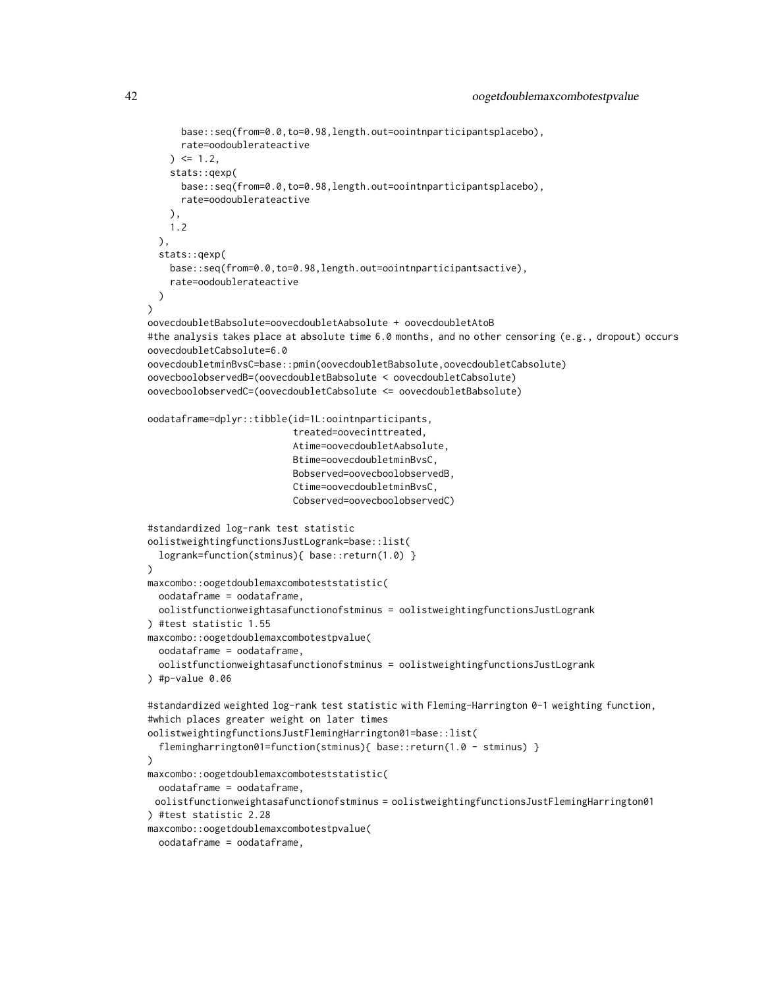```
base::seq(from=0.0,to=0.98,length.out=oointnparticipantsplacebo),
     rate=oodoublerateactive
    ) \le 1.2stats::qexp(
     base::seq(from=0.0,to=0.98,length.out=oointnparticipantsplacebo),
     rate=oodoublerateactive
   ),
   1.2
 ),
 stats::qexp(
   base::seq(from=0.0,to=0.98,length.out=oointnparticipantsactive),
    rate=oodoublerateactive
 )
\lambdaoovecdoubletBabsolute=oovecdoubletAabsolute + oovecdoubletAtoB
#the analysis takes place at absolute time 6.0 months, and no other censoring (e.g., dropout) occurs
oovecdoubletCabsolute=6.0
oovecdoubletminBvsC=base::pmin(oovecdoubletBabsolute,oovecdoubletCabsolute)
oovecboolobservedB=(oovecdoubletBabsolute < oovecdoubletCabsolute)
oovecboolobservedC=(oovecdoubletCabsolute <= oovecdoubletBabsolute)
oodataframe=dplyr::tibble(id=1L:oointnparticipants,
                          treated=oovecinttreated,
                          Atime=oovecdoubletAabsolute,
                          Btime=oovecdoubletminBvsC,
                          Bobserved=oovecboolobservedB,
                          Ctime=oovecdoubletminBvsC,
                          Cobserved=oovecboolobservedC)
#standardized log-rank test statistic
oolistweightingfunctionsJustLogrank=base::list(
 logrank=function(stminus){ base::return(1.0) }
\lambdamaxcombo::oogetdoublemaxcomboteststatistic(
 oodataframe = oodataframe,
 oolistfunctionweightasafunctionofstminus = oolistweightingfunctionsJustLogrank
) #test statistic 1.55
maxcombo::oogetdoublemaxcombotestpvalue(
  oodataframe = oodataframe,
  oolistfunctionweightasafunctionofstminus = oolistweightingfunctionsJustLogrank
) #p-value 0.06#standardized weighted log-rank test statistic with Fleming-Harrington 0-1 weighting function,
#which places greater weight on later times
oolistweightingfunctionsJustFlemingHarrington01=base::list(
  flemingharrington01=function(stminus){ base::return(1.0 - stminus) }
)
maxcombo::oogetdoublemaxcomboteststatistic(
 oodataframe = oodataframe,
 oolistfunctionweightasafunctionofstminus = oolistweightingfunctionsJustFlemingHarrington01
) #test statistic 2.28
maxcombo::oogetdoublemaxcombotestpvalue(
 oodataframe = oodataframe,
```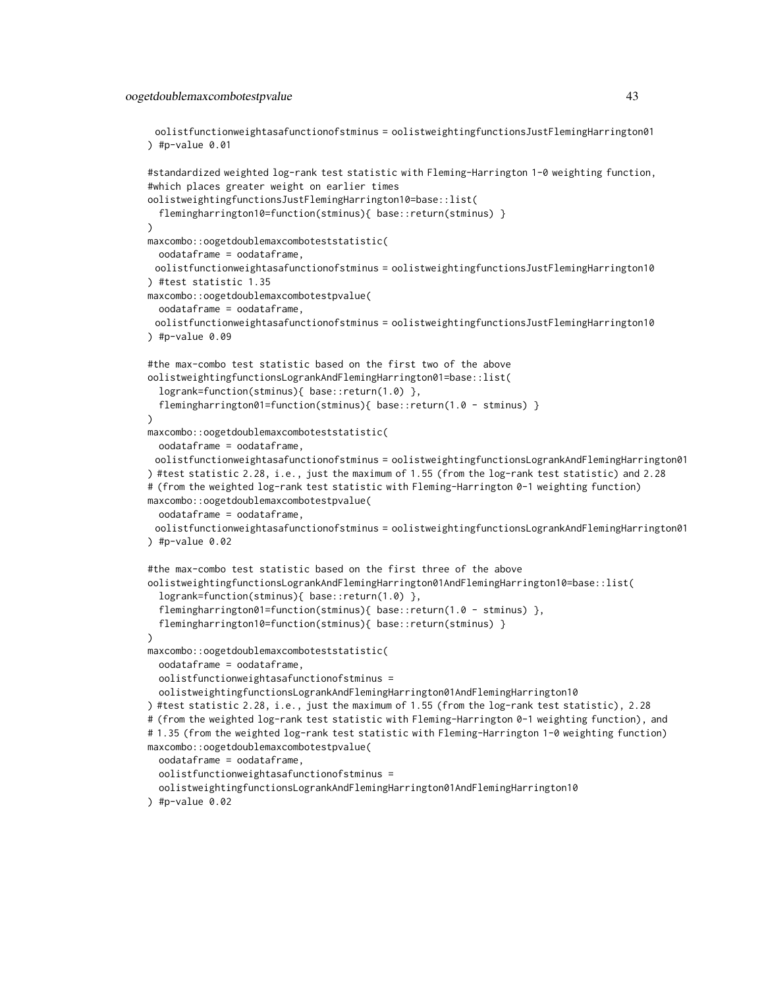#### oogetdoublemaxcombotestpvalue 43

oolistfunctionweightasafunctionofstminus = oolistweightingfunctionsJustFlemingHarrington01 ) #p-value  $0.01$ 

```
#standardized weighted log-rank test statistic with Fleming-Harrington 1-0 weighting function,
#which places greater weight on earlier times
oolistweightingfunctionsJustFlemingHarrington10=base::list(
 flemingharrington10=function(stminus){ base::return(stminus) }
\lambdamaxcombo::oogetdoublemaxcomboteststatistic(
 oodataframe = oodataframe,
 oolistfunctionweightasafunctionofstminus = oolistweightingfunctionsJustFlemingHarrington10
) #test statistic 1.35
maxcombo::oogetdoublemaxcombotestpvalue(
  oodataframe = oodataframe,
 oolistfunctionweightasafunctionofstminus = oolistweightingfunctionsJustFlemingHarrington10
) #p-value 0.09#the max-combo test statistic based on the first two of the above
oolistweightingfunctionsLogrankAndFlemingHarrington01=base::list(
  logrank=function(stminus){ base::return(1.0) },
  flemingharrington01=function(stminus){ base::return(1.0 - stminus) }
)
maxcombo::oogetdoublemaxcomboteststatistic(
 oodataframe = oodataframe,
 oolistfunctionweightasafunctionofstminus = oolistweightingfunctionsLogrankAndFlemingHarrington01
) #test statistic 2.28, i.e., just the maximum of 1.55 (from the log-rank test statistic) and 2.28
# (from the weighted log-rank test statistic with Fleming-Harrington 0-1 weighting function)
maxcombo::oogetdoublemaxcombotestpvalue(
 oodataframe = oodataframe,
 oolistfunctionweightasafunctionofstminus = oolistweightingfunctionsLogrankAndFlemingHarrington01
) #p-value 0.02#the max-combo test statistic based on the first three of the above
oolistweightingfunctionsLogrankAndFlemingHarrington01AndFlemingHarrington10=base::list(
 logrank=function(stminus){ base::return(1.0) },
  flemingharrington01=function(stminus){ base::return(1.0 - stminus) },
 flemingharrington10=function(stminus){ base::return(stminus) }
\lambdamaxcombo::oogetdoublemaxcomboteststatistic(
 oodataframe = oodataframe,
 oolistfunctionweightasafunctionofstminus =
 oolistweightingfunctionsLogrankAndFlemingHarrington01AndFlemingHarrington10
) #test statistic 2.28, i.e., just the maximum of 1.55 (from the log-rank test statistic), 2.28
# (from the weighted log-rank test statistic with Fleming-Harrington 0-1 weighting function), and
# 1.35 (from the weighted log-rank test statistic with Fleming-Harrington 1-0 weighting function)
maxcombo::oogetdoublemaxcombotestpvalue(
 oodataframe = oodataframe,
 oolistfunctionweightasafunctionofstminus =
 oolistweightingfunctionsLogrankAndFlemingHarrington01AndFlemingHarrington10
) #p-value 0.02
```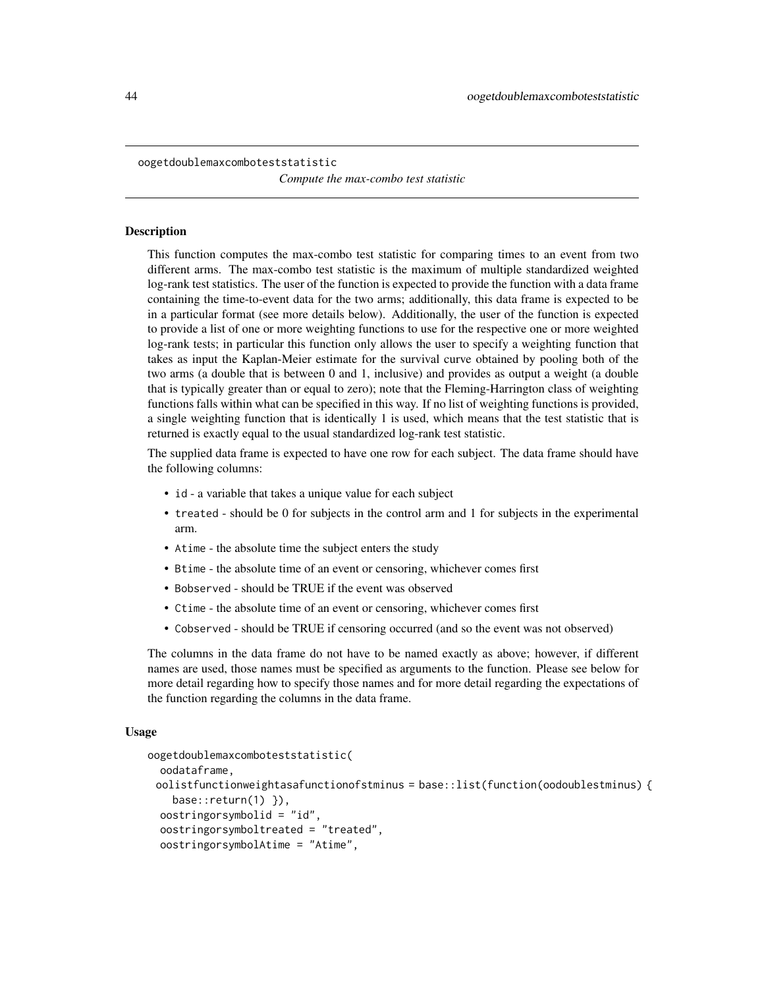<span id="page-43-1"></span><span id="page-43-0"></span>oogetdoublemaxcomboteststatistic *Compute the max-combo test statistic*

#### **Description**

This function computes the max-combo test statistic for comparing times to an event from two different arms. The max-combo test statistic is the maximum of multiple standardized weighted log-rank test statistics. The user of the function is expected to provide the function with a data frame containing the time-to-event data for the two arms; additionally, this data frame is expected to be in a particular format (see more details below). Additionally, the user of the function is expected to provide a list of one or more weighting functions to use for the respective one or more weighted log-rank tests; in particular this function only allows the user to specify a weighting function that takes as input the Kaplan-Meier estimate for the survival curve obtained by pooling both of the two arms (a double that is between 0 and 1, inclusive) and provides as output a weight (a double that is typically greater than or equal to zero); note that the Fleming-Harrington class of weighting functions falls within what can be specified in this way. If no list of weighting functions is provided, a single weighting function that is identically 1 is used, which means that the test statistic that is returned is exactly equal to the usual standardized log-rank test statistic.

The supplied data frame is expected to have one row for each subject. The data frame should have the following columns:

- id a variable that takes a unique value for each subject
- treated should be 0 for subjects in the control arm and 1 for subjects in the experimental arm.
- Atime the absolute time the subject enters the study
- Btime the absolute time of an event or censoring, whichever comes first
- Bobserved should be TRUE if the event was observed
- Ctime the absolute time of an event or censoring, whichever comes first
- Cobserved should be TRUE if censoring occurred (and so the event was not observed)

The columns in the data frame do not have to be named exactly as above; however, if different names are used, those names must be specified as arguments to the function. Please see below for more detail regarding how to specify those names and for more detail regarding the expectations of the function regarding the columns in the data frame.

#### Usage

```
oogetdoublemaxcomboteststatistic(
  oodataframe,
 oolistfunctionweightasafunctionofstminus = base::list(function(oodoublestminus) {
    base::return(1) }),
  oostringorsymbolid = "id",
  oostringorsymboltreated = "treated",
  oostringorsymbolAtime = "Atime",
```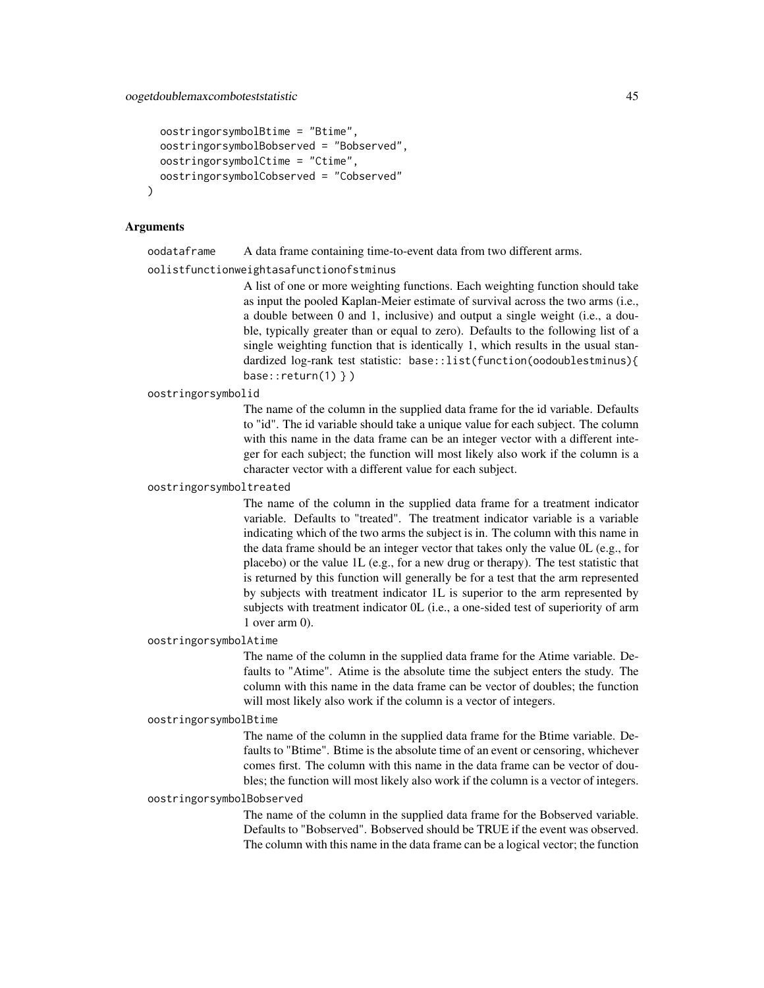```
oostringorsymbolBtime = "Btime",
oostringorsymbolBobserved = "Bobserved",
oostringorsymbolCtime = "Ctime",
oostringorsymbolCobserved = "Cobserved"
```
## Arguments

)

oodataframe A data frame containing time-to-event data from two different arms.

oolistfunctionweightasafunctionofstminus

A list of one or more weighting functions. Each weighting function should take as input the pooled Kaplan-Meier estimate of survival across the two arms (i.e., a double between 0 and 1, inclusive) and output a single weight (i.e., a double, typically greater than or equal to zero). Defaults to the following list of a single weighting function that is identically 1, which results in the usual standardized log-rank test statistic: base::list(function(oodoublestminus){ base:: $return(1)$  } )

oostringorsymbolid

The name of the column in the supplied data frame for the id variable. Defaults to "id". The id variable should take a unique value for each subject. The column with this name in the data frame can be an integer vector with a different integer for each subject; the function will most likely also work if the column is a character vector with a different value for each subject.

#### oostringorsymboltreated

The name of the column in the supplied data frame for a treatment indicator variable. Defaults to "treated". The treatment indicator variable is a variable indicating which of the two arms the subject is in. The column with this name in the data frame should be an integer vector that takes only the value 0L (e.g., for placebo) or the value 1L (e.g., for a new drug or therapy). The test statistic that is returned by this function will generally be for a test that the arm represented by subjects with treatment indicator 1L is superior to the arm represented by subjects with treatment indicator 0L (i.e., a one-sided test of superiority of arm 1 over arm 0).

## oostringorsymbolAtime

The name of the column in the supplied data frame for the Atime variable. Defaults to "Atime". Atime is the absolute time the subject enters the study. The column with this name in the data frame can be vector of doubles; the function will most likely also work if the column is a vector of integers.

#### oostringorsymbolBtime

The name of the column in the supplied data frame for the Btime variable. Defaults to "Btime". Btime is the absolute time of an event or censoring, whichever comes first. The column with this name in the data frame can be vector of doubles; the function will most likely also work if the column is a vector of integers.

## oostringorsymbolBobserved

The name of the column in the supplied data frame for the Bobserved variable. Defaults to "Bobserved". Bobserved should be TRUE if the event was observed. The column with this name in the data frame can be a logical vector; the function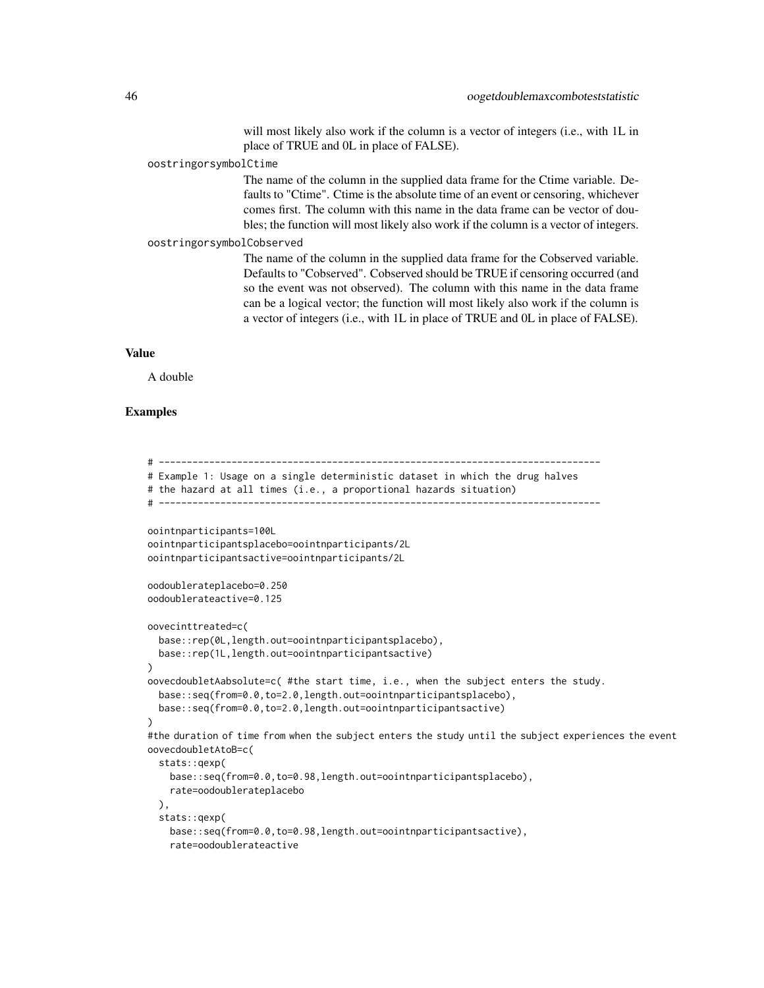will most likely also work if the column is a vector of integers (i.e., with 1L in place of TRUE and 0L in place of FALSE).

#### oostringorsymbolCtime

The name of the column in the supplied data frame for the Ctime variable. Defaults to "Ctime". Ctime is the absolute time of an event or censoring, whichever comes first. The column with this name in the data frame can be vector of doubles; the function will most likely also work if the column is a vector of integers.

#### oostringorsymbolCobserved

The name of the column in the supplied data frame for the Cobserved variable. Defaults to "Cobserved". Cobserved should be TRUE if censoring occurred (and so the event was not observed). The column with this name in the data frame can be a logical vector; the function will most likely also work if the column is a vector of integers (i.e., with 1L in place of TRUE and 0L in place of FALSE).

## Value

A double

## Examples

# ------------------------------------------------------------------------------- # Example 1: Usage on a single deterministic dataset in which the drug halves # the hazard at all times (i.e., a proportional hazards situation) # ------------------------------------------------------------------------------ oointnparticipants=100L oointnparticipantsplacebo=oointnparticipants/2L oointnparticipantsactive=oointnparticipants/2L oodoublerateplacebo=0.250 oodoublerateactive=0.125 oovecinttreated=c( base::rep(0L,length.out=oointnparticipantsplacebo), base::rep(1L,length.out=oointnparticipantsactive) ) oovecdoubletAabsolute=c( #the start time, i.e., when the subject enters the study. base::seq(from=0.0,to=2.0,length.out=oointnparticipantsplacebo), base::seq(from=0.0,to=2.0,length.out=oointnparticipantsactive) ) #the duration of time from when the subject enters the study until the subject experiences the event oovecdoubletAtoB=c( stats::qexp( base::seq(from=0.0,to=0.98,length.out=oointnparticipantsplacebo), rate=oodoublerateplacebo ), stats::qexp( base::seq(from=0.0,to=0.98,length.out=oointnparticipantsactive), rate=oodoublerateactive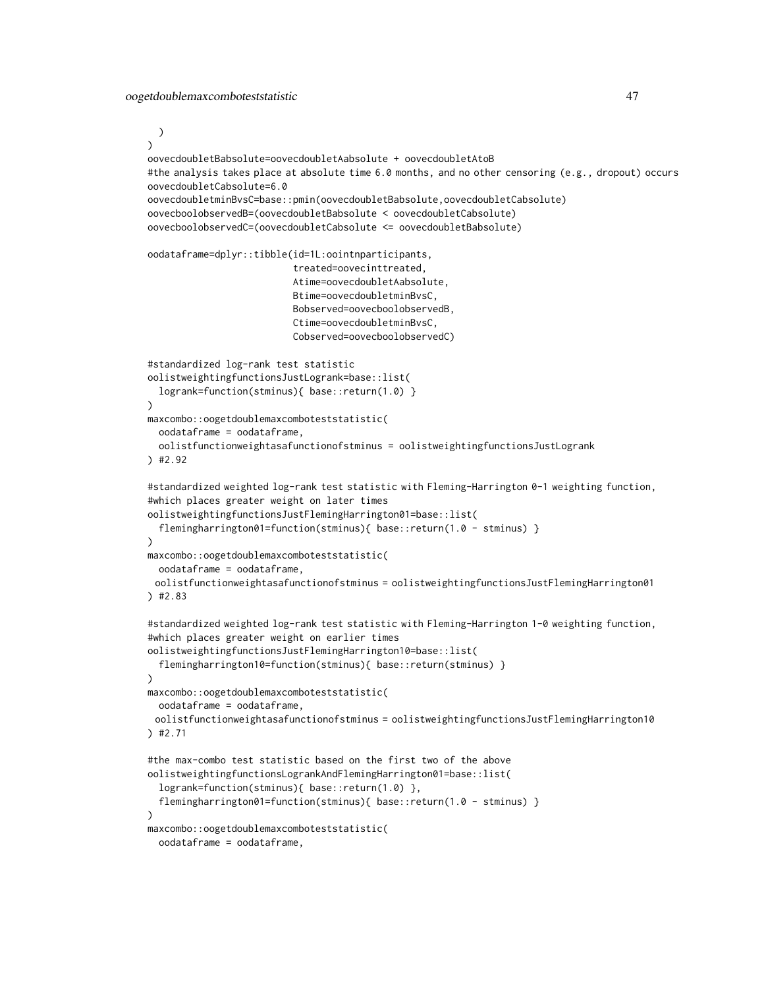)

```
)
oovecdoubletBabsolute=oovecdoubletAabsolute + oovecdoubletAtoB
#the analysis takes place at absolute time 6.0 months, and no other censoring (e.g., dropout) occurs
oovecdoubletCabsolute=6.0
oovecdoubletminBvsC=base::pmin(oovecdoubletBabsolute,oovecdoubletCabsolute)
oovecboolobservedB=(oovecdoubletBabsolute < oovecdoubletCabsolute)
oovecboolobservedC=(oovecdoubletCabsolute <= oovecdoubletBabsolute)
oodataframe=dplyr::tibble(id=1L:oointnparticipants,
                          treated=oovecinttreated,
                          Atime=oovecdoubletAabsolute,
                          Btime=oovecdoubletminBvsC,
                          Bobserved=oovecboolobservedB,
                          Ctime=oovecdoubletminBvsC,
                          Cobserved=oovecboolobservedC)
#standardized log-rank test statistic
oolistweightingfunctionsJustLogrank=base::list(
  logrank=function(stminus){ base::return(1.0) }
)
maxcombo::oogetdoublemaxcomboteststatistic(
 oodataframe = oodataframe,
 oolistfunctionweightasafunctionofstminus = oolistweightingfunctionsJustLogrank
) #2.92
#standardized weighted log-rank test statistic with Fleming-Harrington 0-1 weighting function,
#which places greater weight on later times
oolistweightingfunctionsJustFlemingHarrington01=base::list(
 flemingharrington01=function(stminus){ base::return(1.0 - stminus) }
)
maxcombo::oogetdoublemaxcomboteststatistic(
 oodataframe = oodataframe,
 oolistfunctionweightasafunctionofstminus = oolistweightingfunctionsJustFlemingHarrington01
) #2.83
#standardized weighted log-rank test statistic with Fleming-Harrington 1-0 weighting function,
#which places greater weight on earlier times
oolistweightingfunctionsJustFlemingHarrington10=base::list(
  flemingharrington10=function(stminus){ base::return(stminus) }
)
maxcombo::oogetdoublemaxcomboteststatistic(
 oodataframe = oodataframe,
 oolistfunctionweightasafunctionofstminus = oolistweightingfunctionsJustFlemingHarrington10
) #2.71
#the max-combo test statistic based on the first two of the above
oolistweightingfunctionsLogrankAndFlemingHarrington01=base::list(
 logrank=function(stminus){ base::return(1.0) },
 flemingharrington01=function(stminus){ base::return(1.0 - stminus) }
)
maxcombo::oogetdoublemaxcomboteststatistic(
 oodataframe = oodataframe,
```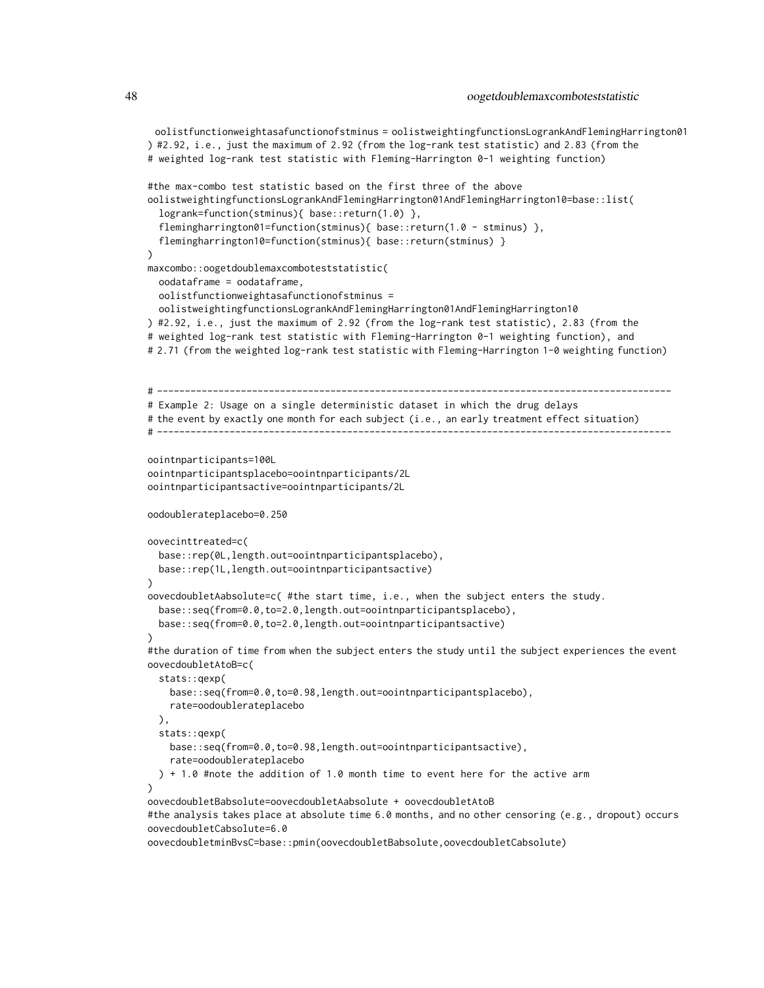```
oolistfunctionweightasafunctionofstminus = oolistweightingfunctionsLogrankAndFlemingHarrington01
) #2.92, i.e., just the maximum of 2.92 (from the log-rank test statistic) and 2.83 (from the
# weighted log-rank test statistic with Fleming-Harrington 0-1 weighting function)
#the max-combo test statistic based on the first three of the above
oolistweightingfunctionsLogrankAndFlemingHarrington01AndFlemingHarrington10=base::list(
 logrank=function(stminus){ base::return(1.0) },
 flemingharrington01=function(stminus){ base::return(1.0 - stminus) },
 flemingharrington10=function(stminus){ base::return(stminus) }
\lambdamaxcombo::oogetdoublemaxcomboteststatistic(
 oodataframe = oodataframe,
 oolistfunctionweightasafunctionofstminus =
 oolistweightingfunctionsLogrankAndFlemingHarrington01AndFlemingHarrington10
) #2.92, i.e., just the maximum of 2.92 (from the log-rank test statistic), 2.83 (from the
# weighted log-rank test statistic with Fleming-Harrington 0-1 weighting function), and
# 2.71 (from the weighted log-rank test statistic with Fleming-Harrington 1-0 weighting function)
# --------------------------------------------------------------------------------------------
# Example 2: Usage on a single deterministic dataset in which the drug delays
# the event by exactly one month for each subject (i.e., an early treatment effect situation)
# --------------------------------------------------------------------------------------------
oointnparticipants=100L
oointnparticipantsplacebo=oointnparticipants/2L
oointnparticipantsactive=oointnparticipants/2L
oodoublerateplacebo=0.250
oovecinttreated=c(
 base::rep(0L,length.out=oointnparticipantsplacebo),
 base::rep(1L,length.out=oointnparticipantsactive)
\lambdaoovecdoubletAabsolute=c( #the start time, i.e., when the subject enters the study.
 base::seq(from=0.0,to=2.0,length.out=oointnparticipantsplacebo),
 base::seq(from=0.0,to=2.0,length.out=oointnparticipantsactive)
)
#the duration of time from when the subject enters the study until the subject experiences the event
oovecdoubletAtoB=c(
 stats::qexp(
    base::seq(from=0.0,to=0.98,length.out=oointnparticipantsplacebo),
    rate=oodoublerateplacebo
 ),
 stats::qexp(
    base::seq(from=0.0,to=0.98,length.out=oointnparticipantsactive),
    rate=oodoublerateplacebo
 ) + 1.0 #note the addition of 1.0 month time to event here for the active arm
)
oovecdoubletBabsolute=oovecdoubletAabsolute + oovecdoubletAtoB
#the analysis takes place at absolute time 6.0 months, and no other censoring (e.g., dropout) occurs
oovecdoubletCabsolute=6.0
oovecdoubletminBvsC=base::pmin(oovecdoubletBabsolute,oovecdoubletCabsolute)
```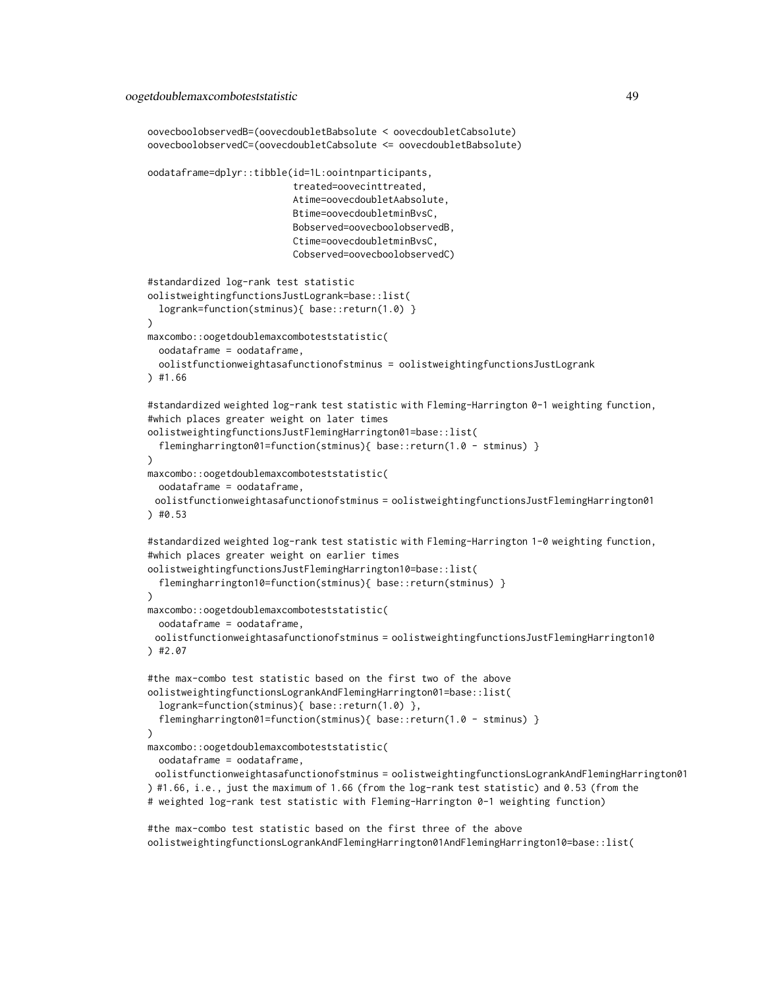```
oovecboolobservedB=(oovecdoubletBabsolute < oovecdoubletCabsolute)
oovecboolobservedC=(oovecdoubletCabsolute <= oovecdoubletBabsolute)
oodataframe=dplyr::tibble(id=1L:oointnparticipants,
                          treated=oovecinttreated,
                          Atime=oovecdoubletAabsolute,
                          Btime=oovecdoubletminBvsC,
                          Bobserved=oovecboolobservedB,
                          Ctime=oovecdoubletminBvsC,
                          Cobserved=oovecboolobservedC)
#standardized log-rank test statistic
oolistweightingfunctionsJustLogrank=base::list(
  logrank=function(stminus){ base::return(1.0) }
)
maxcombo::oogetdoublemaxcomboteststatistic(
 oodataframe = oodataframe,
 oolistfunctionweightasafunctionofstminus = oolistweightingfunctionsJustLogrank
) #1.66
#standardized weighted log-rank test statistic with Fleming-Harrington 0-1 weighting function,
#which places greater weight on later times
oolistweightingfunctionsJustFlemingHarrington01=base::list(
 flemingharrington01=function(stminus){ base::return(1.0 - stminus) }
)
maxcombo::oogetdoublemaxcomboteststatistic(
 oodataframe = oodataframe,
 oolistfunctionweightasafunctionofstminus = oolistweightingfunctionsJustFlemingHarrington01
) #0.53
#standardized weighted log-rank test statistic with Fleming-Harrington 1-0 weighting function,
#which places greater weight on earlier times
oolistweightingfunctionsJustFlemingHarrington10=base::list(
 flemingharrington10=function(stminus){ base::return(stminus) }
\lambdamaxcombo::oogetdoublemaxcomboteststatistic(
 oodataframe = oodataframe,
 oolistfunctionweightasafunctionofstminus = oolistweightingfunctionsJustFlemingHarrington10
) #2.07
#the max-combo test statistic based on the first two of the above
oolistweightingfunctionsLogrankAndFlemingHarrington01=base::list(
 logrank=function(stminus){ base::return(1.0) },
  flemingharrington01=function(stminus){ base::return(1.0 - stminus) }
\lambdamaxcombo::oogetdoublemaxcomboteststatistic(
 oodataframe = oodataframe,
 oolistfunctionweightasafunctionofstminus = oolistweightingfunctionsLogrankAndFlemingHarrington01
) #1.66, i.e., just the maximum of 1.66 (from the log-rank test statistic) and 0.53 (from the
# weighted log-rank test statistic with Fleming-Harrington 0-1 weighting function)
#the max-combo test statistic based on the first three of the above
```

```
oolistweightingfunctionsLogrankAndFlemingHarrington01AndFlemingHarrington10=base::list(
```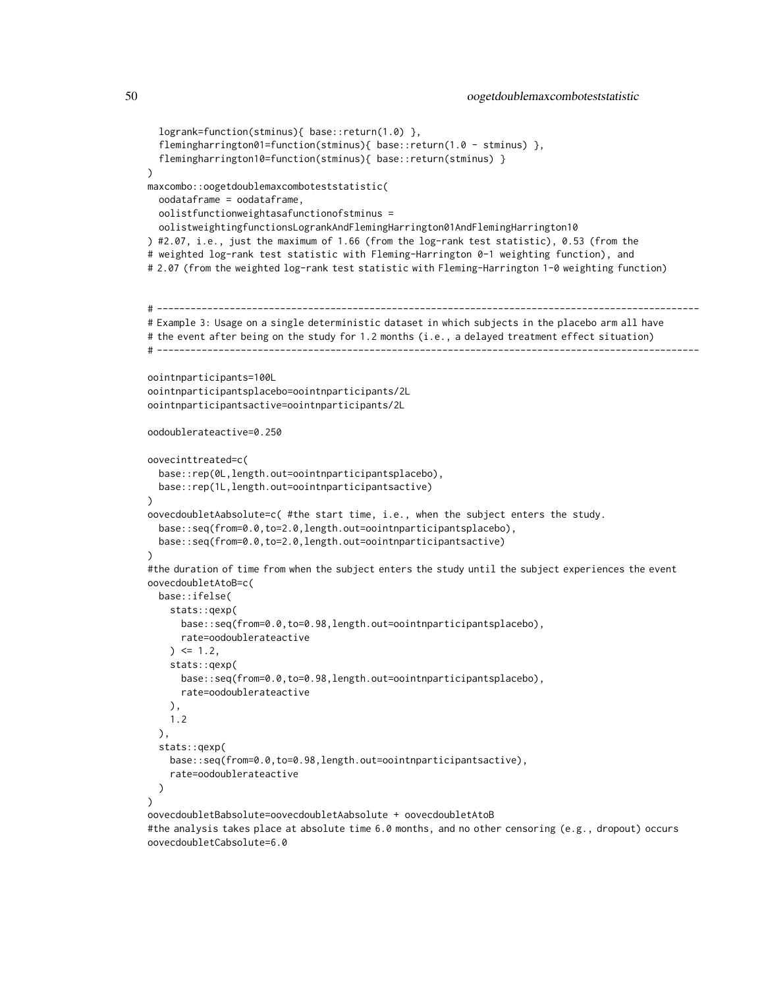```
logrank=function(stminus){ base::return(1.0) },
  flemingharrington01=function(stminus){ base::return(1.0 - stminus) },
 flemingharrington10=function(stminus){ base::return(stminus) }
\lambdamaxcombo::oogetdoublemaxcomboteststatistic(
 oodataframe = oodataframe,
 oolistfunctionweightasafunctionofstminus =
 oolistweightingfunctionsLogrankAndFlemingHarrington01AndFlemingHarrington10
) #2.07, i.e., just the maximum of 1.66 (from the log-rank test statistic), 0.53 (from the
# weighted log-rank test statistic with Fleming-Harrington 0-1 weighting function), and
# 2.07 (from the weighted log-rank test statistic with Fleming-Harrington 1-0 weighting function)
# -------------------------------------------------------------------------------------------------
# Example 3: Usage on a single deterministic dataset in which subjects in the placebo arm all have
# the event after being on the study for 1.2 months (i.e., a delayed treatment effect situation)
# -----------------------------
oointnparticipants=100L
oointnparticipantsplacebo=oointnparticipants/2L
oointnparticipantsactive=oointnparticipants/2L
oodoublerateactive=0.250
oovecinttreated=c(
 base::rep(0L,length.out=oointnparticipantsplacebo),
 base::rep(1L,length.out=oointnparticipantsactive)
)
oovecdoubletAabsolute=c( #the start time, i.e., when the subject enters the study.
 base::seq(from=0.0,to=2.0,length.out=oointnparticipantsplacebo),
 base::seq(from=0.0,to=2.0,length.out=oointnparticipantsactive)
)
#the duration of time from when the subject enters the study until the subject experiences the event
oovecdoubletAtoB=c(
 base::ifelse(
    stats::qexp(
      base::seq(from=0.0,to=0.98,length.out=oointnparticipantsplacebo),
      rate=oodoublerateactive
    ) <= 1.2,
    stats::qexp(
      base::seq(from=0.0,to=0.98,length.out=oointnparticipantsplacebo),
      rate=oodoublerateactive
   ),
   1.2
 ),
 stats::qexp(
   base::seq(from=0.0,to=0.98,length.out=oointnparticipantsactive),
    rate=oodoublerateactive
 )
\lambdaoovecdoubletBabsolute=oovecdoubletAabsolute + oovecdoubletAtoB
#the analysis takes place at absolute time 6.0 months, and no other censoring (e.g., dropout) occurs
```
oovecdoubletCabsolute=6.0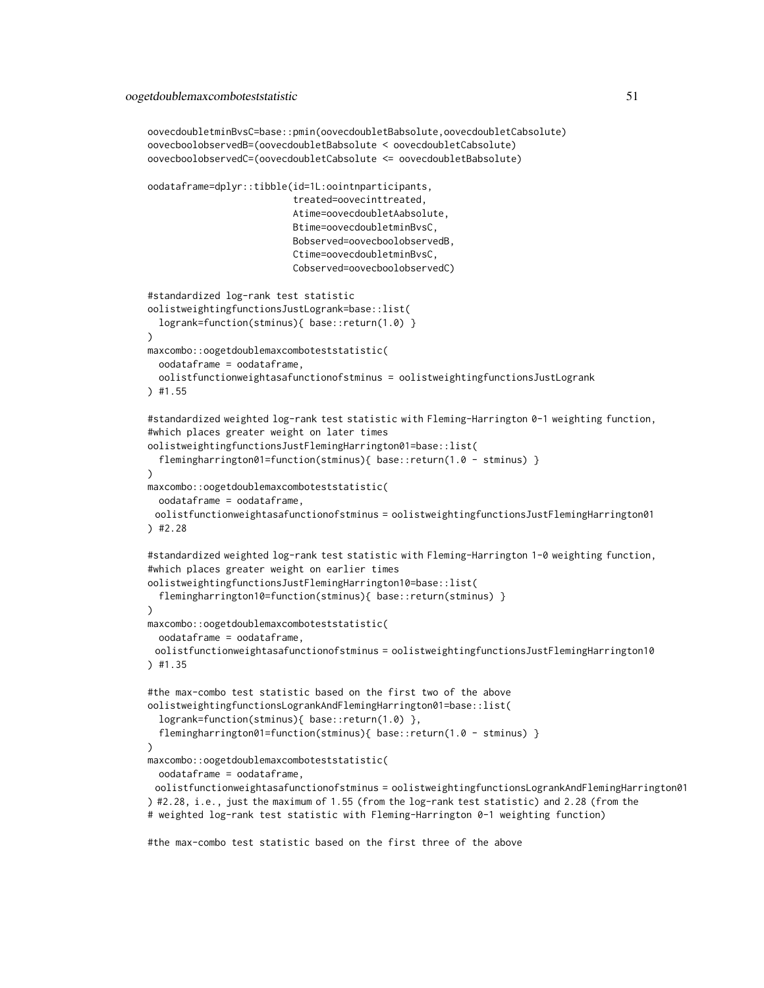```
oovecdoubletminBvsC=base::pmin(oovecdoubletBabsolute,oovecdoubletCabsolute)
oovecboolobservedB=(oovecdoubletBabsolute < oovecdoubletCabsolute)
oovecboolobservedC=(oovecdoubletCabsolute <= oovecdoubletBabsolute)
oodataframe=dplyr::tibble(id=1L:oointnparticipants,
                          treated=oovecinttreated,
                          Atime=oovecdoubletAabsolute,
                          Btime=oovecdoubletminBvsC,
                          Bobserved=oovecboolobservedB,
                          Ctime=oovecdoubletminBvsC,
                          Cobserved=oovecboolobservedC)
#standardized log-rank test statistic
oolistweightingfunctionsJustLogrank=base::list(
 logrank=function(stminus){ base::return(1.0) }
)
maxcombo::oogetdoublemaxcomboteststatistic(
 oodataframe = oodataframe,
 oolistfunctionweightasafunctionofstminus = oolistweightingfunctionsJustLogrank
) #1.55
#standardized weighted log-rank test statistic with Fleming-Harrington 0-1 weighting function,
#which places greater weight on later times
oolistweightingfunctionsJustFlemingHarrington01=base::list(
 flemingharrington01=function(stminus){ base::return(1.0 - stminus) }
)
maxcombo::oogetdoublemaxcomboteststatistic(
 oodataframe = oodataframe,
 oolistfunctionweightasafunctionofstminus = oolistweightingfunctionsJustFlemingHarrington01
) #2.28
#standardized weighted log-rank test statistic with Fleming-Harrington 1-0 weighting function,
#which places greater weight on earlier times
oolistweightingfunctionsJustFlemingHarrington10=base::list(
  flemingharrington10=function(stminus){ base::return(stminus) }
\lambdamaxcombo::oogetdoublemaxcomboteststatistic(
 oodataframe = oodataframe,
 oolistfunctionweightasafunctionofstminus = oolistweightingfunctionsJustFlemingHarrington10
) #1.35
#the max-combo test statistic based on the first two of the above
oolistweightingfunctionsLogrankAndFlemingHarrington01=base::list(
 logrank=function(stminus){ base::return(1.0) },
  flemingharrington01=function(stminus){ base::return(1.0 - stminus) }
)
maxcombo::oogetdoublemaxcomboteststatistic(
 oodataframe = oodataframe,
 oolistfunctionweightasafunctionofstminus = oolistweightingfunctionsLogrankAndFlemingHarrington01
) #2.28, i.e., just the maximum of 1.55 (from the log-rank test statistic) and 2.28 (from the
# weighted log-rank test statistic with Fleming-Harrington 0-1 weighting function)
```
#the max-combo test statistic based on the first three of the above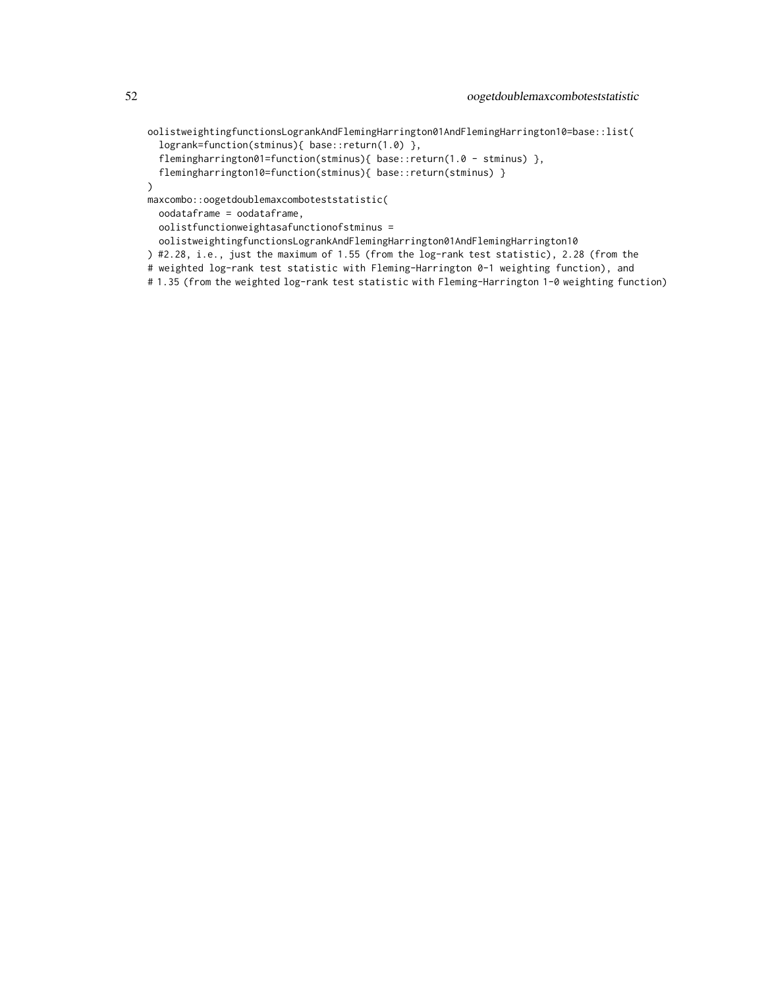oolistweightingfunctionsLogrankAndFlemingHarrington01AndFlemingHarrington10=base::list( logrank=function(stminus){ base::return(1.0) },

```
flemingharrington01=function(stminus){    base::return(1.0 - stminus)    },
```

```
flemingharrington10=function(stminus){ base::return(stminus) }
```
)

maxcombo::oogetdoublemaxcomboteststatistic(

oodataframe = oodataframe,

oolistfunctionweightasafunctionofstminus =

- oolistweightingfunctionsLogrankAndFlemingHarrington01AndFlemingHarrington10
- ) #2.28, i.e., just the maximum of 1.55 (from the log-rank test statistic), 2.28 (from the
- # weighted log-rank test statistic with Fleming-Harrington 0-1 weighting function), and
- # 1.35 (from the weighted log-rank test statistic with Fleming-Harrington 1-0 weighting function)